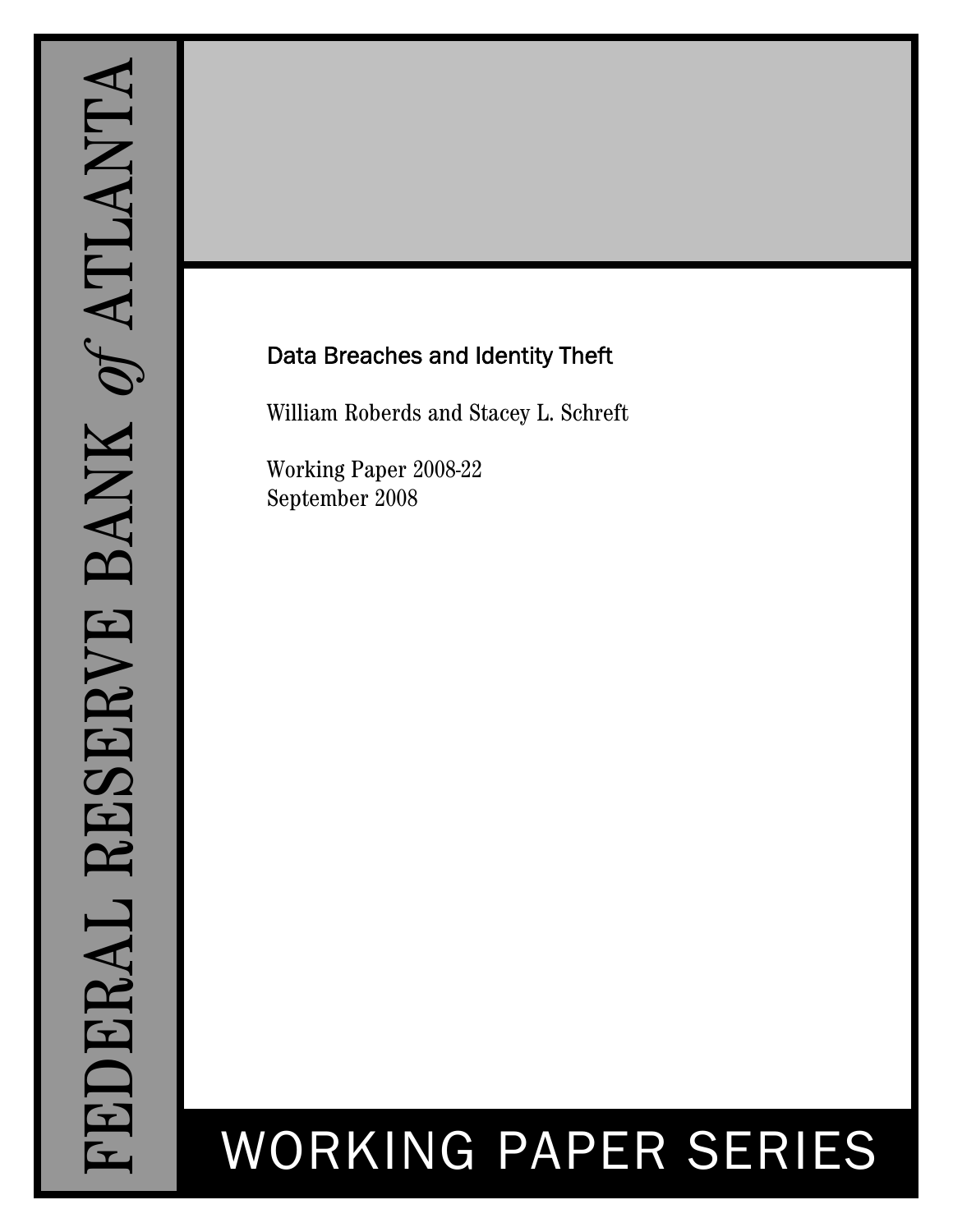## Data Breaches and Identity Theft

William Roberds and Stacey L. Schreft

Working Paper 2008-22 September 2008

# WORKING PAPER SERIES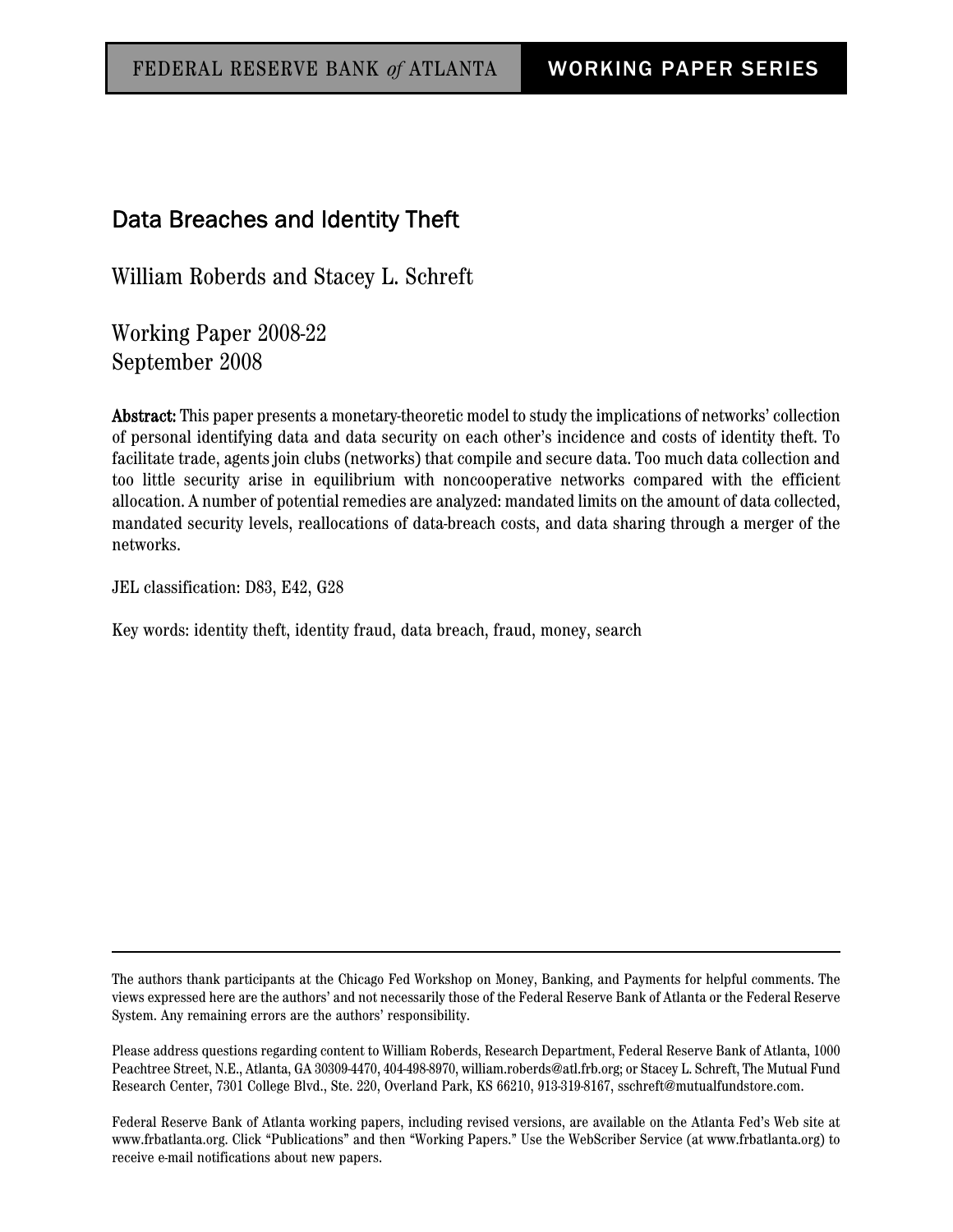### Data Breaches and Identity Theft

William Roberds and Stacey L. Schreft

Working Paper 2008-22 September 2008

Abstract: This paper presents a monetary-theoretic model to study the implications of networks' collection of personal identifying data and data security on each other's incidence and costs of identity theft. To facilitate trade, agents join clubs (networks) that compile and secure data. Too much data collection and too little security arise in equilibrium with noncooperative networks compared with the efficient allocation. A number of potential remedies are analyzed: mandated limits on the amount of data collected, mandated security levels, reallocations of data-breach costs, and data sharing through a merger of the networks.

JEL classification: D83, E42, G28

Key words: identity theft, identity fraud, data breach, fraud, money, search

The authors thank participants at the Chicago Fed Workshop on Money, Banking, and Payments for helpful comments. The views expressed here are the authors' and not necessarily those of the Federal Reserve Bank of Atlanta or the Federal Reserve System. Any remaining errors are the authors' responsibility.

Please address questions regarding content to William Roberds, Research Department, Federal Reserve Bank of Atlanta, 1000 Peachtree Street, N.E., Atlanta, GA 30309-4470, 404-498-8970, william.roberds@atl.frb.org; or Stacey L. Schreft, The Mutual Fund Research Center, 7301 College Blvd., Ste. 220, Overland Park, KS 66210, 913-319-8167, sschreft@mutualfundstore.com.

Federal Reserve Bank of Atlanta working papers, including revised versions, are available on the Atlanta Fed's Web site at www.frbatlanta.org. Click "Publications" and then "Working Papers." Use the WebScriber Service (at www.frbatlanta.org) to receive e-mail notifications about new papers.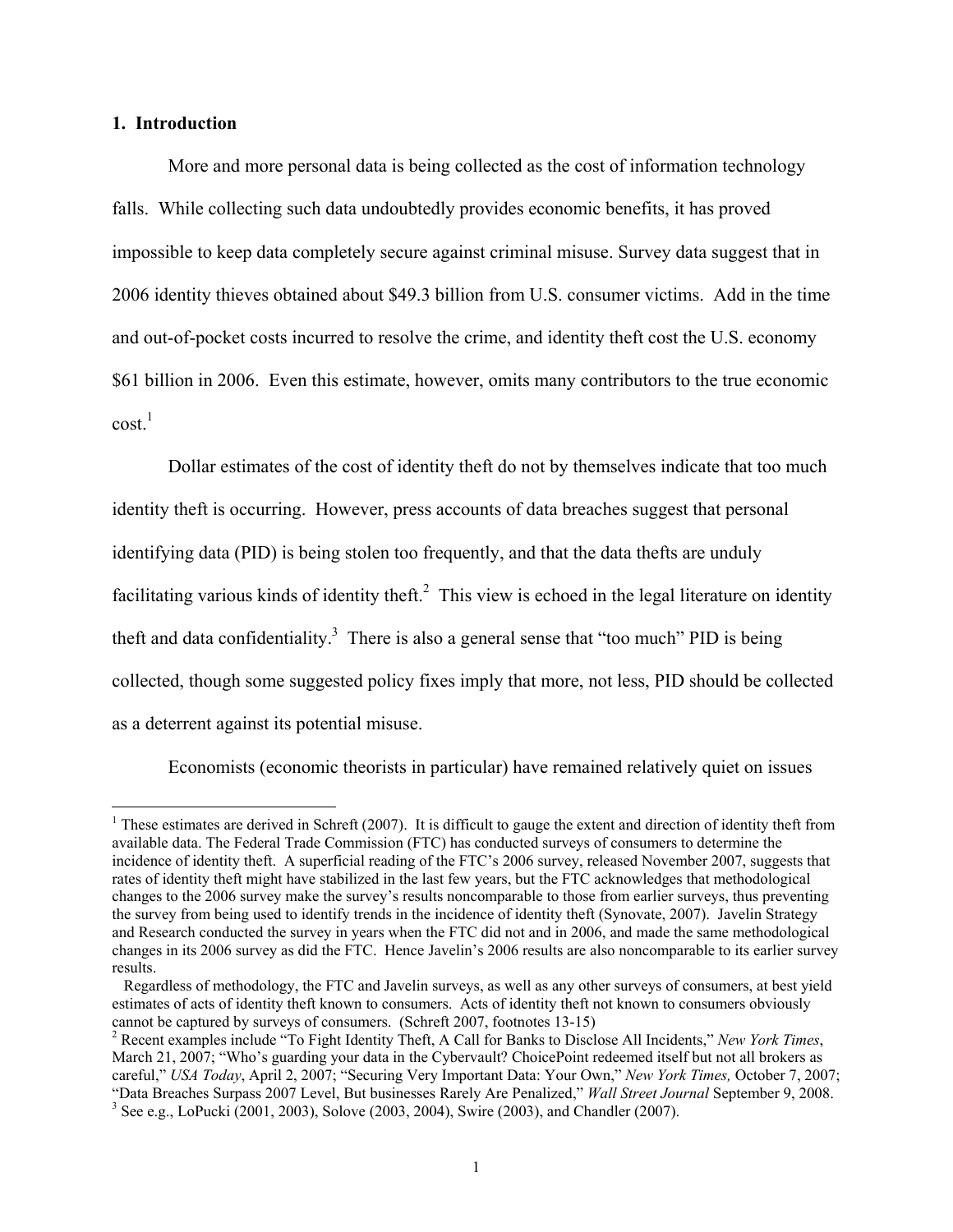#### **1. Introduction**

 $\overline{a}$ 

More and more personal data is being collected as the cost of information technology falls. While collecting such data undoubtedly provides economic benefits, it has proved impossible to keep data completely secure against criminal misuse. Survey data suggest that in 2006 identity thieves obtained about \$49.3 billion from U.S. consumer victims. Add in the time and out-of-pocket costs incurred to resolve the crime, and identity theft cost the U.S. economy \$61 billion in 2006. Even this estimate, however, omits many contributors to the true economic  $\cosh^{-1}$ 

Dollar estimates of the cost of identity theft do not by themselves indicate that too much identity theft is occurring. However, press accounts of data breaches suggest that personal identifying data (PID) is being stolen too frequently, and that the data thefts are unduly facilitating various kinds of identity theft.<sup>2</sup> This view is echoed in the legal literature on identity theft and data confidentiality.<sup>3</sup> There is also a general sense that "too much" PID is being collected, though some suggested policy fixes imply that more, not less, PID should be collected as a deterrent against its potential misuse.

Economists (economic theorists in particular) have remained relatively quiet on issues

<sup>&</sup>lt;sup>1</sup> These estimates are derived in Schreft (2007). It is difficult to gauge the extent and direction of identity theft from available data. The Federal Trade Commission (FTC) has conducted surveys of consumers to determine the incidence of identity theft. A superficial reading of the FTC's 2006 survey, released November 2007, suggests that rates of identity theft might have stabilized in the last few years, but the FTC acknowledges that methodological changes to the 2006 survey make the survey's results noncomparable to those from earlier surveys, thus preventing the survey from being used to identify trends in the incidence of identity theft (Synovate, 2007). Javelin Strategy and Research conducted the survey in years when the FTC did not and in 2006, and made the same methodological changes in its 2006 survey as did the FTC. Hence Javelin's 2006 results are also noncomparable to its earlier survey results.

Regardless of methodology, the FTC and Javelin surveys, as well as any other surveys of consumers, at best yield estimates of acts of identity theft known to consumers. Acts of identity theft not known to consumers obviously cannot be captured by surveys of consumers. (Schreft 2007, footnotes 13-15)

<sup>2</sup> Recent examples include "To Fight Identity Theft, A Call for Banks to Disclose All Incidents," *New York Times*, March 21, 2007; "Who's guarding your data in the Cybervault? ChoicePoint redeemed itself but not all brokers as careful," *USA Today*, April 2, 2007; "Securing Very Important Data: Your Own," *New York Times,* October 7, 2007; "Data Breaches Surpass 2007 Level, But businesses Rarely Are Penalized," *Wall Street Journal* September 9, 2008. 3  $3$  See e.g., LoPucki (2001, 2003), Solove (2003, 2004), Swire (2003), and Chandler (2007).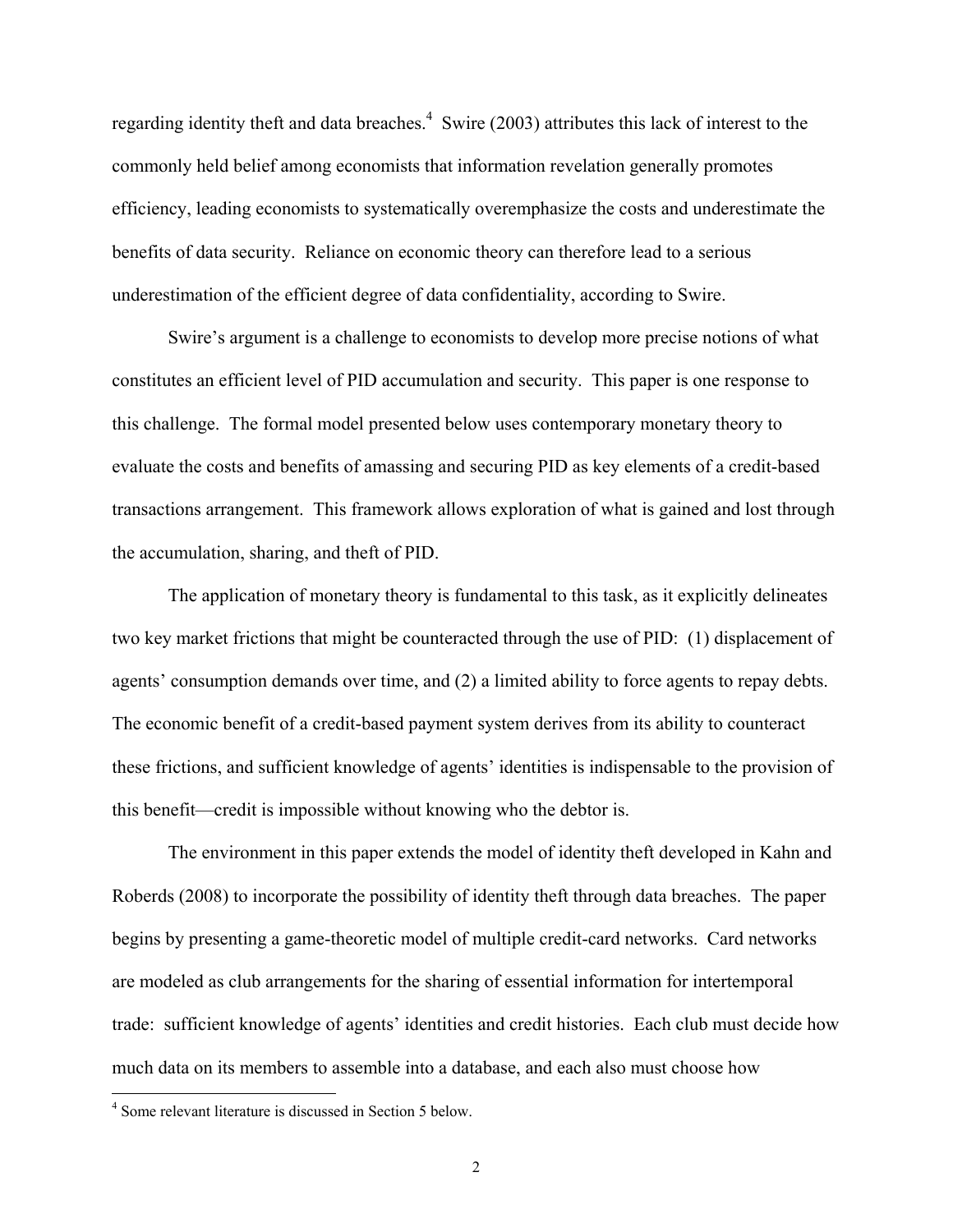regarding identity theft and data breaches.<sup>4</sup> Swire (2003) attributes this lack of interest to the commonly held belief among economists that information revelation generally promotes efficiency, leading economists to systematically overemphasize the costs and underestimate the benefits of data security. Reliance on economic theory can therefore lead to a serious underestimation of the efficient degree of data confidentiality, according to Swire.

Swire's argument is a challenge to economists to develop more precise notions of what constitutes an efficient level of PID accumulation and security. This paper is one response to this challenge. The formal model presented below uses contemporary monetary theory to evaluate the costs and benefits of amassing and securing PID as key elements of a credit-based transactions arrangement. This framework allows exploration of what is gained and lost through the accumulation, sharing, and theft of PID.

The application of monetary theory is fundamental to this task, as it explicitly delineates two key market frictions that might be counteracted through the use of PID: (1) displacement of agents' consumption demands over time, and (2) a limited ability to force agents to repay debts. The economic benefit of a credit-based payment system derives from its ability to counteract these frictions, and sufficient knowledge of agents' identities is indispensable to the provision of this benefit—credit is impossible without knowing who the debtor is.

The environment in this paper extends the model of identity theft developed in Kahn and Roberds (2008) to incorporate the possibility of identity theft through data breaches. The paper begins by presenting a game-theoretic model of multiple credit-card networks. Card networks are modeled as club arrangements for the sharing of essential information for intertemporal trade: sufficient knowledge of agents' identities and credit histories. Each club must decide how much data on its members to assemble into a database, and each also must choose how

 $\overline{a}$ 

<sup>4</sup> Some relevant literature is discussed in Section 5 below.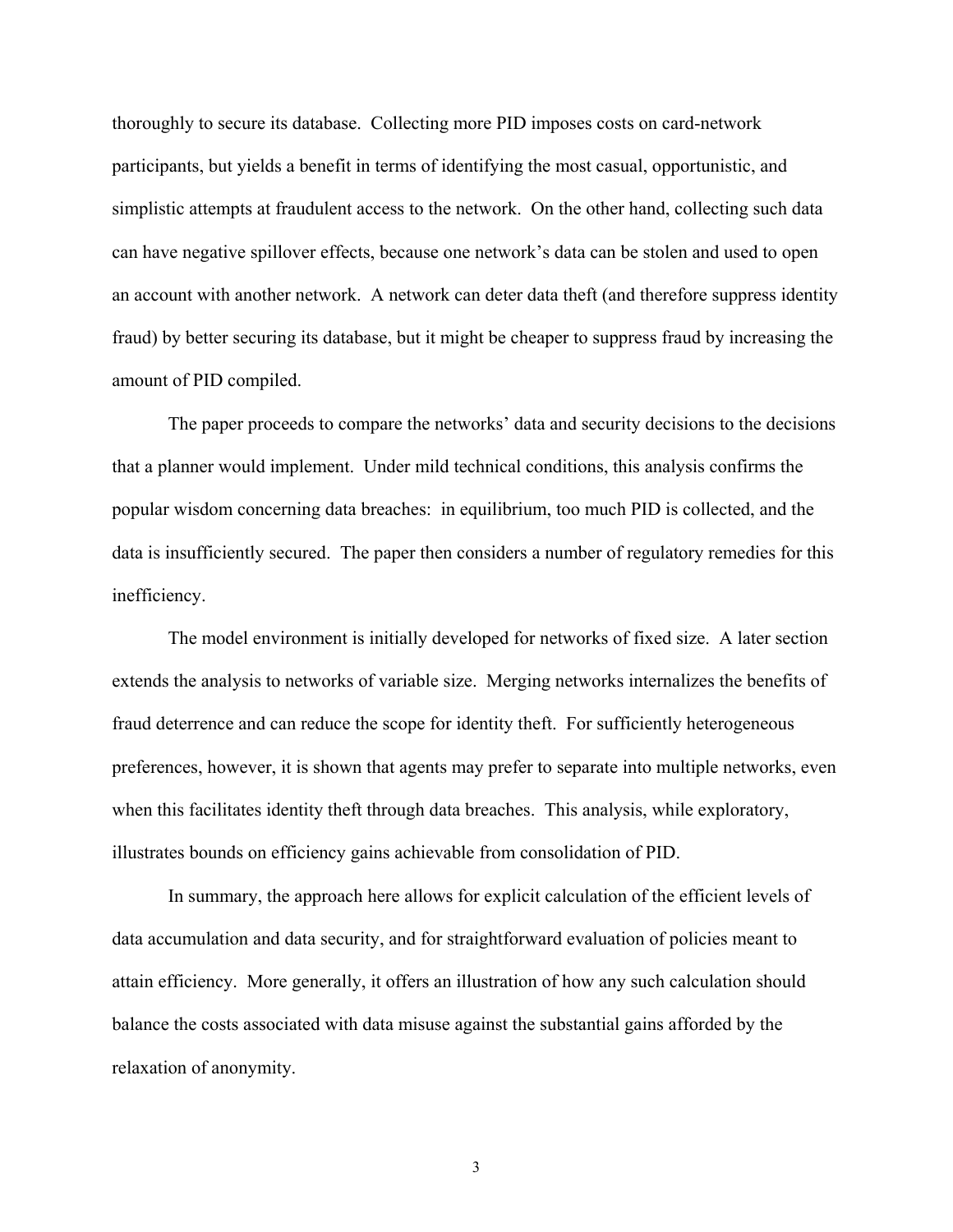thoroughly to secure its database. Collecting more PID imposes costs on card-network participants, but yields a benefit in terms of identifying the most casual, opportunistic, and simplistic attempts at fraudulent access to the network. On the other hand, collecting such data can have negative spillover effects, because one network's data can be stolen and used to open an account with another network. A network can deter data theft (and therefore suppress identity fraud) by better securing its database, but it might be cheaper to suppress fraud by increasing the amount of PID compiled.

The paper proceeds to compare the networks' data and security decisions to the decisions that a planner would implement. Under mild technical conditions, this analysis confirms the popular wisdom concerning data breaches: in equilibrium, too much PID is collected, and the data is insufficiently secured. The paper then considers a number of regulatory remedies for this inefficiency.

The model environment is initially developed for networks of fixed size. A later section extends the analysis to networks of variable size. Merging networks internalizes the benefits of fraud deterrence and can reduce the scope for identity theft. For sufficiently heterogeneous preferences, however, it is shown that agents may prefer to separate into multiple networks, even when this facilitates identity theft through data breaches. This analysis, while exploratory, illustrates bounds on efficiency gains achievable from consolidation of PID.

In summary, the approach here allows for explicit calculation of the efficient levels of data accumulation and data security, and for straightforward evaluation of policies meant to attain efficiency. More generally, it offers an illustration of how any such calculation should balance the costs associated with data misuse against the substantial gains afforded by the relaxation of anonymity.

3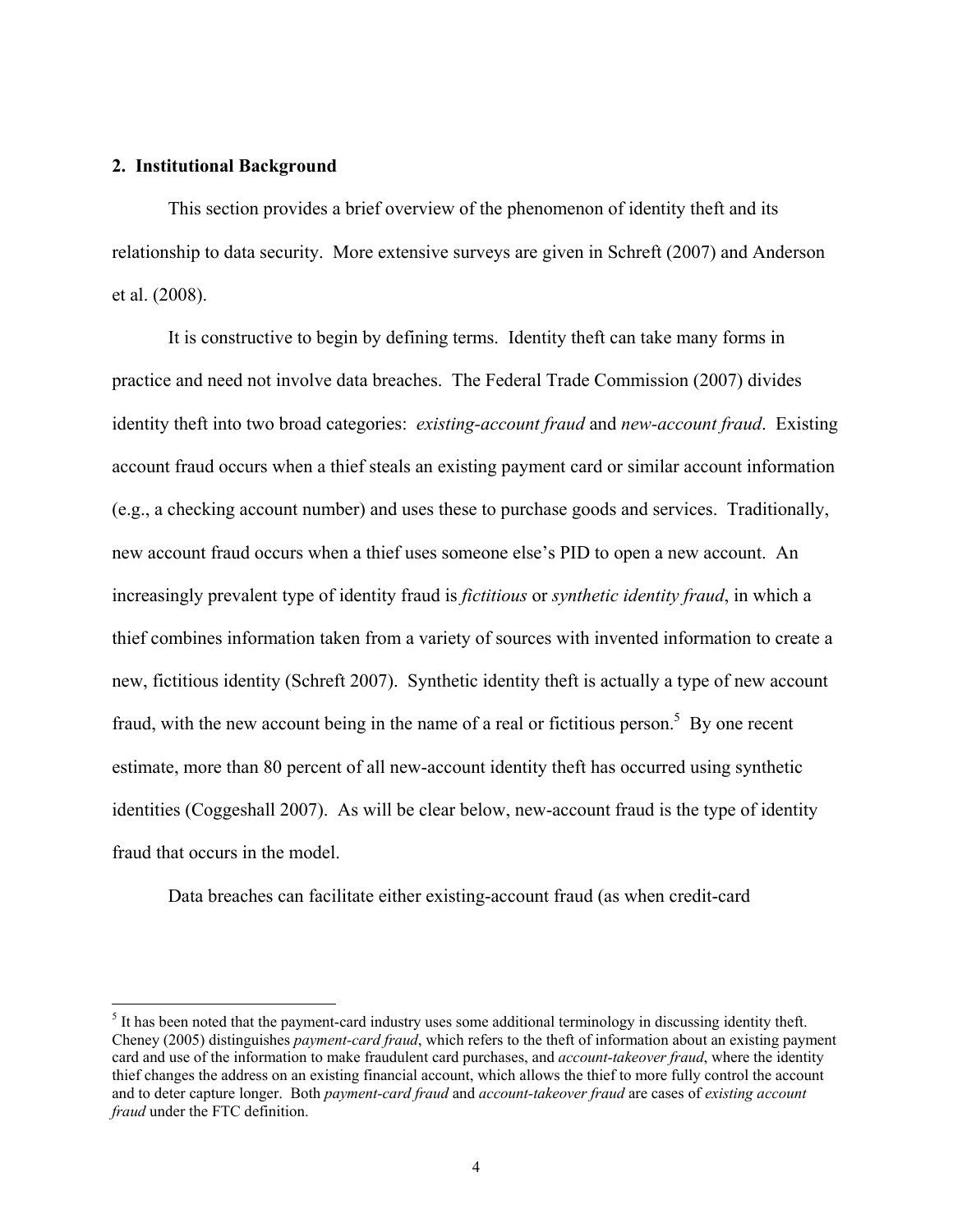#### **2. Institutional Background**

1

 This section provides a brief overview of the phenomenon of identity theft and its relationship to data security. More extensive surveys are given in Schreft (2007) and Anderson et al. (2008).

It is constructive to begin by defining terms. Identity theft can take many forms in practice and need not involve data breaches. The Federal Trade Commission (2007) divides identity theft into two broad categories: *existing-account fraud* and *new-account fraud*. Existing account fraud occurs when a thief steals an existing payment card or similar account information (e.g., a checking account number) and uses these to purchase goods and services. Traditionally, new account fraud occurs when a thief uses someone else's PID to open a new account. An increasingly prevalent type of identity fraud is *fictitious* or *synthetic identity fraud*, in which a thief combines information taken from a variety of sources with invented information to create a new, fictitious identity (Schreft 2007). Synthetic identity theft is actually a type of new account fraud, with the new account being in the name of a real or fictitious person.<sup>5</sup> By one recent estimate, more than 80 percent of all new-account identity theft has occurred using synthetic identities (Coggeshall 2007). As will be clear below, new-account fraud is the type of identity fraud that occurs in the model.

Data breaches can facilitate either existing-account fraud (as when credit-card

 $<sup>5</sup>$  It has been noted that the payment-card industry uses some additional terminology in discussing identity theft.</sup> Cheney (2005) distinguishes *payment-card fraud*, which refers to the theft of information about an existing payment card and use of the information to make fraudulent card purchases, and *account-takeover fraud*, where the identity thief changes the address on an existing financial account, which allows the thief to more fully control the account and to deter capture longer. Both *payment-card fraud* and *account-takeover fraud* are cases of *existing account fraud* under the FTC definition.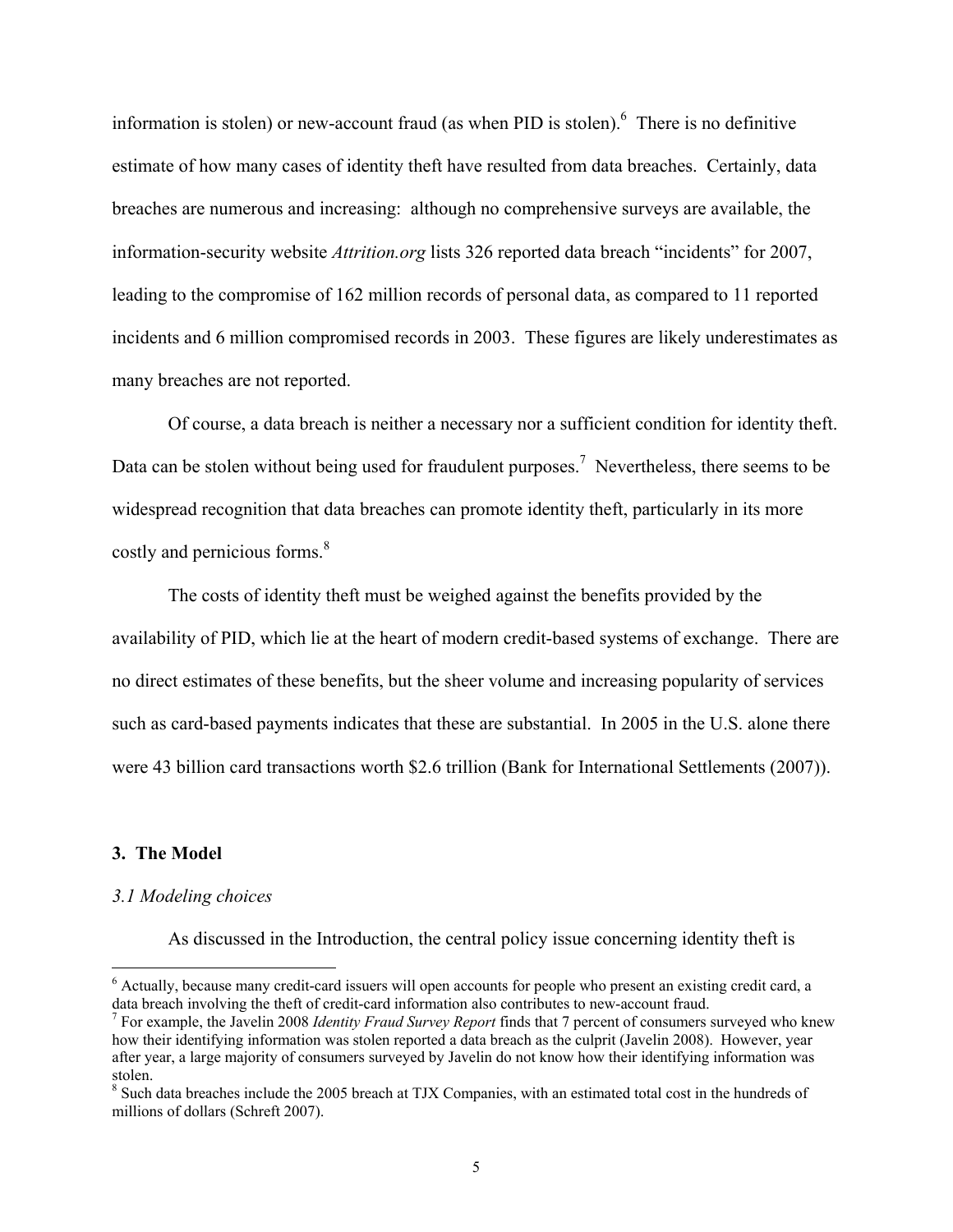information is stolen) or new-account fraud (as when PID is stolen). <sup>6</sup> There is no definitive estimate of how many cases of identity theft have resulted from data breaches. Certainly, data breaches are numerous and increasing: although no comprehensive surveys are available, the information-security website *Attrition.org* lists 326 reported data breach "incidents" for 2007, leading to the compromise of 162 million records of personal data, as compared to 11 reported incidents and 6 million compromised records in 2003. These figures are likely underestimates as many breaches are not reported.

Of course, a data breach is neither a necessary nor a sufficient condition for identity theft. Data can be stolen without being used for fraudulent purposes.<sup>7</sup> Nevertheless, there seems to be widespread recognition that data breaches can promote identity theft, particularly in its more costly and pernicious forms.<sup>8</sup>

The costs of identity theft must be weighed against the benefits provided by the availability of PID, which lie at the heart of modern credit-based systems of exchange. There are no direct estimates of these benefits, but the sheer volume and increasing popularity of services such as card-based payments indicates that these are substantial. In 2005 in the U.S. alone there were 43 billion card transactions worth \$2.6 trillion (Bank for International Settlements (2007)).

#### **3. The Model**

 $\overline{a}$ 

#### *3.1 Modeling choices*

As discussed in the Introduction, the central policy issue concerning identity theft is

<sup>&</sup>lt;sup>6</sup> Actually, because many credit-card issuers will open accounts for people who present an existing credit card, a data breach involving the theft of credit-card information also contributes to new-account fraud.

<sup>7</sup> For example, the Javelin 2008 *Identity Fraud Survey Report* finds that 7 percent of consumers surveyed who knew how their identifying information was stolen reported a data breach as the culprit (Javelin 2008). However, year after year, a large majority of consumers surveyed by Javelin do not know how their identifying information was stolen.

<sup>&</sup>lt;sup>8</sup> Such data breaches include the 2005 breach at TJX Companies, with an estimated total cost in the hundreds of millions of dollars (Schreft 2007).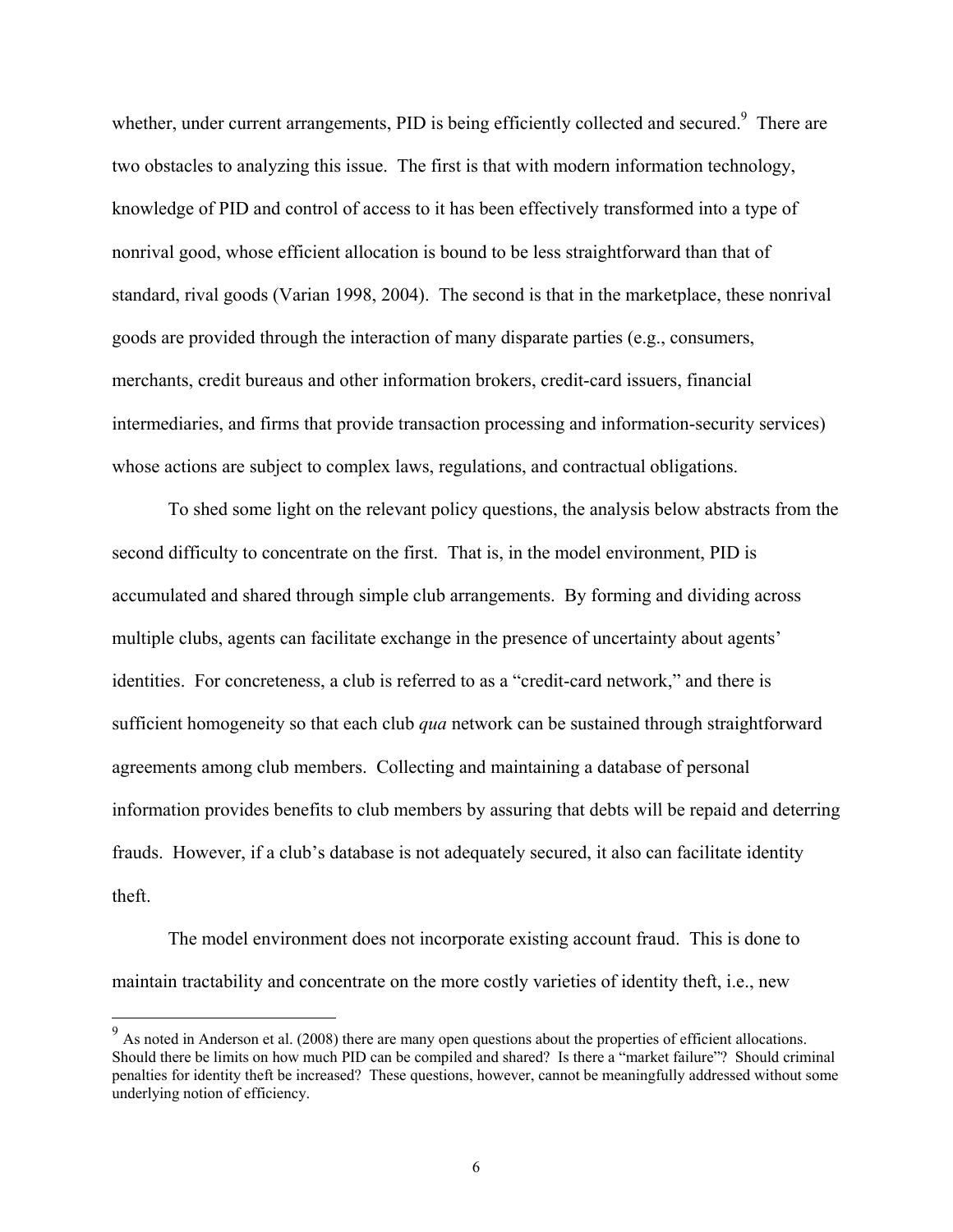whether, under current arrangements, PID is being efficiently collected and secured.<sup>9</sup> There are two obstacles to analyzing this issue. The first is that with modern information technology, knowledge of PID and control of access to it has been effectively transformed into a type of nonrival good, whose efficient allocation is bound to be less straightforward than that of standard, rival goods (Varian 1998, 2004). The second is that in the marketplace, these nonrival goods are provided through the interaction of many disparate parties (e.g., consumers, merchants, credit bureaus and other information brokers, credit-card issuers, financial intermediaries, and firms that provide transaction processing and information-security services) whose actions are subject to complex laws, regulations, and contractual obligations.

To shed some light on the relevant policy questions, the analysis below abstracts from the second difficulty to concentrate on the first. That is, in the model environment, PID is accumulated and shared through simple club arrangements. By forming and dividing across multiple clubs, agents can facilitate exchange in the presence of uncertainty about agents' identities. For concreteness, a club is referred to as a "credit-card network," and there is sufficient homogeneity so that each club *qua* network can be sustained through straightforward agreements among club members. Collecting and maintaining a database of personal information provides benefits to club members by assuring that debts will be repaid and deterring frauds. However, if a club's database is not adequately secured, it also can facilitate identity theft.

The model environment does not incorporate existing account fraud. This is done to maintain tractability and concentrate on the more costly varieties of identity theft, i.e., new

 $\overline{a}$ 

 $9<sup>9</sup>$  As noted in Anderson et al. (2008) there are many open questions about the properties of efficient allocations. Should there be limits on how much PID can be compiled and shared? Is there a "market failure"? Should criminal penalties for identity theft be increased? These questions, however, cannot be meaningfully addressed without some underlying notion of efficiency.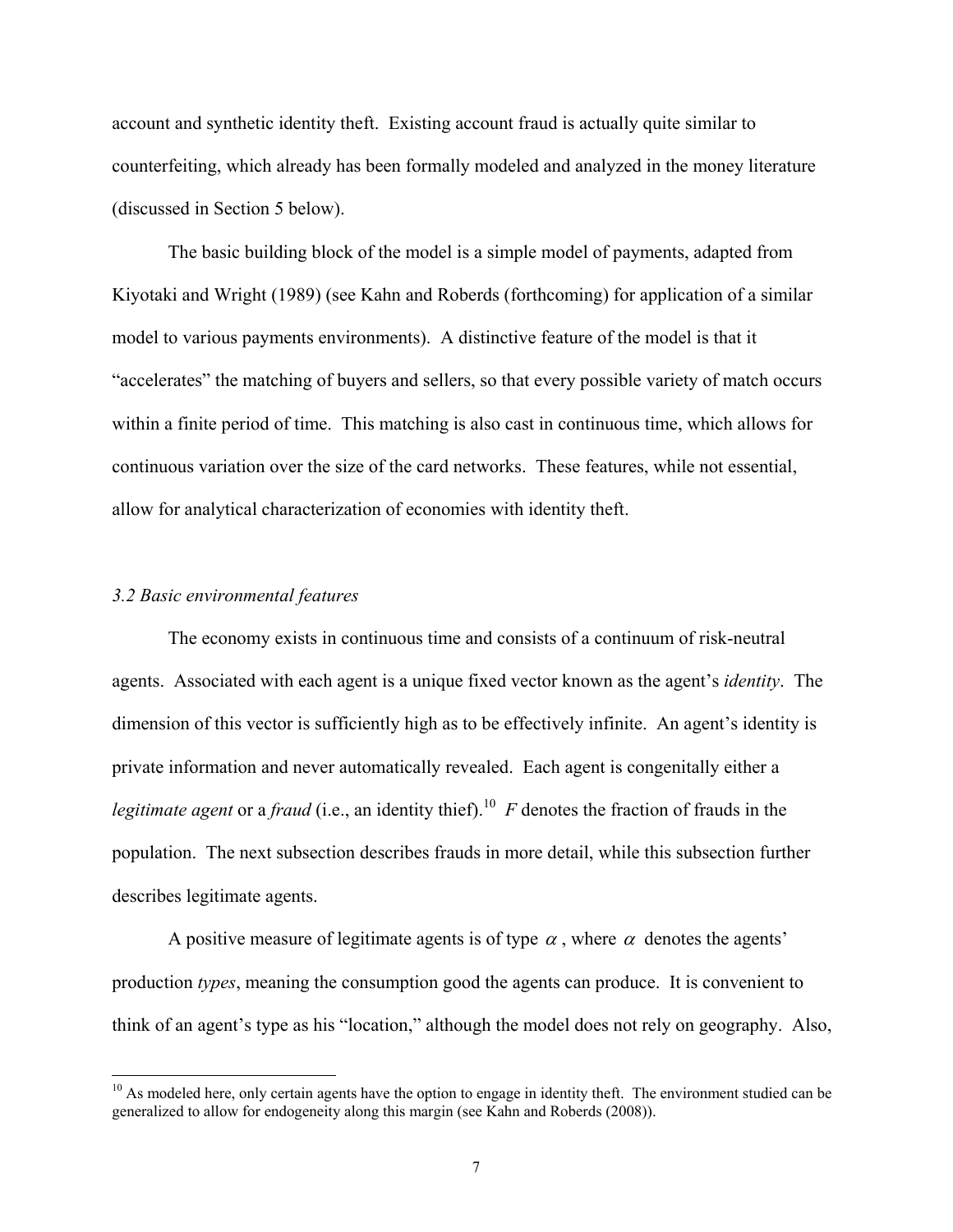account and synthetic identity theft. Existing account fraud is actually quite similar to counterfeiting, which already has been formally modeled and analyzed in the money literature (discussed in Section 5 below).

The basic building block of the model is a simple model of payments, adapted from Kiyotaki and Wright (1989) (see Kahn and Roberds (forthcoming) for application of a similar model to various payments environments). A distinctive feature of the model is that it "accelerates" the matching of buyers and sellers, so that every possible variety of match occurs within a finite period of time. This matching is also cast in continuous time, which allows for continuous variation over the size of the card networks. These features, while not essential, allow for analytical characterization of economies with identity theft.

#### *3.2 Basic environmental features*

 $\overline{a}$ 

The economy exists in continuous time and consists of a continuum of risk-neutral agents. Associated with each agent is a unique fixed vector known as the agent's *identity*. The dimension of this vector is sufficiently high as to be effectively infinite. An agent's identity is private information and never automatically revealed. Each agent is congenitally either a *legitimate agent* or a *fraud* (i.e., an identity thief).<sup>10</sup> *F* denotes the fraction of frauds in the population. The next subsection describes frauds in more detail, while this subsection further describes legitimate agents.

A positive measure of legitimate agents is of type  $\alpha$ , where  $\alpha$  denotes the agents' production *types*, meaning the consumption good the agents can produce. It is convenient to think of an agent's type as his "location," although the model does not rely on geography. Also,

 $10$  As modeled here, only certain agents have the option to engage in identity theft. The environment studied can be generalized to allow for endogeneity along this margin (see Kahn and Roberds (2008)).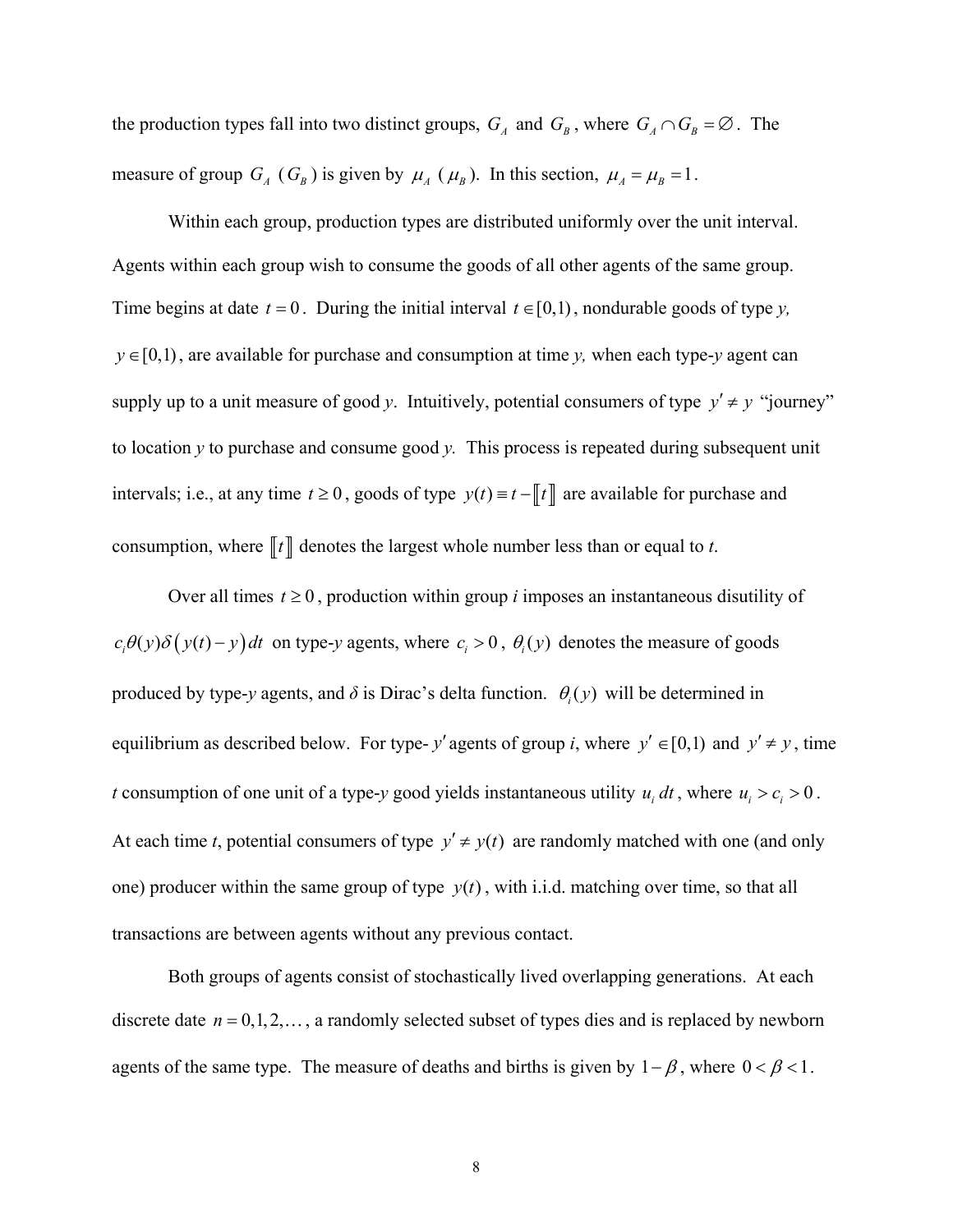the production types fall into two distinct groups,  $G_A$  and  $G_B$ , where  $G_A \cap G_B = \emptyset$ . The measure of group  $G_A$  ( $G_B$ ) is given by  $\mu_A$  ( $\mu_B$ ). In this section,  $\mu_A = \mu_B = 1$ .

Within each group, production types are distributed uniformly over the unit interval. Agents within each group wish to consume the goods of all other agents of the same group. Time begins at date  $t = 0$ . During the initial interval  $t \in [0,1)$ , nondurable goods of type *y*,  $y \in [0,1)$ , are available for purchase and consumption at time *y*, when each type-*y* agent can supply up to a unit measure of good *y*. Intuitively, potential consumers of type  $y' \neq y$  "journey" to location *y* to purchase and consume good *y.* This process is repeated during subsequent unit intervals; i.e., at any time  $t \ge 0$ , goods of type  $y(t) = t - \llbracket t \rrbracket$  are available for purchase and consumption, where  $\llbracket t \rrbracket$  denotes the largest whole number less than or equal to *t*.

Over all times  $t \geq 0$ , production within group *i* imposes an instantaneous disutility of  $c_i \theta(y) \delta(y(t)-y) dt$  on type-*y* agents, where  $c_i > 0$ ,  $\theta_i(y)$  denotes the measure of goods produced by type-*y* agents, and  $\delta$  is Dirac's delta function.  $\theta_i(y)$  will be determined in equilibrium as described below. For type- *y'* agents of group *i*, where  $y' \in [0,1)$  and  $y' \neq y$ , time *t* consumption of one unit of a type-*y* good yields instantaneous utility  $u_i dt$ , where  $u_i > c_i > 0$ . At each time *t*, potential consumers of type  $y' \neq y(t)$  are randomly matched with one (and only one) producer within the same group of type  $y(t)$ , with i.i.d. matching over time, so that all transactions are between agents without any previous contact.

Both groups of agents consist of stochastically lived overlapping generations. At each discrete date  $n = 0, 1, 2, \dots$ , a randomly selected subset of types dies and is replaced by newborn agents of the same type. The measure of deaths and births is given by  $1-\beta$ , where  $0 < \beta < 1$ .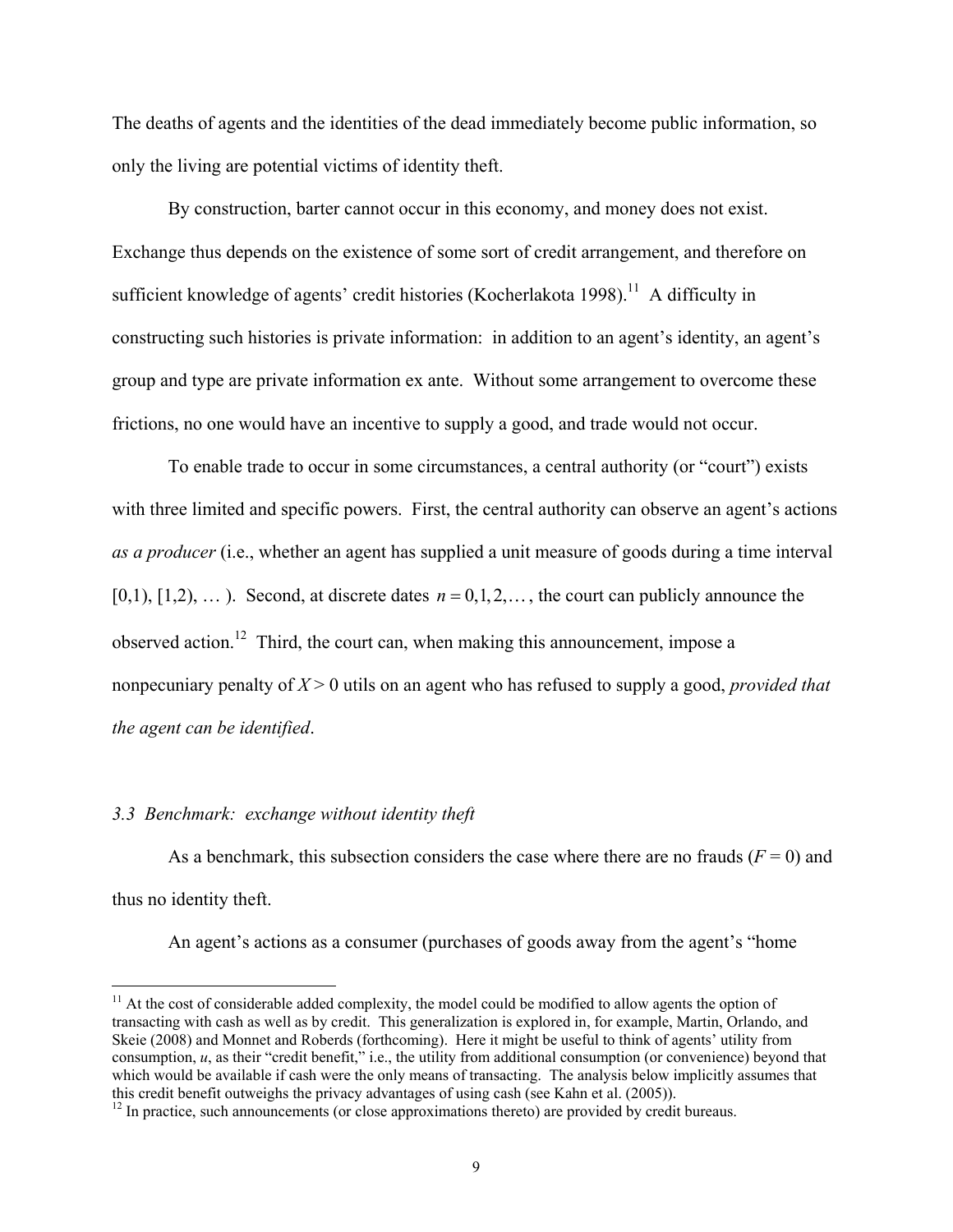The deaths of agents and the identities of the dead immediately become public information, so only the living are potential victims of identity theft.

By construction, barter cannot occur in this economy, and money does not exist. Exchange thus depends on the existence of some sort of credit arrangement, and therefore on sufficient knowledge of agents' credit histories (Kocherlakota 1998).<sup>11</sup> A difficulty in constructing such histories is private information: in addition to an agent's identity, an agent's group and type are private information ex ante. Without some arrangement to overcome these frictions, no one would have an incentive to supply a good, and trade would not occur.

To enable trade to occur in some circumstances, a central authority (or "court") exists with three limited and specific powers. First, the central authority can observe an agent's actions *as a producer* (i.e., whether an agent has supplied a unit measure of goods during a time interval  $[0,1), [1,2), \ldots$ ). Second, at discrete dates  $n = 0,1,2,\ldots$ , the court can publicly announce the observed action.<sup>12</sup> Third, the court can, when making this announcement, impose a nonpecuniary penalty of *X* > 0 utils on an agent who has refused to supply a good, *provided that the agent can be identified*.

#### *3.3 Benchmark: exchange without identity theft*

<u>.</u>

As a benchmark, this subsection considers the case where there are no frauds  $(F = 0)$  and thus no identity theft.

An agent's actions as a consumer (purchases of goods away from the agent's "home

 $11$  At the cost of considerable added complexity, the model could be modified to allow agents the option of transacting with cash as well as by credit. This generalization is explored in, for example, Martin, Orlando, and Skeie (2008) and Monnet and Roberds (forthcoming). Here it might be useful to think of agents' utility from consumption, *u*, as their "credit benefit," i.e., the utility from additional consumption (or convenience) beyond that which would be available if cash were the only means of transacting. The analysis below implicitly assumes that this credit benefit outweighs the privacy advantages of using cash (see Kahn et al. (2005)).<br><sup>12</sup> In practice, such announcements (or close approximations thereto) are provided by credit bureaus.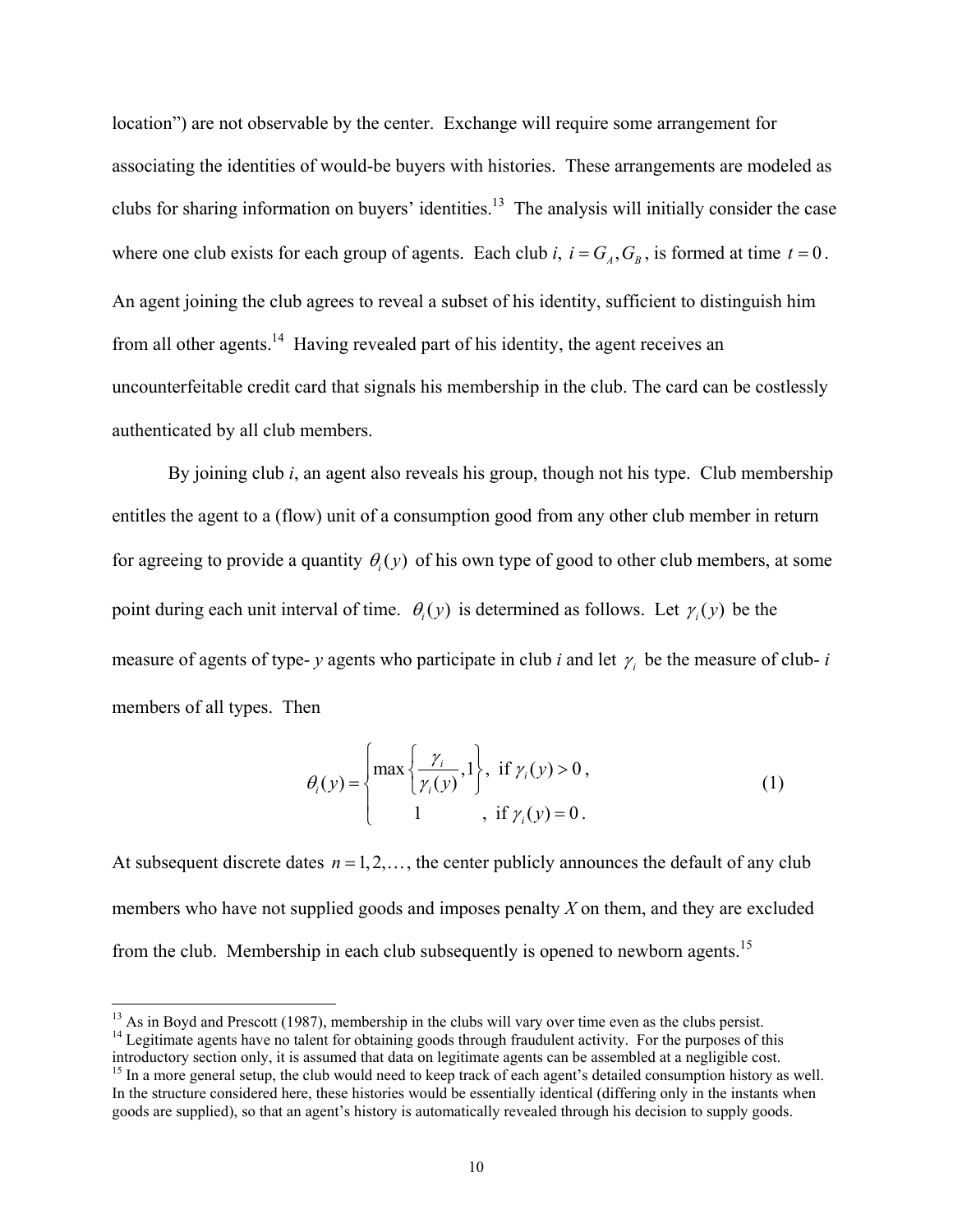location") are not observable by the center. Exchange will require some arrangement for associating the identities of would-be buyers with histories. These arrangements are modeled as clubs for sharing information on buyers' identities.<sup>13</sup> The analysis will initially consider the case where one club exists for each group of agents. Each club *i*,  $i = G_A$ ,  $G_B$ , is formed at time  $t = 0$ . An agent joining the club agrees to reveal a subset of his identity, sufficient to distinguish him from all other agents.<sup>14</sup> Having revealed part of his identity, the agent receives an uncounterfeitable credit card that signals his membership in the club. The card can be costlessly authenticated by all club members.

By joining club *i*, an agent also reveals his group, though not his type. Club membership entitles the agent to a (flow) unit of a consumption good from any other club member in return for agreeing to provide a quantity  $\theta_i(y)$  of his own type of good to other club members, at some point during each unit interval of time.  $\theta_i(y)$  is determined as follows. Let  $\gamma_i(y)$  be the measure of agents of type- *y* agents who participate in club *i* and let  $\gamma$  be the measure of club- *i* members of all types. Then

$$
\theta_i(y) = \begin{cases} \max\left\{\frac{\gamma_i}{\gamma_i(y)}, 1\right\}, & \text{if } \gamma_i(y) > 0, \\ 1, & \text{if } \gamma_i(y) = 0. \end{cases}
$$
\n(1)

At subsequent discrete dates  $n = 1, 2, \dots$ , the center publicly announces the default of any club members who have not supplied goods and imposes penalty *X* on them, and they are excluded from the club. Membership in each club subsequently is opened to newborn agents.<sup>15</sup>

 $^{13}$  As in Boyd and Prescott (1987), membership in the clubs will vary over time even as the clubs persist.

<sup>&</sup>lt;sup>14</sup> Legitimate agents have no talent for obtaining goods through fraudulent activity. For the purposes of this introductory section only, it is assumed that data on legitimate agents can be assembled at a negligible cost

<sup>&</sup>lt;sup>15</sup> In a more general setup, the club would need to keep track of each agent's detailed consumption history as well. In the structure considered here, these histories would be essentially identical (differing only in the instants when goods are supplied), so that an agent's history is automatically revealed through his decision to supply goods.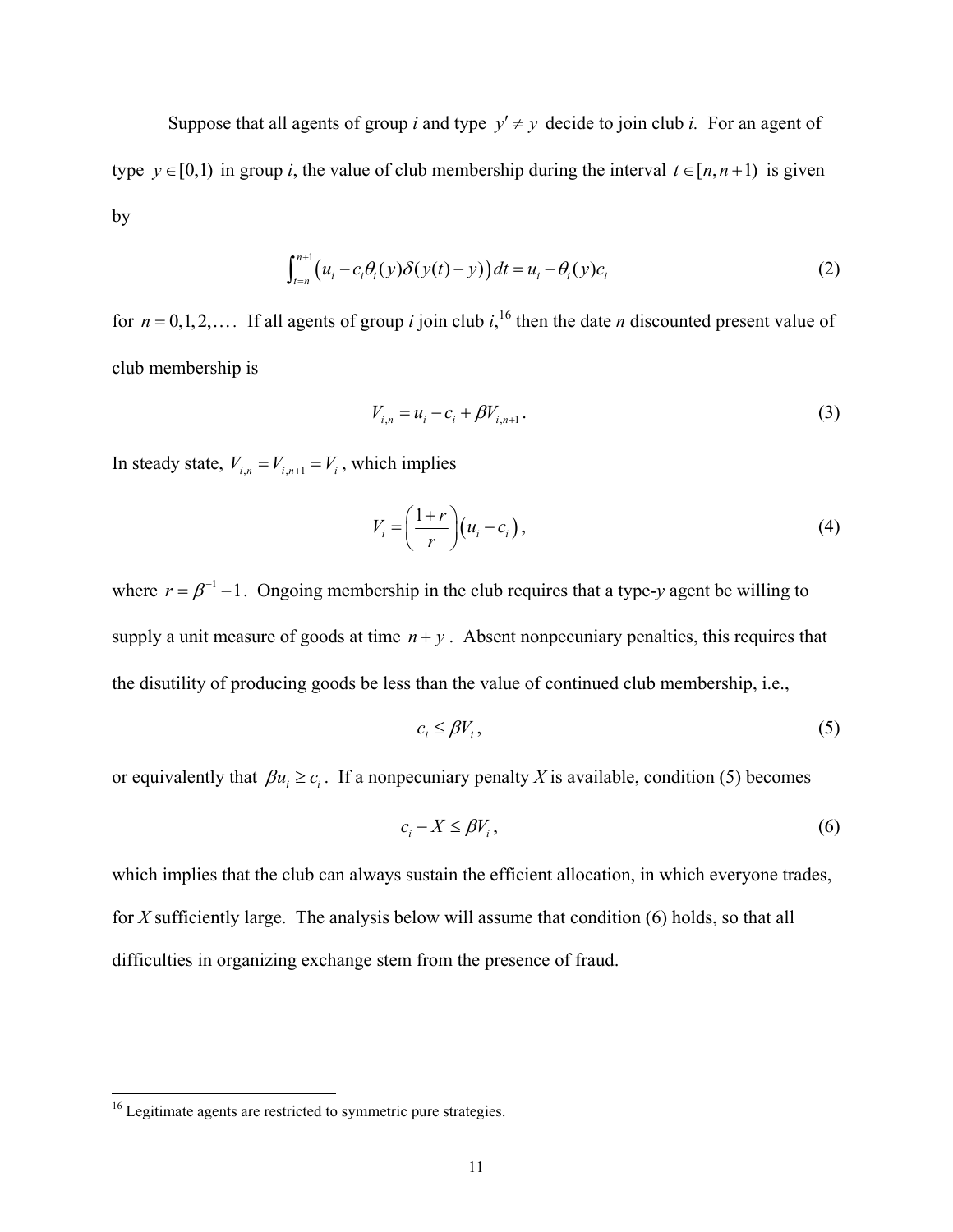Suppose that all agents of group *i* and type  $y' \neq y$  decide to join club *i*. For an agent of type  $y \in [0,1)$  in group *i*, the value of club membership during the interval  $t \in [n, n+1)$  is given by

$$
\int_{t=n}^{n+1} \left( u_i - c_i \theta_i(y) \delta(y(t) - y) \right) dt = u_i - \theta_i(y) c_i \tag{2}
$$

for  $n = 0, 1, 2, \ldots$  If all agents of group *i* join club *i*, <sup>16</sup> then the date *n* discounted present value of club membership is

$$
V_{i,n} = u_i - c_i + \beta V_{i,n+1}.
$$
 (3)

In steady state,  $V_{i,n} = V_{i,n+1} = V_i$ , which implies

$$
V_i = \left(\frac{1+r}{r}\right) \left(u_i - c_i\right),\tag{4}
$$

where  $r = \beta^{-1} - 1$ . Ongoing membership in the club requires that a type-*y* agent be willing to supply a unit measure of goods at time  $n + y$ . Absent nonpecuniary penalties, this requires that the disutility of producing goods be less than the value of continued club membership, i.e.,

$$
c_i \leq \beta V_i, \tag{5}
$$

or equivalently that  $\beta u_i \ge c_i$ . If a nonpecuniary penalty *X* is available, condition (5) becomes

$$
c_i - X \le \beta V_i, \tag{6}
$$

which implies that the club can always sustain the efficient allocation, in which everyone trades, for *X* sufficiently large. The analysis below will assume that condition (6) holds, so that all difficulties in organizing exchange stem from the presence of fraud.

 $\overline{a}$ 

 $16$  Legitimate agents are restricted to symmetric pure strategies.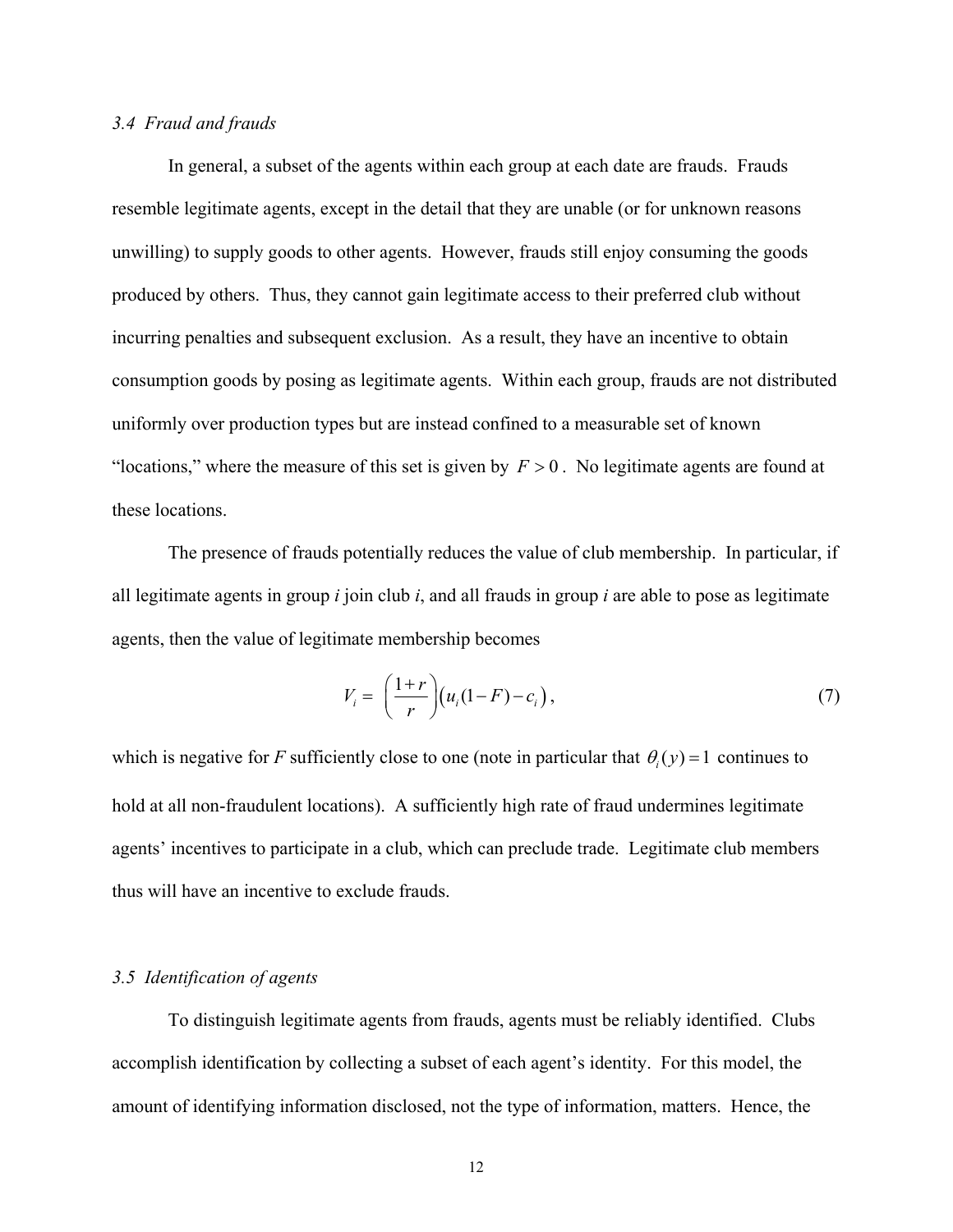#### *3.4 Fraud and frauds*

 In general, a subset of the agents within each group at each date are frauds. Frauds resemble legitimate agents, except in the detail that they are unable (or for unknown reasons unwilling) to supply goods to other agents. However, frauds still enjoy consuming the goods produced by others. Thus, they cannot gain legitimate access to their preferred club without incurring penalties and subsequent exclusion. As a result, they have an incentive to obtain consumption goods by posing as legitimate agents. Within each group, frauds are not distributed uniformly over production types but are instead confined to a measurable set of known "locations," where the measure of this set is given by  $F > 0$ . No legitimate agents are found at these locations.

The presence of frauds potentially reduces the value of club membership. In particular, if all legitimate agents in group *i* join club *i*, and all frauds in group *i* are able to pose as legitimate agents, then the value of legitimate membership becomes

$$
V_i = \left(\frac{1+r}{r}\right) \left(u_i(1-F) - c_i\right),\tag{7}
$$

which is negative for *F* sufficiently close to one (note in particular that  $\theta_i(y) = 1$  continues to hold at all non-fraudulent locations). A sufficiently high rate of fraud undermines legitimate agents' incentives to participate in a club, which can preclude trade. Legitimate club members thus will have an incentive to exclude frauds.

#### *3.5 Identification of agents*

To distinguish legitimate agents from frauds, agents must be reliably identified. Clubs accomplish identification by collecting a subset of each agent's identity. For this model, the amount of identifying information disclosed, not the type of information, matters. Hence, the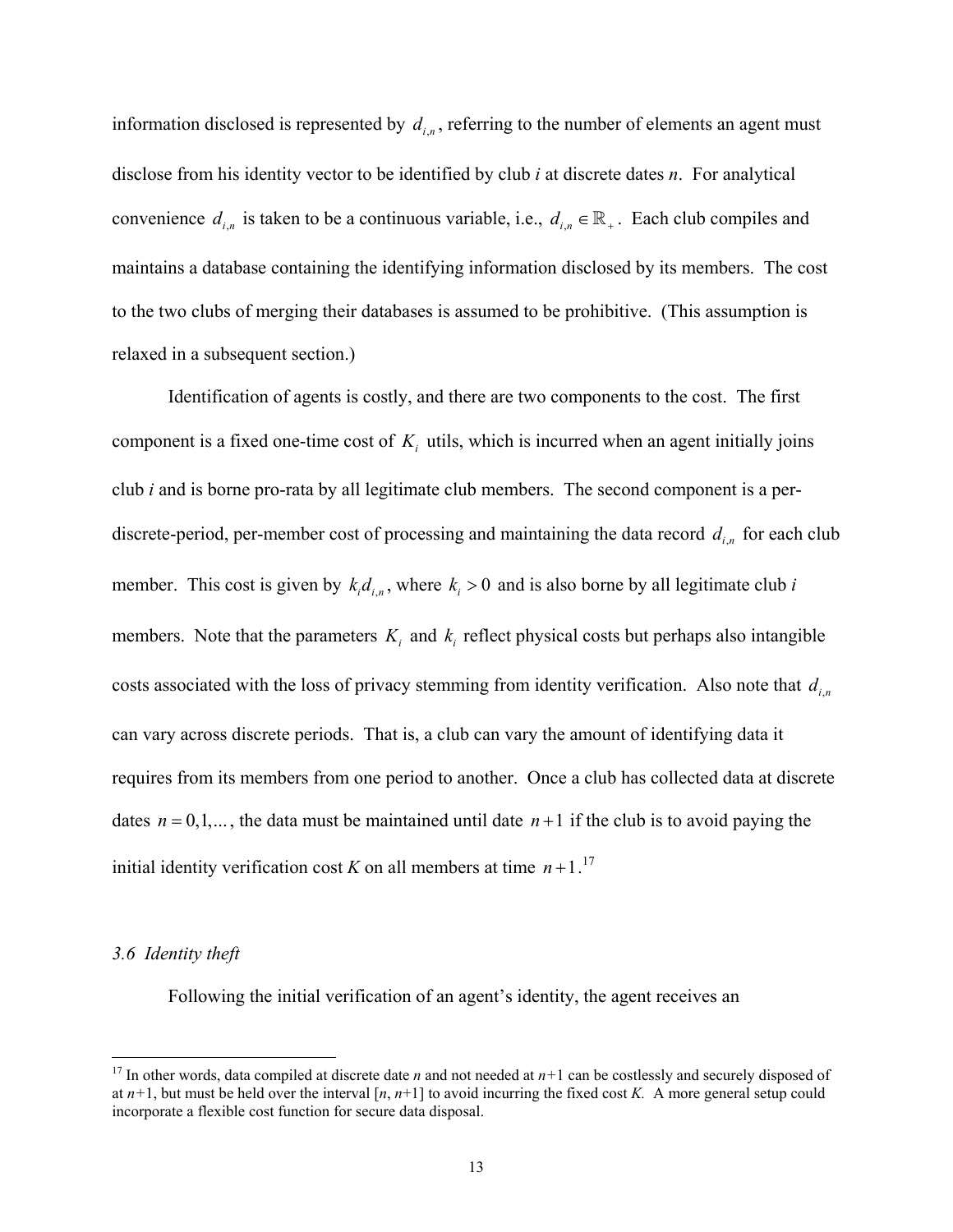information disclosed is represented by  $d_{i,n}$ , referring to the number of elements an agent must disclose from his identity vector to be identified by club *i* at discrete dates *n*. For analytical convenience  $d_{i,n}$  is taken to be a continuous variable, i.e.,  $d_{i,n} \in \mathbb{R}_+$ . Each club compiles and maintains a database containing the identifying information disclosed by its members. The cost to the two clubs of merging their databases is assumed to be prohibitive. (This assumption is relaxed in a subsequent section.)

 Identification of agents is costly, and there are two components to the cost. The first component is a fixed one-time cost of  $K_i$  utils, which is incurred when an agent initially joins club *i* and is borne pro-rata by all legitimate club members. The second component is a perdiscrete-period, per-member cost of processing and maintaining the data record  $d_{i,n}$  for each club member. This cost is given by  $k_i d_{i,n}$ , where  $k_i > 0$  and is also borne by all legitimate club *i* members. Note that the parameters  $K_i$  and  $k_j$  reflect physical costs but perhaps also intangible costs associated with the loss of privacy stemming from identity verification. Also note that  $d_{i,n}$ can vary across discrete periods. That is, a club can vary the amount of identifying data it requires from its members from one period to another. Once a club has collected data at discrete dates  $n = 0, 1, \dots$ , the data must be maintained until date  $n+1$  if the club is to avoid paying the initial identity verification cost *K* on all members at time  $n+1$ .<sup>17</sup>

#### *3.6 Identity theft*

1

Following the initial verification of an agent's identity, the agent receives an

<sup>&</sup>lt;sup>17</sup> In other words, data compiled at discrete date *n* and not needed at  $n+1$  can be costlessly and securely disposed of at  $n+1$ , but must be held over the interval  $[n, n+1]$  to avoid incurring the fixed cost *K*. A more general setup could incorporate a flexible cost function for secure data disposal.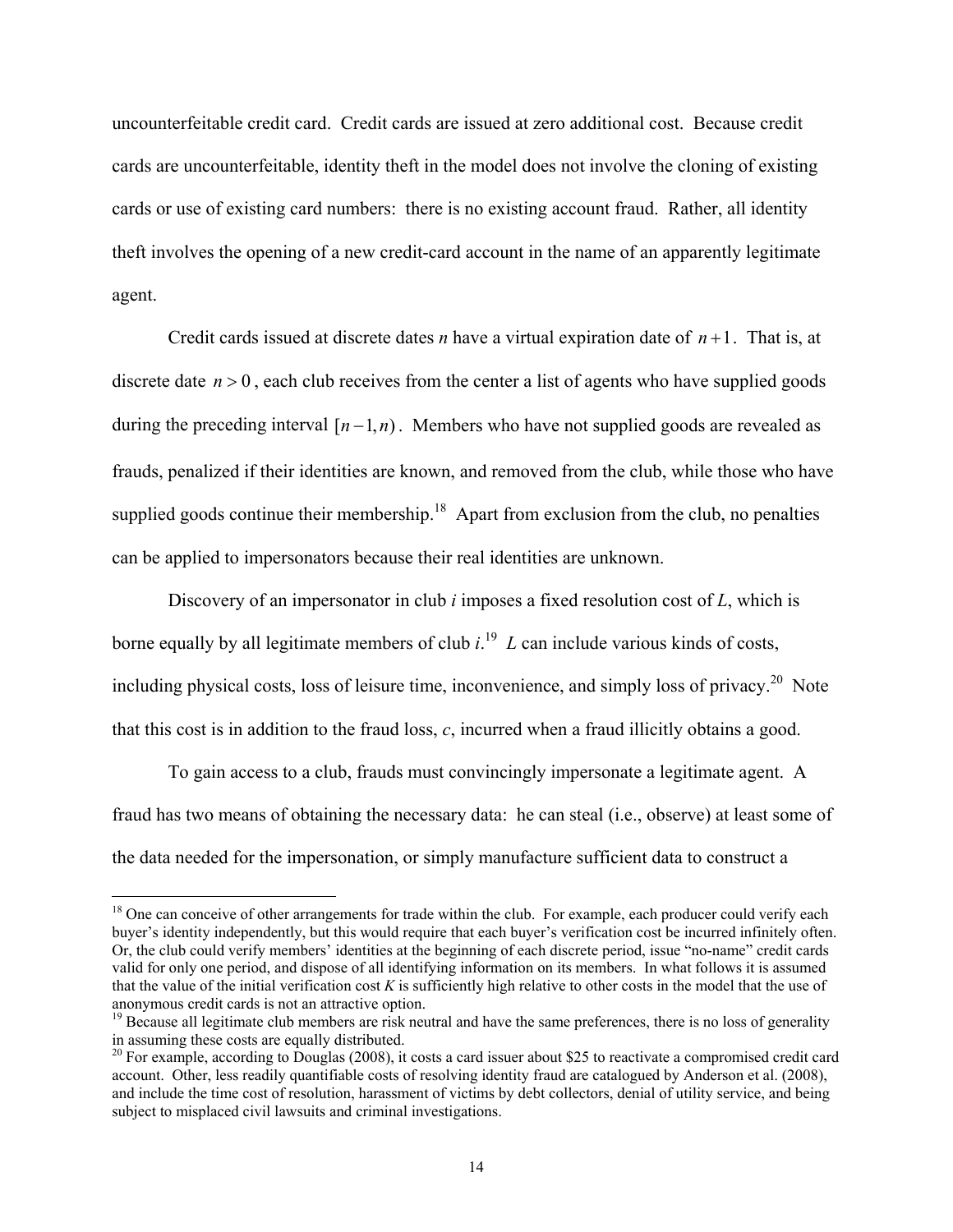uncounterfeitable credit card. Credit cards are issued at zero additional cost. Because credit cards are uncounterfeitable, identity theft in the model does not involve the cloning of existing cards or use of existing card numbers: there is no existing account fraud. Rather, all identity theft involves the opening of a new credit-card account in the name of an apparently legitimate agent.

Credit cards issued at discrete dates *n* have a virtual expiration date of  $n+1$ . That is, at discrete date  $n > 0$ , each club receives from the center a list of agents who have supplied goods during the preceding interval  $[n-1, n)$ . Members who have not supplied goods are revealed as frauds, penalized if their identities are known, and removed from the club, while those who have supplied goods continue their membership.<sup>18</sup> Apart from exclusion from the club, no penalties can be applied to impersonators because their real identities are unknown.

Discovery of an impersonator in club *i* imposes a fixed resolution cost of *L*, which is borne equally by all legitimate members of club  $i^{19}$  L can include various kinds of costs, including physical costs, loss of leisure time, inconvenience, and simply loss of privacy.<sup>20</sup> Note that this cost is in addition to the fraud loss, *c*, incurred when a fraud illicitly obtains a good.

To gain access to a club, frauds must convincingly impersonate a legitimate agent. A fraud has two means of obtaining the necessary data: he can steal (i.e., observe) at least some of the data needed for the impersonation, or simply manufacture sufficient data to construct a

 $\overline{a}$ 

<sup>&</sup>lt;sup>18</sup> One can conceive of other arrangements for trade within the club. For example, each producer could verify each buyer's identity independently, but this would require that each buyer's verification cost be incurred infinitely often. Or, the club could verify members' identities at the beginning of each discrete period, issue "no-name" credit cards valid for only one period, and dispose of all identifying information on its members. In what follows it is assumed that the value of the initial verification cost *K* is sufficiently high relative to other costs in the model that the use of anonymous credit cards is not an attractive option.

 $19$  Because all legitimate club members are risk neutral and have the same preferences, there is no loss of generality in assuming these costs are equally distributed.

 $20$  For example, according to Douglas (2008), it costs a card issuer about \$25 to reactivate a compromised credit card account. Other, less readily quantifiable costs of resolving identity fraud are catalogued by Anderson et al. (2008), and include the time cost of resolution, harassment of victims by debt collectors, denial of utility service, and being subject to misplaced civil lawsuits and criminal investigations.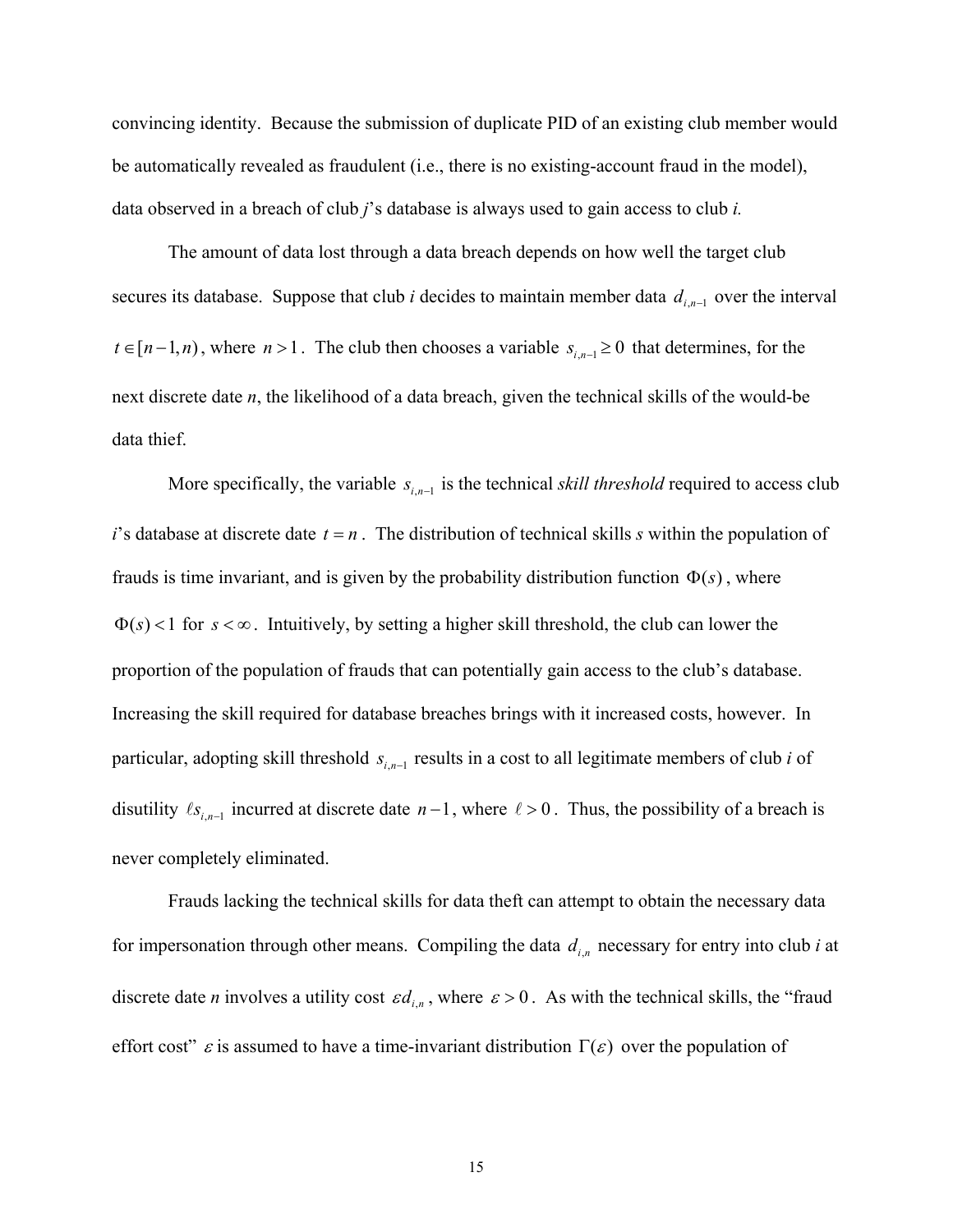convincing identity. Because the submission of duplicate PID of an existing club member would be automatically revealed as fraudulent (i.e., there is no existing-account fraud in the model), data observed in a breach of club *j*'s database is always used to gain access to club *i.*

The amount of data lost through a data breach depends on how well the target club secures its database. Suppose that club *i* decides to maintain member data  $d_{i,n-1}$  over the interval *t* ∈ [ $n-1, n$ ), where  $n > 1$ . The club then chooses a variable  $s_{i,n-1} \ge 0$  that determines, for the next discrete date *n*, the likelihood of a data breach, given the technical skills of the would-be data thief.

More specifically, the variable  $s_{i,n-1}$  is the technical *skill threshold* required to access club *i*'s database at discrete date  $t = n$ . The distribution of technical skills *s* within the population of frauds is time invariant, and is given by the probability distribution function  $\Phi(s)$ , where  $\Phi(s)$  < 1 for  $s < \infty$ . Intuitively, by setting a higher skill threshold, the club can lower the proportion of the population of frauds that can potentially gain access to the club's database. Increasing the skill required for database breaches brings with it increased costs, however. In particular, adopting skill threshold  $s_{i,n-1}$  results in a cost to all legitimate members of club *i* of disutility  $\ell_{s_{i,n-1}}$  incurred at discrete date  $n-1$ , where  $\ell > 0$ . Thus, the possibility of a breach is never completely eliminated.

Frauds lacking the technical skills for data theft can attempt to obtain the necessary data for impersonation through other means. Compiling the data  $d_{i,n}$  necessary for entry into club *i* at discrete date *n* involves a utility cost  $\epsilon d_{i,n}$ , where  $\epsilon > 0$ . As with the technical skills, the "fraud effort cost"  $\varepsilon$  is assumed to have a time-invariant distribution  $\Gamma(\varepsilon)$  over the population of

15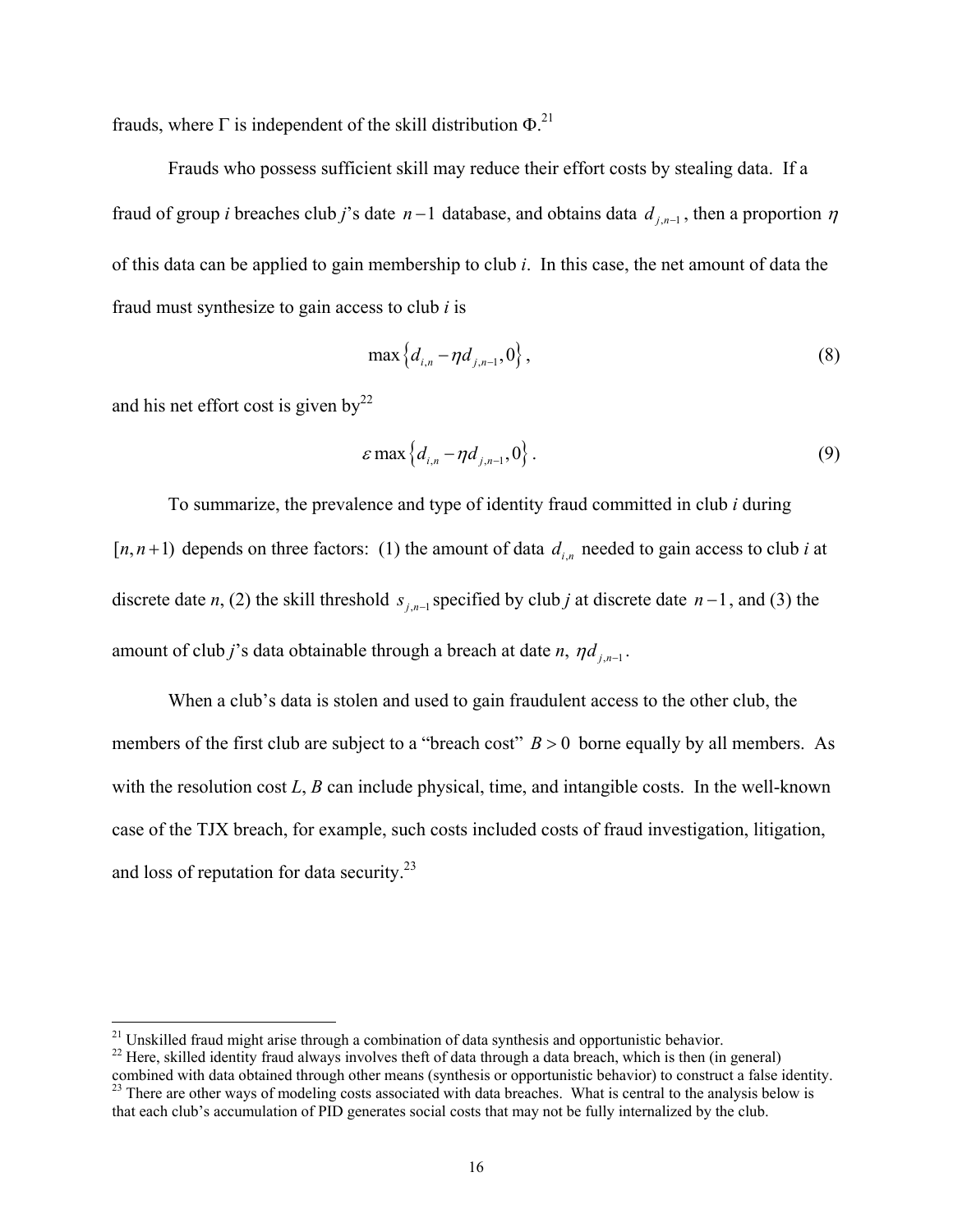frauds, where  $\Gamma$  is independent of the skill distribution  $\Phi$ .<sup>21</sup>

Frauds who possess sufficient skill may reduce their effort costs by stealing data. If a fraud of group *i* breaches club *j*'s date  $n-1$  database, and obtains data  $d_{j,n-1}$ , then a proportion  $n$ of this data can be applied to gain membership to club *i*. In this case, the net amount of data the fraud must synthesize to gain access to club *i* is

$$
\max\{d_{i,n} - \eta d_{j,n-1}, 0\},\tag{8}
$$

and his net effort cost is given by $^{22}$ 

 $\overline{a}$ 

$$
\varepsilon \max \left\{ d_{i,n} - \eta d_{j,n-1}, 0 \right\} . \tag{9}
$$

To summarize, the prevalence and type of identity fraud committed in club *i* during  $[n, n+1]$  depends on three factors: (1) the amount of data  $d_{i,n}$  needed to gain access to club *i* at discrete date *n*, (2) the skill threshold  $s_{j,n-1}$  specified by club *j* at discrete date  $n-1$ , and (3) the amount of club *j*'s data obtainable through a breach at date *n*,  $\eta d_{j,n-1}$ .

 When a club's data is stolen and used to gain fraudulent access to the other club, the members of the first club are subject to a "breach cost"  $B > 0$  borne equally by all members. As with the resolution cost *L*, *B* can include physical, time, and intangible costs. In the well-known case of the TJX breach, for example, such costs included costs of fraud investigation, litigation, and loss of reputation for data security.23

<sup>&</sup>lt;sup>21</sup> Unskilled fraud might arise through a combination of data synthesis and opportunistic behavior.<br><sup>22</sup> Here, skilled identity fraud always involves theft of data through a data breach, which is then (in general)

combined with data obtained through other means (synthesis or opportunistic behavior) to construct a false identity.<br><sup>23</sup> There are other ways of modeling costs associated with data breaches. What is central to the analysi that each club's accumulation of PID generates social costs that may not be fully internalized by the club.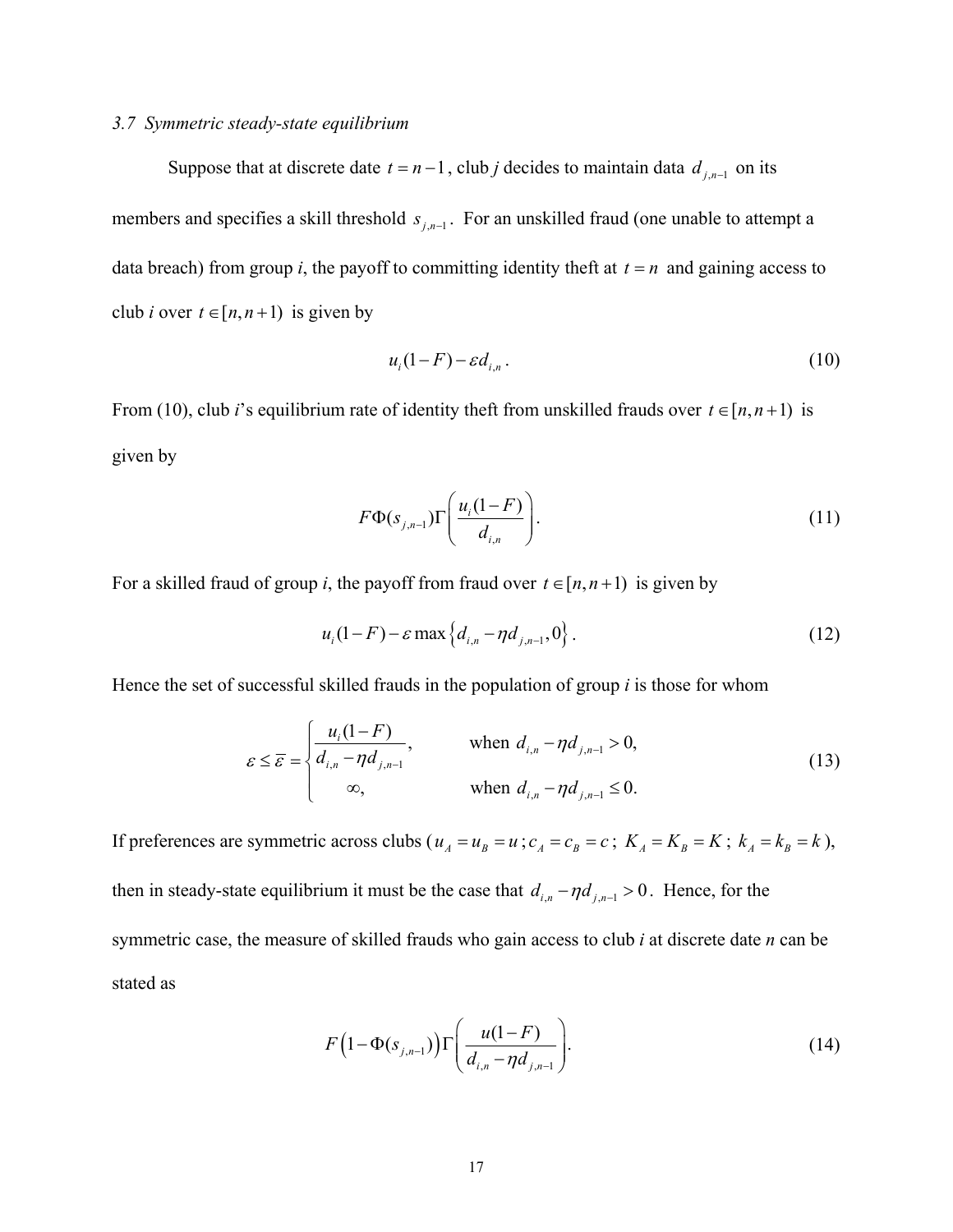#### *3.7 Symmetric steady-state equilibrium*

Suppose that at discrete date  $t = n-1$ , club *j* decides to maintain data  $d_{i,n-1}$  on its members and specifies a skill threshold  $s_{j,n-1}$ . For an unskilled fraud (one unable to attempt a data breach) from group *i*, the payoff to committing identity theft at  $t = n$  and gaining access to club *i* over  $t \in [n, n+1)$  is given by

$$
u_i(1-F) - \varepsilon d_{i,n} \tag{10}
$$

From (10), club *i*'s equilibrium rate of identity theft from unskilled frauds over  $t \in [n, n+1)$  is given by

$$
F\Phi(s_{j,n-1})\Gamma\left(\frac{u_i(1-F)}{d_{i,n}}\right).
$$
\n(11)

For a skilled fraud of group *i*, the payoff from fraud over  $t \in [n, n+1)$  is given by

$$
u_i(1-F) - \varepsilon \max \left\{ d_{i,n} - \eta d_{j,n-1}, 0 \right\}.
$$
 (12)

Hence the set of successful skilled frauds in the population of group *i* is those for whom

$$
\varepsilon \leq \overline{\varepsilon} = \begin{cases} \frac{u_i(1-F)}{d_{i,n} - \eta d_{j,n-1}}, & \text{when } d_{i,n} - \eta d_{j,n-1} > 0, \\ \infty, & \text{when } d_{i,n} - \eta d_{j,n-1} \leq 0. \end{cases} \tag{13}
$$

If preferences are symmetric across clubs ( $u_A = u_B = u$ ;  $c_A = c_B = c$ ;  $K_A = K_B = K$ ;  $k_A = k_B = k$ ), then in steady-state equilibrium it must be the case that  $d_{i,n} - \eta d_{i,n-1} > 0$ . Hence, for the symmetric case, the measure of skilled frauds who gain access to club *i* at discrete date *n* can be stated as

$$
F(1 - \Phi(s_{j,n-1})) \Gamma\left(\frac{u(1-F)}{d_{i,n} - \eta d_{j,n-1}}\right).
$$
 (14)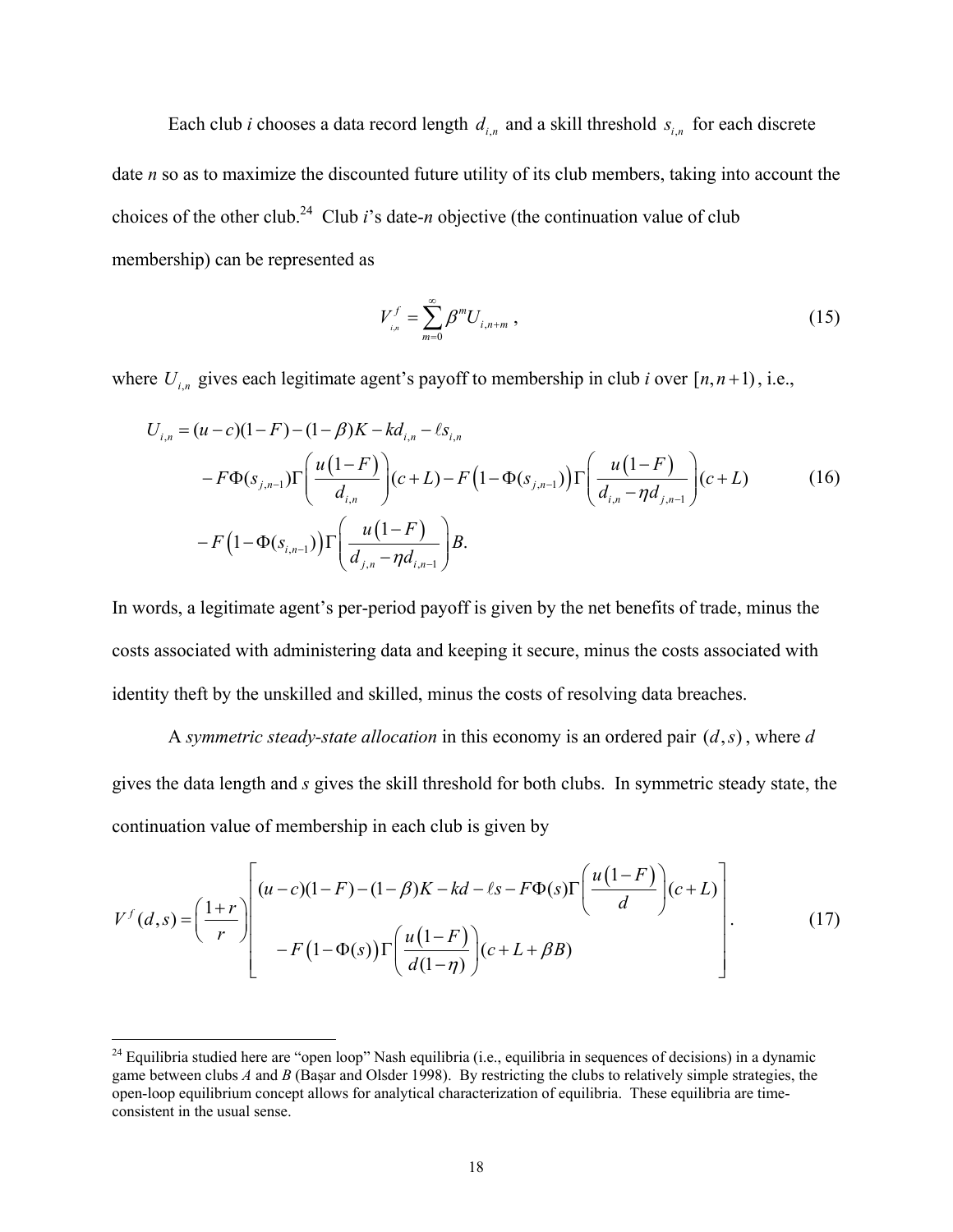Each club *i* chooses a data record length  $d_{i,n}$  and a skill threshold  $s_{i,n}$  for each discrete date *n* so as to maximize the discounted future utility of its club members, taking into account the choices of the other club.<sup>24</sup> Club *i*'s date-*n* objective (the continuation value of club membership) can be represented as

$$
V_{i,n}^f = \sum_{m=0}^{\infty} \beta^m U_{i,n+m} \,, \tag{15}
$$

where  $U_{i,n}$  gives each legitimate agent's payoff to membership in club *i* over  $[n, n+1)$ , i.e.,

$$
U_{i,n} = (u-c)(1-F) - (1-\beta)K - kd_{i,n} - \ell s_{i,n}
$$
  
\n
$$
-F\Phi(s_{j,n-1})\Gamma\left(\frac{u(1-F)}{d_{i,n}}\right)(c+L) - F\left(1-\Phi(s_{j,n-1})\right)\Gamma\left(\frac{u(1-F)}{d_{i,n}-\eta d_{j,n-1}}\right)(c+L)
$$
  
\n
$$
-F\left(1-\Phi(s_{i,n-1})\right)\Gamma\left(\frac{u(1-F)}{d_{j,n}-\eta d_{i,n-1}}\right)B.
$$
 (16)

In words, a legitimate agent's per-period payoff is given by the net benefits of trade, minus the costs associated with administering data and keeping it secure, minus the costs associated with identity theft by the unskilled and skilled, minus the costs of resolving data breaches.

A *symmetric steady-state allocation* in this economy is an ordered pair  $(d, s)$ , where *d* gives the data length and *s* gives the skill threshold for both clubs. In symmetric steady state, the continuation value of membership in each club is given by

$$
V^f(d,s) = \left(\frac{1+r}{r}\right) \left[\frac{(u-c)(1-F)-(1-\beta)K - kd - \ell s - F\Phi(s)\Gamma\left(\frac{u(1-F)}{d}\right)(c+L)}{-F(1-\Phi(s))\Gamma\left(\frac{u(1-F)}{d(1-\eta)}\right)(c+L+\beta B)}\right].
$$
\n(17)

 $\overline{a}$ 

 $^{24}$  Equilibria studied here are "open loop" Nash equilibria (i.e., equilibria in sequences of decisions) in a dynamic game between clubs *A* and *B* (Başar and Olsder 1998). By restricting the clubs to relatively simple strategies, the open-loop equilibrium concept allows for analytical characterization of equilibria. These equilibria are timeconsistent in the usual sense.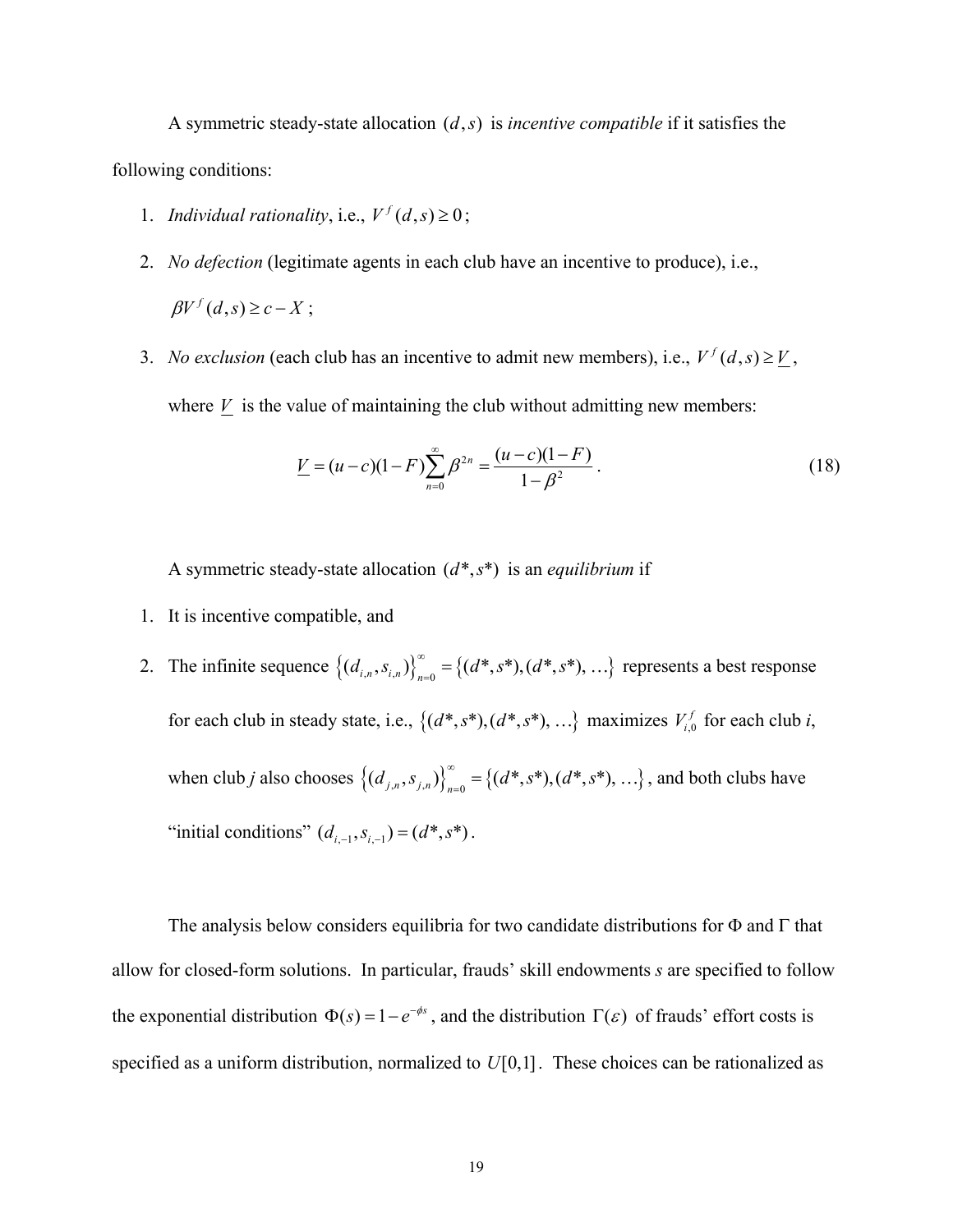A symmetric steady-state allocation  $(d, s)$  is *incentive compatible* if it satisfies the following conditions:

- 1. *Individual rationality*, i.e.,  $V^f(d,s) \ge 0$ ;
- 2. *No defection* (legitimate agents in each club have an incentive to produce), i.e.,  $\beta V^f(d,s) \geq c - X$ ;
- 3. *No exclusion* (each club has an incentive to admit new members), i.e.,  $V^f(d,s) \geq V$ , where  $V$  is the value of maintaining the club without admitting new members:

$$
\underline{V} = (u - c)(1 - F)\sum_{n=0}^{\infty} \beta^{2n} = \frac{(u - c)(1 - F)}{1 - \beta^2}.
$$
\n(18)

A symmetric steady-state allocation  $(d^*, s^*)$  is an *equilibrium* if

- 1. It is incentive compatible, and
- 2. The infinite sequence  $\{(d_{i,n}, s_{i,n})\}_{n=0}^{\infty} = \{(d^*, s^*), (d^*, s^*), ...\}$  represents a best response for each club in steady state, i.e.,  $\{(d^*, s^*), (d^*, s^*)$ , ...} maximizes  $V_{i,0}^f$  for each club *i*, when club *j* also chooses  $\{(d_{j,n}, s_{j,n})\}_{n=0}^{\infty} = \{(d^*, s^*), (d^*, s^*)$ , ...}, and both clubs have "initial conditions"  $(d_{i-1}, s_{i-1}) = (d^*, s^*)$ .

The analysis below considers equilibria for two candidate distributions for  $\Phi$  and  $\Gamma$  that allow for closed-form solutions. In particular, frauds' skill endowments *s* are specified to follow the exponential distribution  $\Phi(s) = 1 - e^{-\phi s}$ , and the distribution  $\Gamma(\varepsilon)$  of frauds' effort costs is specified as a uniform distribution, normalized to  $U[0,1]$ . These choices can be rationalized as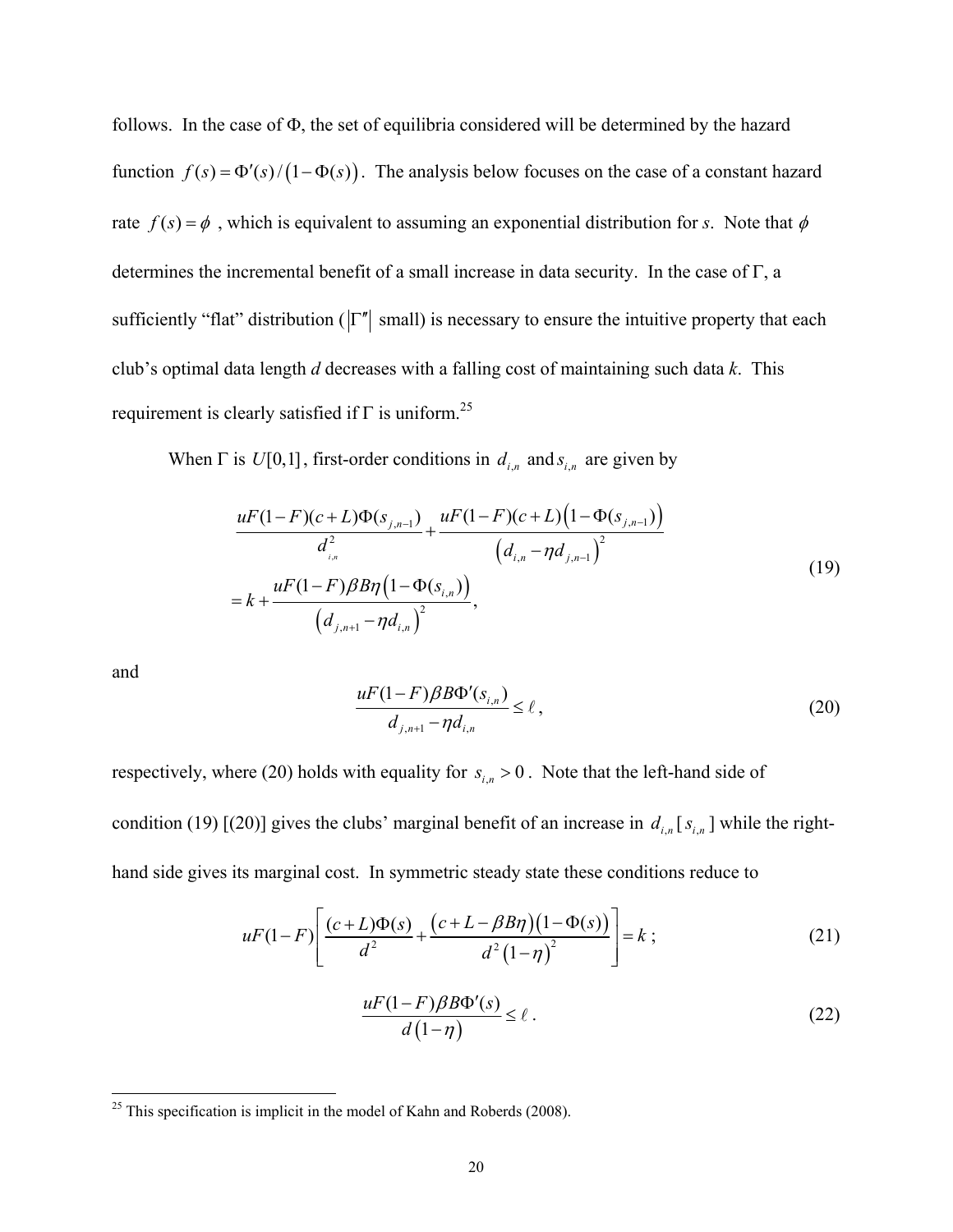follows. In the case of Φ, the set of equilibria considered will be determined by the hazard function  $f(s) = \Phi'(s)/(1 - \Phi(s))$ . The analysis below focuses on the case of a constant hazard rate  $f(s) = \phi$ , which is equivalent to assuming an exponential distribution for *s*. Note that  $\phi$ determines the incremental benefit of a small increase in data security. In the case of Γ, a sufficiently "flat" distribution ( $|\Gamma''|$  small) is necessary to ensure the intuitive property that each club's optimal data length *d* decreases with a falling cost of maintaining such data *k*. This requirement is clearly satisfied if  $\Gamma$  is uniform.<sup>25</sup>

When  $\Gamma$  is  $U[0,1]$ , first-order conditions in  $d_{i,n}$  and  $s_{i,n}$  are given by

$$
\frac{uF(1-F)(c+L)\Phi(s_{j,n-1})}{d_{i,n}^2} + \frac{uF(1-F)(c+L)\left(1-\Phi(s_{j,n-1})\right)}{\left(d_{i,n}-\eta d_{j,n-1}\right)^2}
$$
\n
$$
= k + \frac{uF(1-F)\beta B\eta\left(1-\Phi(s_{i,n})\right)}{\left(d_{j,n+1}-\eta d_{i,n}\right)^2},\tag{19}
$$

and

<u>.</u>

$$
\frac{uF(1-F)\beta B\Phi'(s_{i,n})}{d_{j,n+1}-\eta d_{i,n}} \le \ell\,,\tag{20}
$$

respectively, where (20) holds with equality for  $s_{i,n} > 0$ . Note that the left-hand side of condition (19) [(20)] gives the clubs' marginal benefit of an increase in  $d_{i,n}$  [ $s_{i,n}$ ] while the righthand side gives its marginal cost. In symmetric steady state these conditions reduce to

$$
uF(1-F)\left[\frac{(c+L)\Phi(s)}{d^2} + \frac{(c+L-\beta B\eta)(1-\Phi(s))}{d^2(1-\eta)^2}\right] = k \tag{21}
$$

$$
\frac{uF(1-F)\beta B\Phi'(s)}{d(1-\eta)} \le \ell.
$$
\n(22)

 $^{25}$  This specification is implicit in the model of Kahn and Roberds (2008).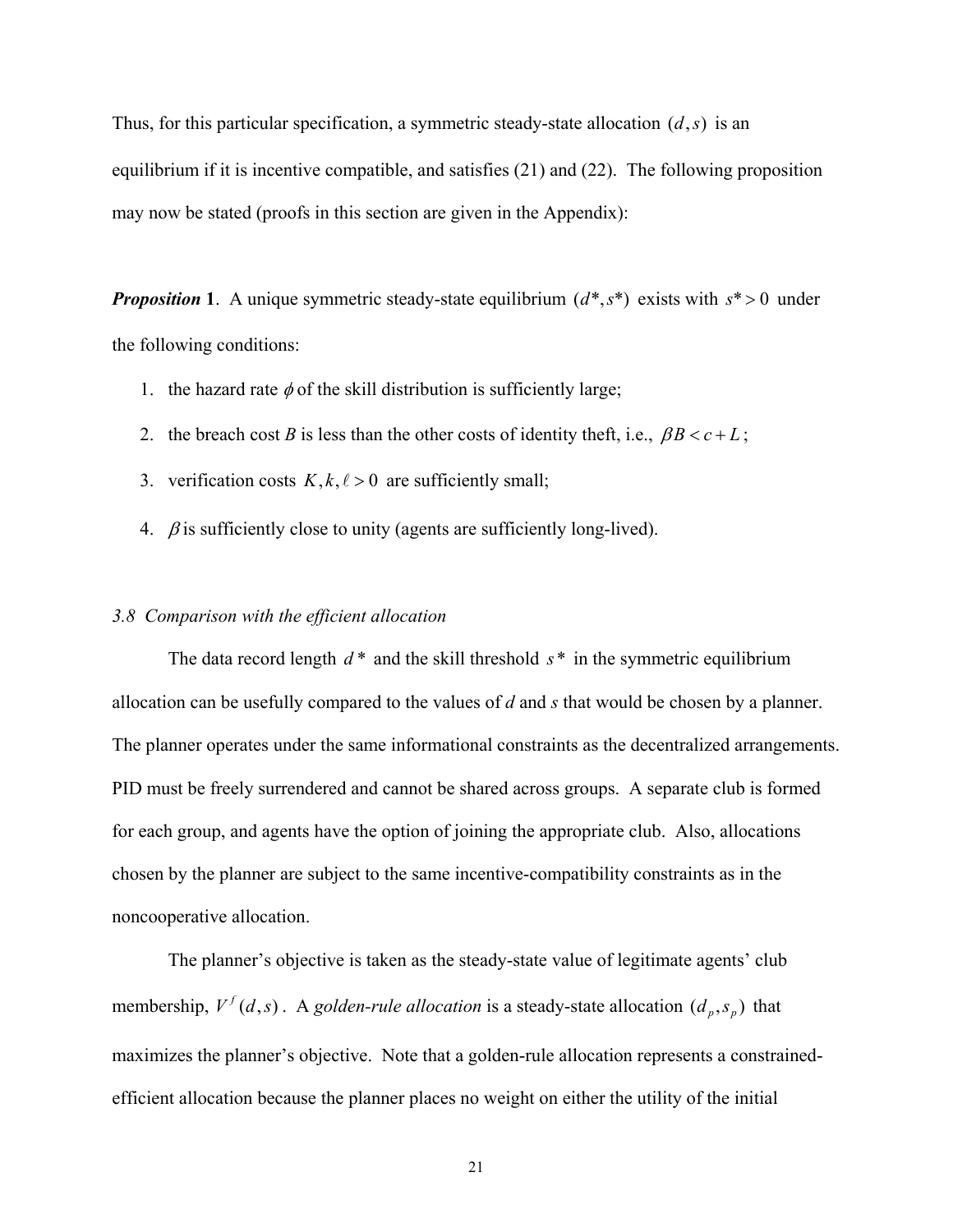Thus, for this particular specification, a symmetric steady-state allocation  $(d, s)$  is an equilibrium if it is incentive compatible, and satisfies (21) and (22). The following proposition may now be stated (proofs in this section are given in the Appendix):

*Proposition* **1**. A unique symmetric steady-state equilibrium  $(d^*, s^*)$  exists with  $s^* > 0$  under the following conditions:

- 1. the hazard rate  $\phi$  of the skill distribution is sufficiently large;
- 2. the breach cost *B* is less than the other costs of identity theft, i.e.,  $\beta B < c + L$ ;
- 3. verification costs  $K, k, \ell > 0$  are sufficiently small;
- 4.  $\beta$  is sufficiently close to unity (agents are sufficiently long-lived).

#### *3.8 Comparison with the efficient allocation*

 The data record length *d* \* and the skill threshold *s* \* in the symmetric equilibrium allocation can be usefully compared to the values of *d* and *s* that would be chosen by a planner. The planner operates under the same informational constraints as the decentralized arrangements. PID must be freely surrendered and cannot be shared across groups. A separate club is formed for each group, and agents have the option of joining the appropriate club. Also, allocations chosen by the planner are subject to the same incentive-compatibility constraints as in the noncooperative allocation.

The planner's objective is taken as the steady-state value of legitimate agents' club membership,  $V^f(d,s)$ . A *golden-rule allocation* is a steady-state allocation  $(d_p, s_p)$  that maximizes the planner's objective. Note that a golden-rule allocation represents a constrainedefficient allocation because the planner places no weight on either the utility of the initial

21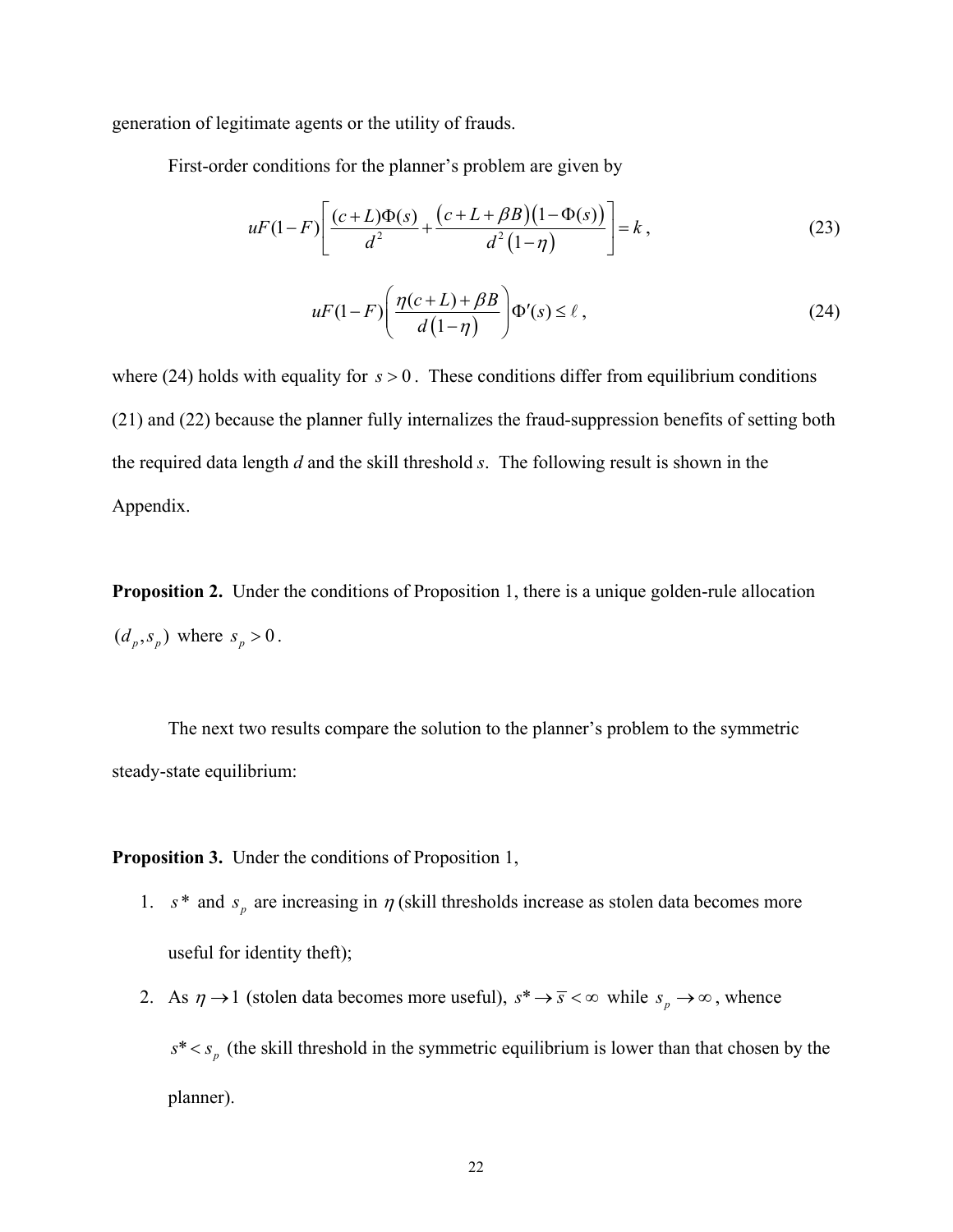generation of legitimate agents or the utility of frauds.

First-order conditions for the planner's problem are given by

$$
uF(1-F)\left[\frac{(c+L)\Phi(s)}{d^2} + \frac{(c+L+\beta B)(1-\Phi(s))}{d^2(1-\eta)}\right] = k,
$$
\n(23)

$$
uF(1-F)\left(\frac{\eta(c+L)+\beta B}{d(1-\eta)}\right)\Phi'(s) \le \ell\,,\tag{24}
$$

where (24) holds with equality for  $s > 0$ . These conditions differ from equilibrium conditions (21) and (22) because the planner fully internalizes the fraud-suppression benefits of setting both the required data length *d* and the skill threshold *s*. The following result is shown in the Appendix.

**Proposition 2.** Under the conditions of Proposition 1, there is a unique golden-rule allocation  $(d_n, s_n)$  where  $s_n > 0$ .

The next two results compare the solution to the planner's problem to the symmetric steady-state equilibrium:

**Proposition 3.** Under the conditions of Proposition 1,

- 1.  $s^*$  and  $s_p$  are increasing in  $\eta$  (skill thresholds increase as stolen data becomes more useful for identity theft);
- 2. As  $\eta \to 1$  (stolen data becomes more useful),  $s^* \to \overline{s} < \infty$  while  $s_p \to \infty$ , whence  $s^* < s_p$  (the skill threshold in the symmetric equilibrium is lower than that chosen by the planner).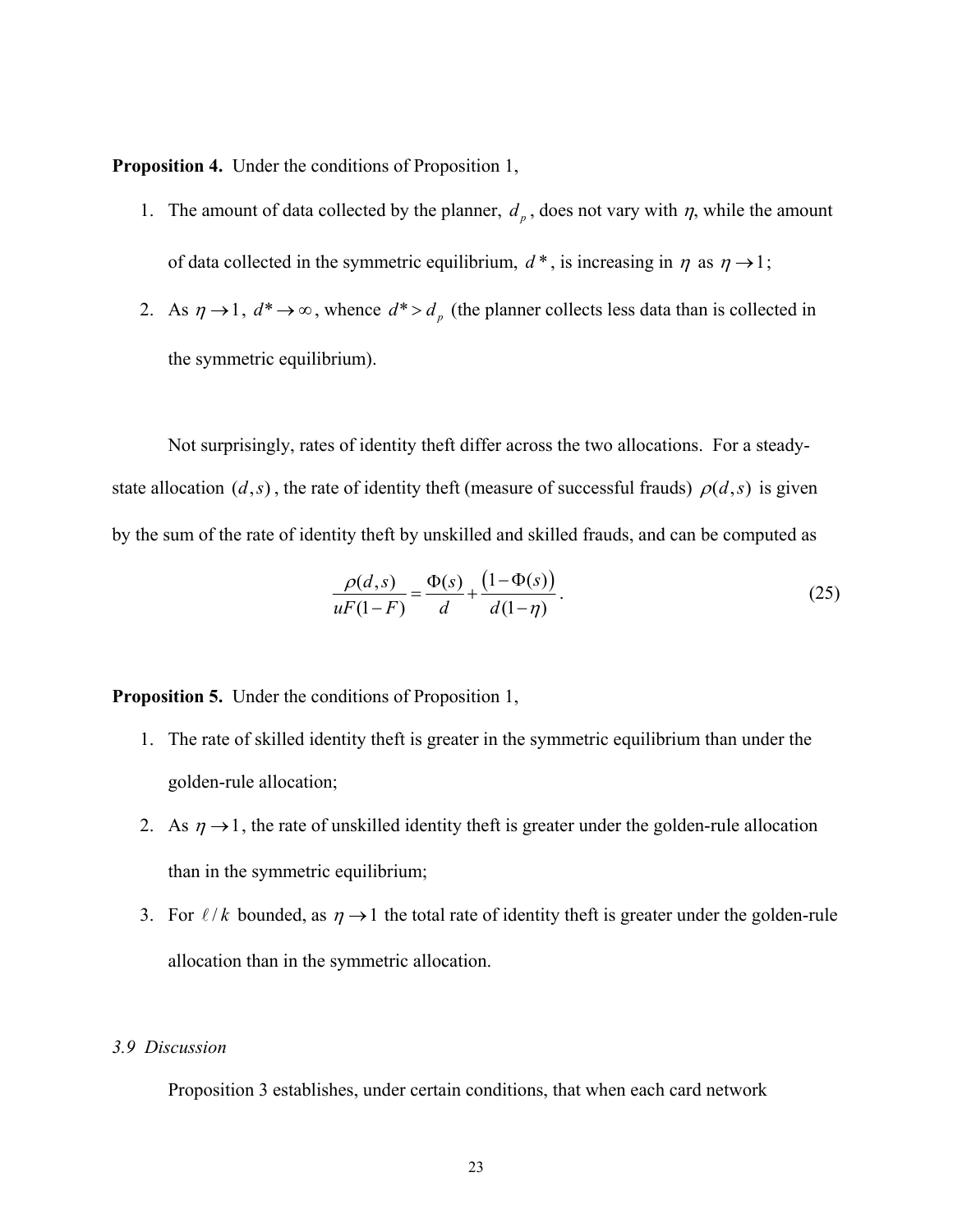**Proposition 4.** Under the conditions of Proposition 1,

- 1. The amount of data collected by the planner,  $d_p$ , does not vary with  $\eta$ , while the amount of data collected in the symmetric equilibrium,  $d^*$ , is increasing in  $\eta$  as  $\eta \rightarrow 1$ ;
- 2. As  $\eta \rightarrow 1$ ,  $d^* \rightarrow \infty$ , whence  $d^* > d_{\rho}$  (the planner collects less data than is collected in the symmetric equilibrium).

Not surprisingly, rates of identity theft differ across the two allocations. For a steadystate allocation  $(d,s)$ , the rate of identity theft (measure of successful frauds)  $\rho(d,s)$  is given by the sum of the rate of identity theft by unskilled and skilled frauds, and can be computed as

$$
\frac{\rho(d,s)}{uF(1-F)} = \frac{\Phi(s)}{d} + \frac{(1-\Phi(s))}{d(1-\eta)}.
$$
\n(25)

**Proposition 5.** Under the conditions of Proposition 1,

- 1. The rate of skilled identity theft is greater in the symmetric equilibrium than under the golden-rule allocation;
- 2. As  $\eta \rightarrow 1$ , the rate of unskilled identity theft is greater under the golden-rule allocation than in the symmetric equilibrium;
- 3. For  $\ell/k$  bounded, as  $\eta \rightarrow 1$  the total rate of identity theft is greater under the golden-rule allocation than in the symmetric allocation.

#### *3.9 Discussion*

Proposition 3 establishes, under certain conditions, that when each card network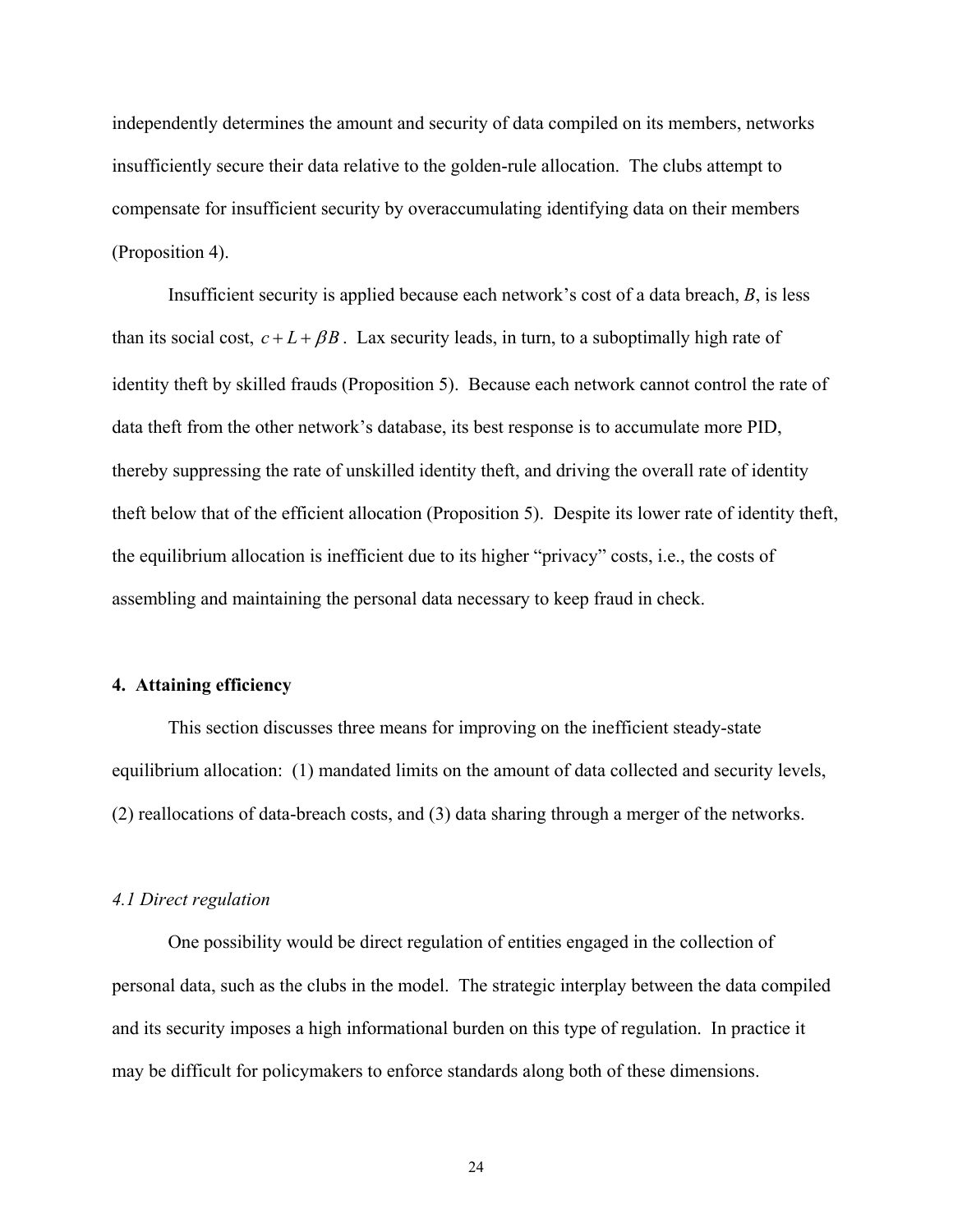independently determines the amount and security of data compiled on its members, networks insufficiently secure their data relative to the golden-rule allocation. The clubs attempt to compensate for insufficient security by overaccumulating identifying data on their members (Proposition 4).

Insufficient security is applied because each network's cost of a data breach, *B*, is less than its social cost,  $c + L + \beta B$ . Lax security leads, in turn, to a suboptimally high rate of identity theft by skilled frauds (Proposition 5). Because each network cannot control the rate of data theft from the other network's database, its best response is to accumulate more PID, thereby suppressing the rate of unskilled identity theft, and driving the overall rate of identity theft below that of the efficient allocation (Proposition 5). Despite its lower rate of identity theft, the equilibrium allocation is inefficient due to its higher "privacy" costs, i.e., the costs of assembling and maintaining the personal data necessary to keep fraud in check.

#### **4. Attaining efficiency**

 This section discusses three means for improving on the inefficient steady-state equilibrium allocation: (1) mandated limits on the amount of data collected and security levels, (2) reallocations of data-breach costs, and (3) data sharing through a merger of the networks.

#### *4.1 Direct regulation*

One possibility would be direct regulation of entities engaged in the collection of personal data, such as the clubs in the model. The strategic interplay between the data compiled and its security imposes a high informational burden on this type of regulation. In practice it may be difficult for policymakers to enforce standards along both of these dimensions.

24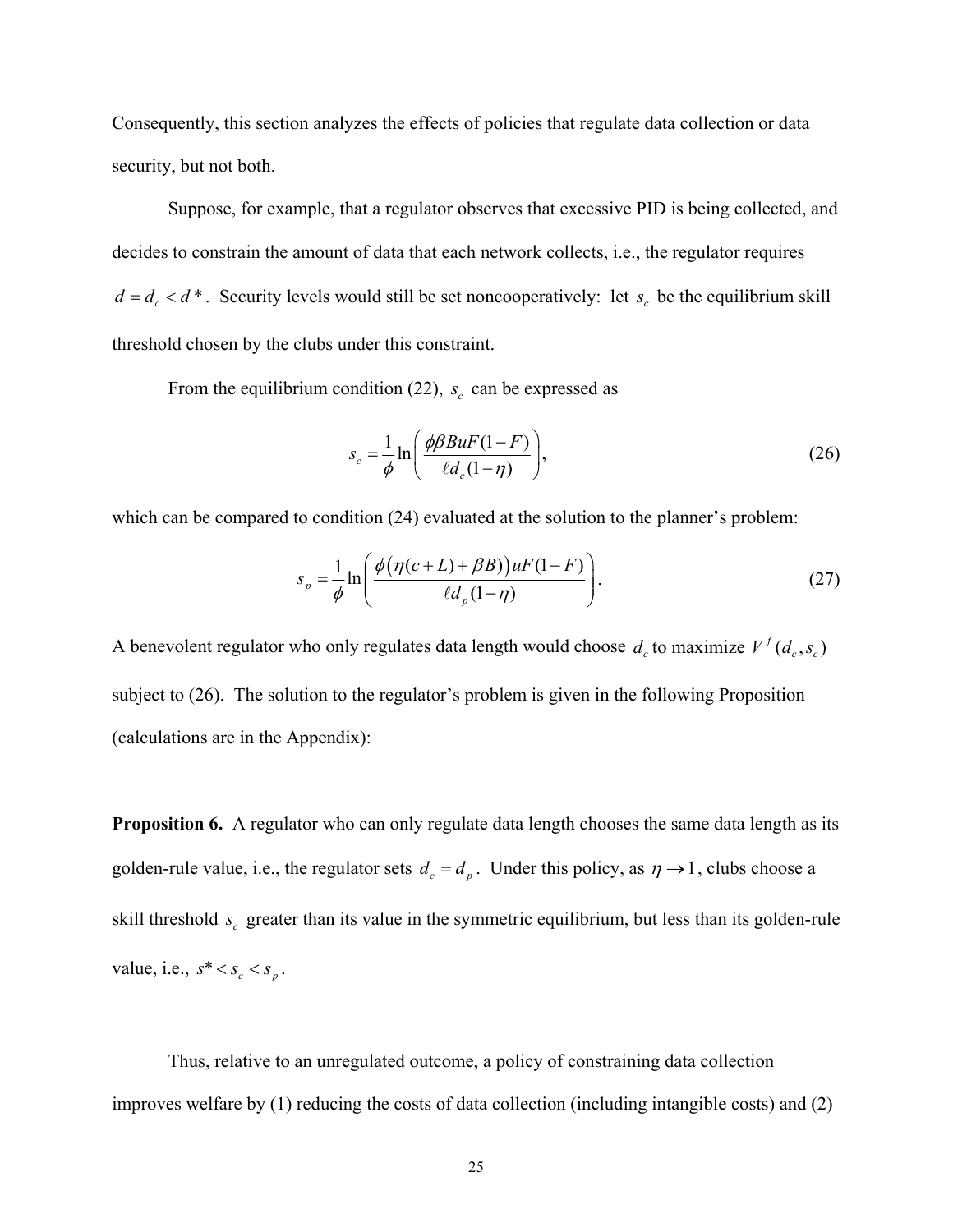Consequently, this section analyzes the effects of policies that regulate data collection or data security, but not both.

Suppose, for example, that a regulator observes that excessive PID is being collected, and decides to constrain the amount of data that each network collects, i.e., the regulator requires  $d = d_c < d^*$ . Security levels would still be set noncooperatively: let  $s_c$  be the equilibrium skill threshold chosen by the clubs under this constraint.

From the equilibrium condition (22),  $s_c$  can be expressed as

$$
s_c = \frac{1}{\phi} \ln \left( \frac{\phi \beta B u F (1 - F)}{\ell d_c (1 - \eta)} \right),\tag{26}
$$

which can be compared to condition  $(24)$  evaluated at the solution to the planner's problem:

$$
s_p = \frac{1}{\phi} \ln \left( \frac{\phi \left( \eta (c+L) + \beta B \right) \right) u F (1-F)}{\ell d_p (1-\eta)} \right). \tag{27}
$$

A benevolent regulator who only regulates data length would choose  $d_c$  to maximize  $V^f(d_c, s_c)$ subject to (26). The solution to the regulator's problem is given in the following Proposition (calculations are in the Appendix):

**Proposition 6.** A regulator who can only regulate data length chooses the same data length as its golden-rule value, i.e., the regulator sets  $d_c = d_p$ . Under this policy, as  $\eta \rightarrow 1$ , clubs choose a skill threshold  $s_c$  greater than its value in the symmetric equilibrium, but less than its golden-rule value, i.e.,  $s^* < s_c < s_n$ .

Thus, relative to an unregulated outcome, a policy of constraining data collection improves welfare by (1) reducing the costs of data collection (including intangible costs) and (2)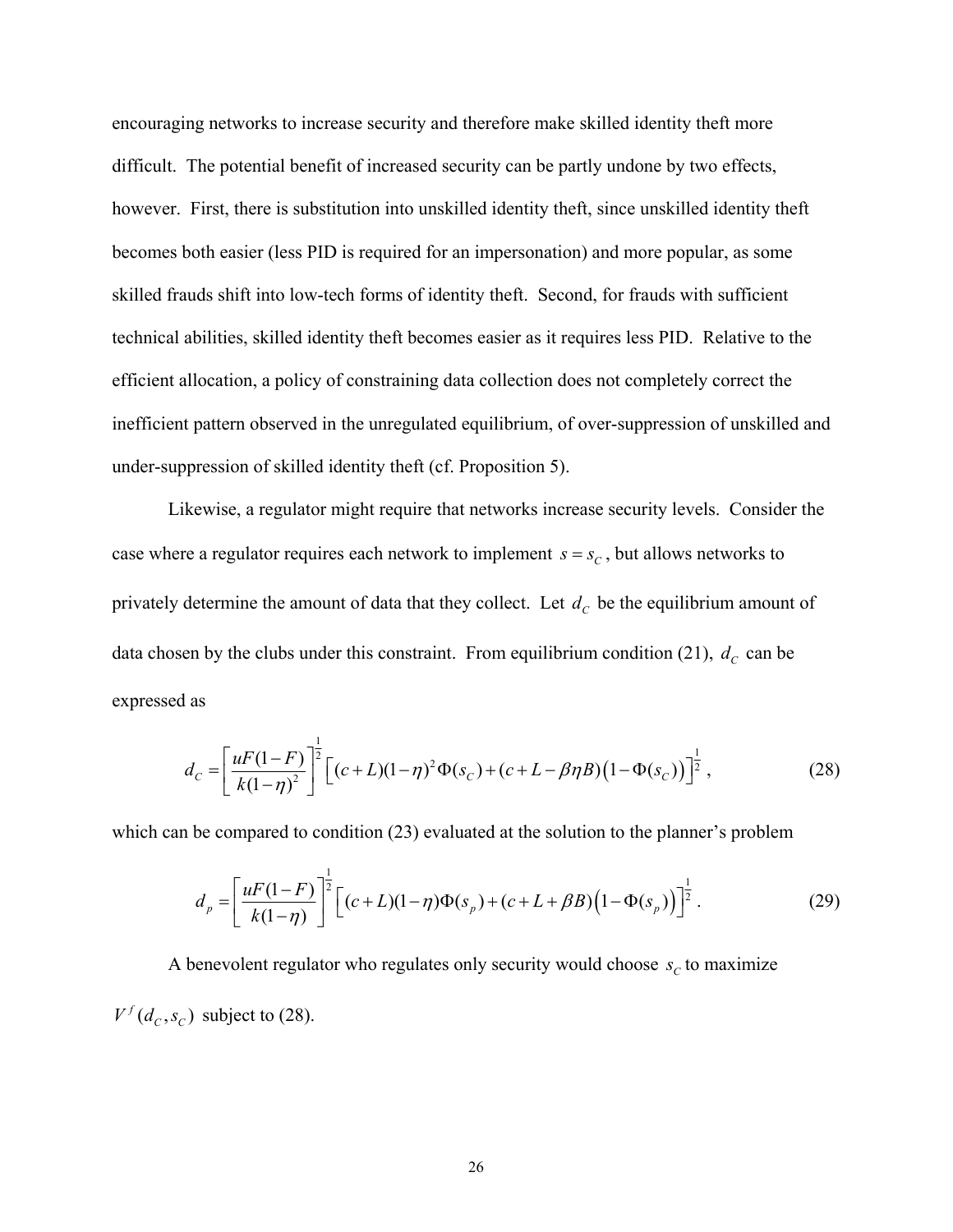encouraging networks to increase security and therefore make skilled identity theft more difficult. The potential benefit of increased security can be partly undone by two effects, however. First, there is substitution into unskilled identity theft, since unskilled identity theft becomes both easier (less PID is required for an impersonation) and more popular, as some skilled frauds shift into low-tech forms of identity theft. Second, for frauds with sufficient technical abilities, skilled identity theft becomes easier as it requires less PID. Relative to the efficient allocation, a policy of constraining data collection does not completely correct the inefficient pattern observed in the unregulated equilibrium, of over-suppression of unskilled and under-suppression of skilled identity theft (cf. Proposition 5).

Likewise, a regulator might require that networks increase security levels. Consider the case where a regulator requires each network to implement  $s = s_c$ , but allows networks to privately determine the amount of data that they collect. Let  $d_c$  be the equilibrium amount of data chosen by the clubs under this constraint. From equilibrium condition (21),  $d_c$  can be expressed as

$$
d_C = \left[ \frac{uF(1-F)}{k(1-\eta)^2} \right]^{\frac{1}{2}} \left[ (c+L)(1-\eta)^2 \Phi(s_C) + (c+L-\beta\eta B)(1-\Phi(s_C)) \right]^{\frac{1}{2}},
$$
\n(28)

which can be compared to condition (23) evaluated at the solution to the planner's problem

$$
d_p = \left[ \frac{uF(1-F)}{k(1-\eta)} \right]^{\frac{1}{2}} \left[ (c+L)(1-\eta)\Phi(s_p) + (c+L+\beta B)\left(1-\Phi(s_p)\right) \right]^{\frac{1}{2}}.
$$
 (29)

A benevolent regulator who regulates only security would choose  $s_c$  to maximize  $V^f(d_c, s_c)$  subject to (28).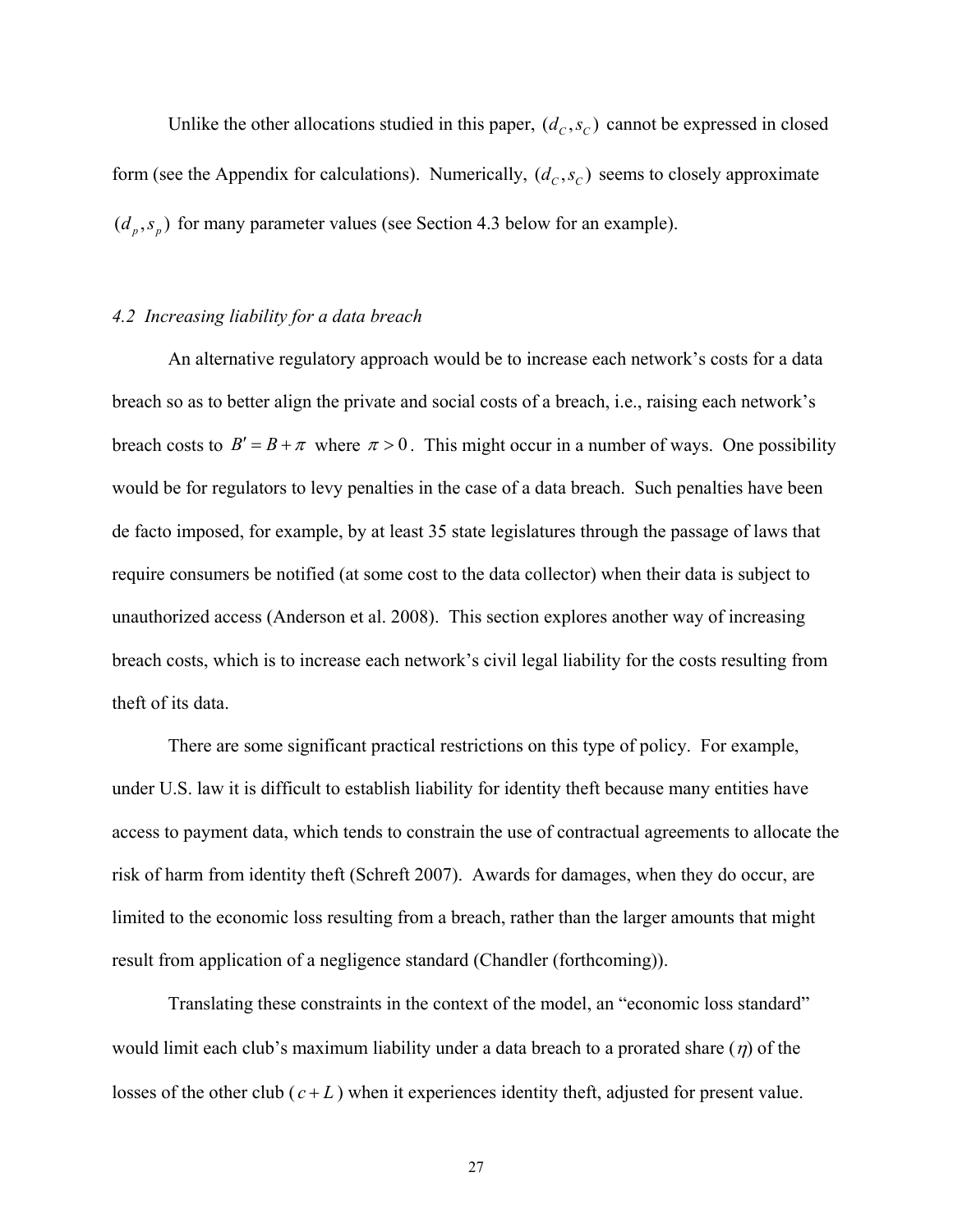Unlike the other allocations studied in this paper,  $(d_c, s_c)$  cannot be expressed in closed form (see the Appendix for calculations). Numerically,  $(d_c, s_c)$  seems to closely approximate  $(d_p, s_p)$  for many parameter values (see Section 4.3 below for an example).

#### *4.2 Increasing liability for a data breach*

 An alternative regulatory approach would be to increase each network's costs for a data breach so as to better align the private and social costs of a breach, i.e., raising each network's breach costs to  $B' = B + \pi$  where  $\pi > 0$ . This might occur in a number of ways. One possibility would be for regulators to levy penalties in the case of a data breach. Such penalties have been de facto imposed, for example, by at least 35 state legislatures through the passage of laws that require consumers be notified (at some cost to the data collector) when their data is subject to unauthorized access (Anderson et al. 2008). This section explores another way of increasing breach costs, which is to increase each network's civil legal liability for the costs resulting from theft of its data.

 There are some significant practical restrictions on this type of policy. For example, under U.S. law it is difficult to establish liability for identity theft because many entities have access to payment data, which tends to constrain the use of contractual agreements to allocate the risk of harm from identity theft (Schreft 2007). Awards for damages, when they do occur, are limited to the economic loss resulting from a breach, rather than the larger amounts that might result from application of a negligence standard (Chandler (forthcoming)).

 Translating these constraints in the context of the model, an "economic loss standard" would limit each club's maximum liability under a data breach to a prorated share  $(\eta)$  of the losses of the other club  $(c+L)$  when it experiences identity theft, adjusted for present value.

27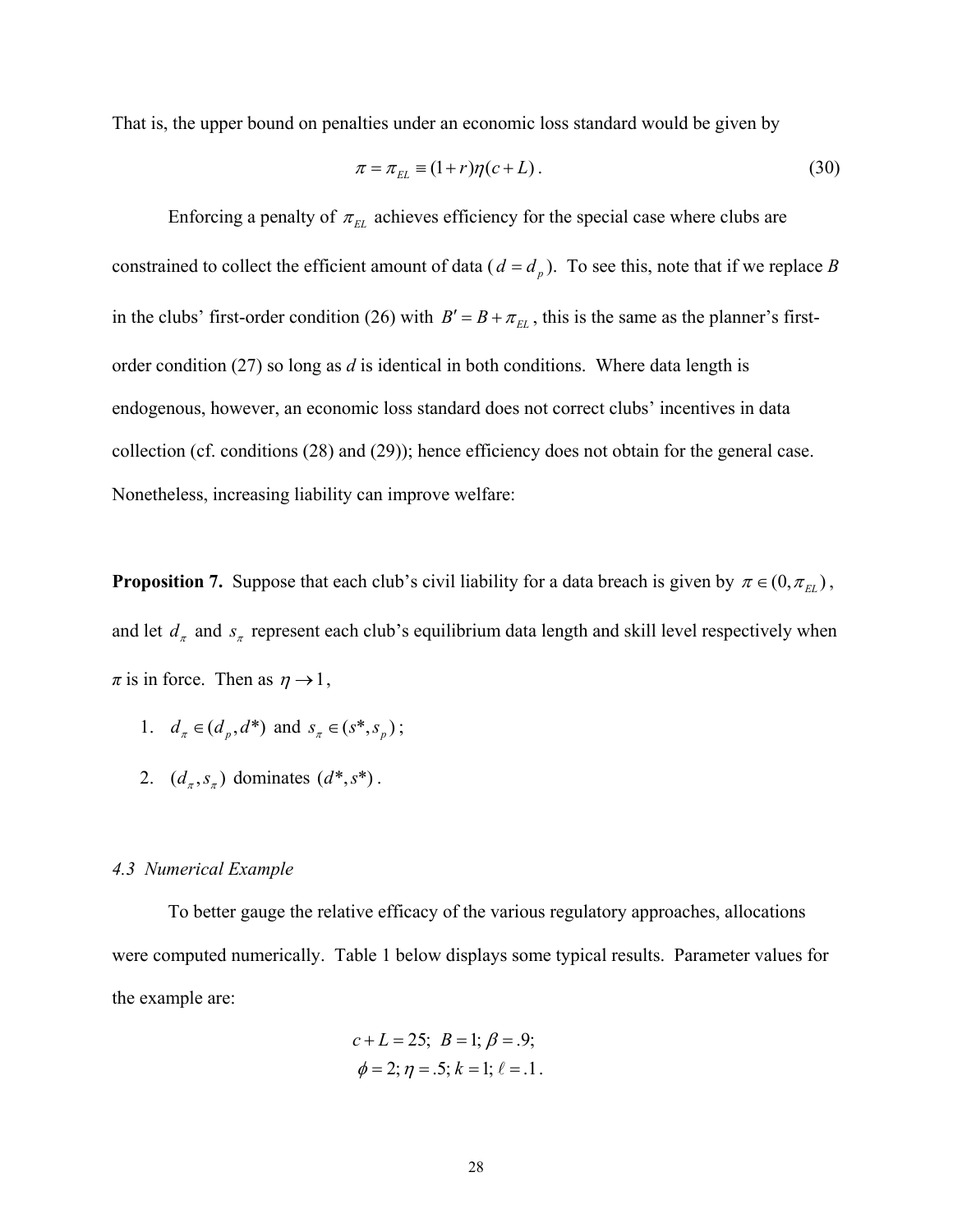That is, the upper bound on penalties under an economic loss standard would be given by

$$
\pi = \pi_{EL} \equiv (1+r)\eta(c+L). \tag{30}
$$

Enforcing a penalty of  $\pi_{EL}$  achieves efficiency for the special case where clubs are constrained to collect the efficient amount of data ( $d = d_p$ ). To see this, note that if we replace *B* in the clubs' first-order condition (26) with  $B' = B + \pi_{EL}$ , this is the same as the planner's firstorder condition (27) so long as *d* is identical in both conditions. Where data length is endogenous, however, an economic loss standard does not correct clubs' incentives in data collection (cf. conditions (28) and (29)); hence efficiency does not obtain for the general case. Nonetheless, increasing liability can improve welfare:

**Proposition 7.** Suppose that each club's civil liability for a data breach is given by  $\pi \in (0, \pi_{EL})$ , and let  $d_{\pi}$  and  $s_{\pi}$  represent each club's equilibrium data length and skill level respectively when  $\pi$  is in force. Then as  $\eta \rightarrow 1$ ,

- 1.  $d_{\pi} \in (d_p, d^*)$  and  $s_{\pi} \in (s^*, s_p)$ ;
- 2.  $(d_*, s_*)$  dominates  $(d^*, s^*)$ .

#### *4.3 Numerical Example*

To better gauge the relative efficacy of the various regulatory approaches, allocations were computed numerically. Table 1 below displays some typical results. Parameter values for the example are:

$$
c + L = 25
$$
;  $B = 1$ ;  $\beta = .9$ ;  
\n $\phi = 2$ ;  $\eta = .5$ ;  $k = 1$ ;  $\ell = .1$ .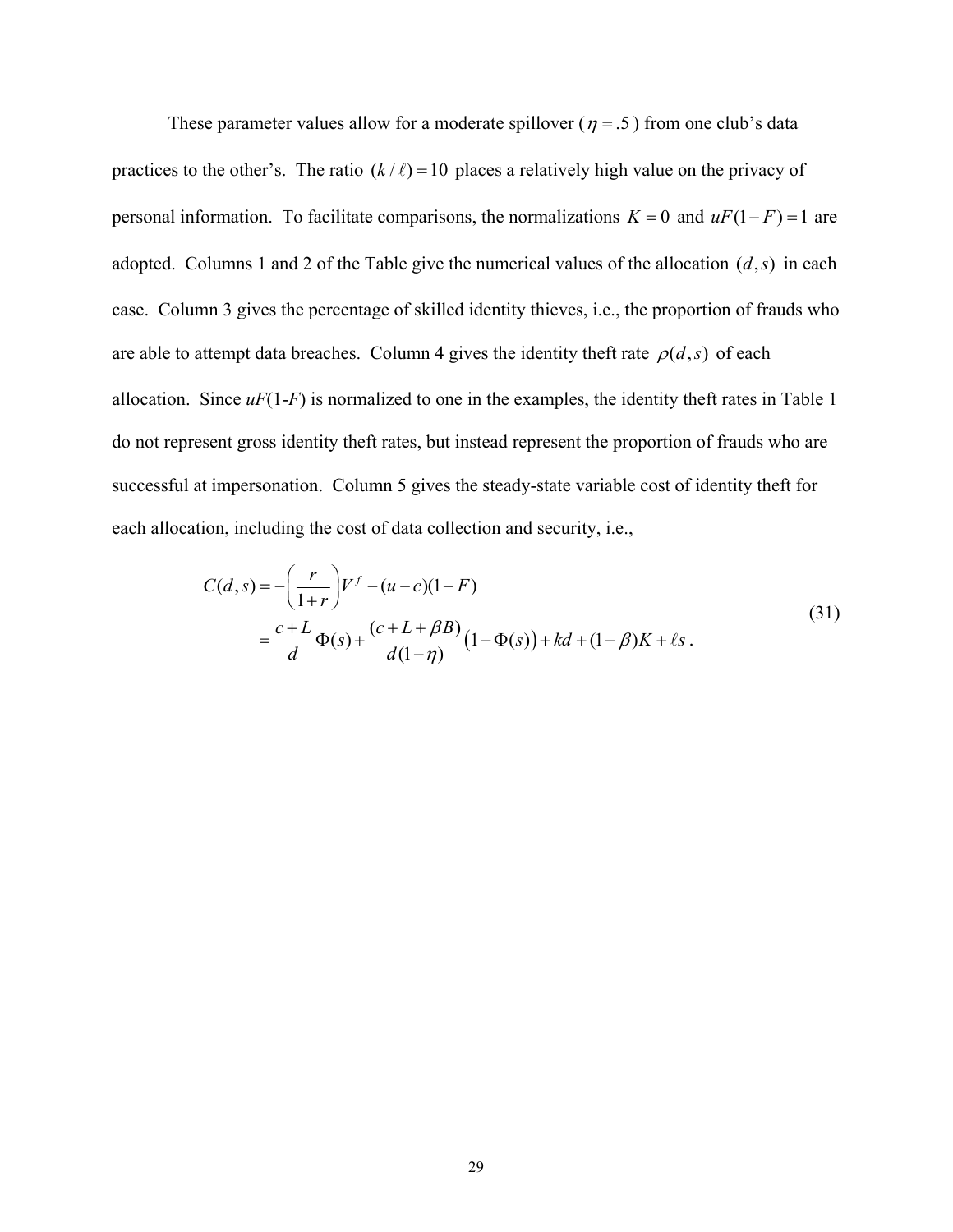These parameter values allow for a moderate spillover ( $\eta = .5$ ) from one club's data practices to the other's. The ratio  $(k / l) = 10$  places a relatively high value on the privacy of personal information. To facilitate comparisons, the normalizations  $K = 0$  and  $uF(1 - F) = 1$  are adopted. Columns 1 and 2 of the Table give the numerical values of the allocation  $(d, s)$  in each case. Column 3 gives the percentage of skilled identity thieves, i.e., the proportion of frauds who are able to attempt data breaches. Column 4 gives the identity theft rate  $\rho(d, s)$  of each allocation. Since  $uF(1-F)$  is normalized to one in the examples, the identity theft rates in Table 1 do not represent gross identity theft rates, but instead represent the proportion of frauds who are successful at impersonation. Column 5 gives the steady-state variable cost of identity theft for each allocation, including the cost of data collection and security, i.e.,

$$
C(d,s) = -\left(\frac{r}{1+r}\right)V^f - (u-c)(1-F)
$$
  
=  $\frac{c+L}{d}\Phi(s) + \frac{(c+L+\beta B)}{d(1-\eta)}(1-\Phi(s)) + kd + (1-\beta)K + \ell s$ . (31)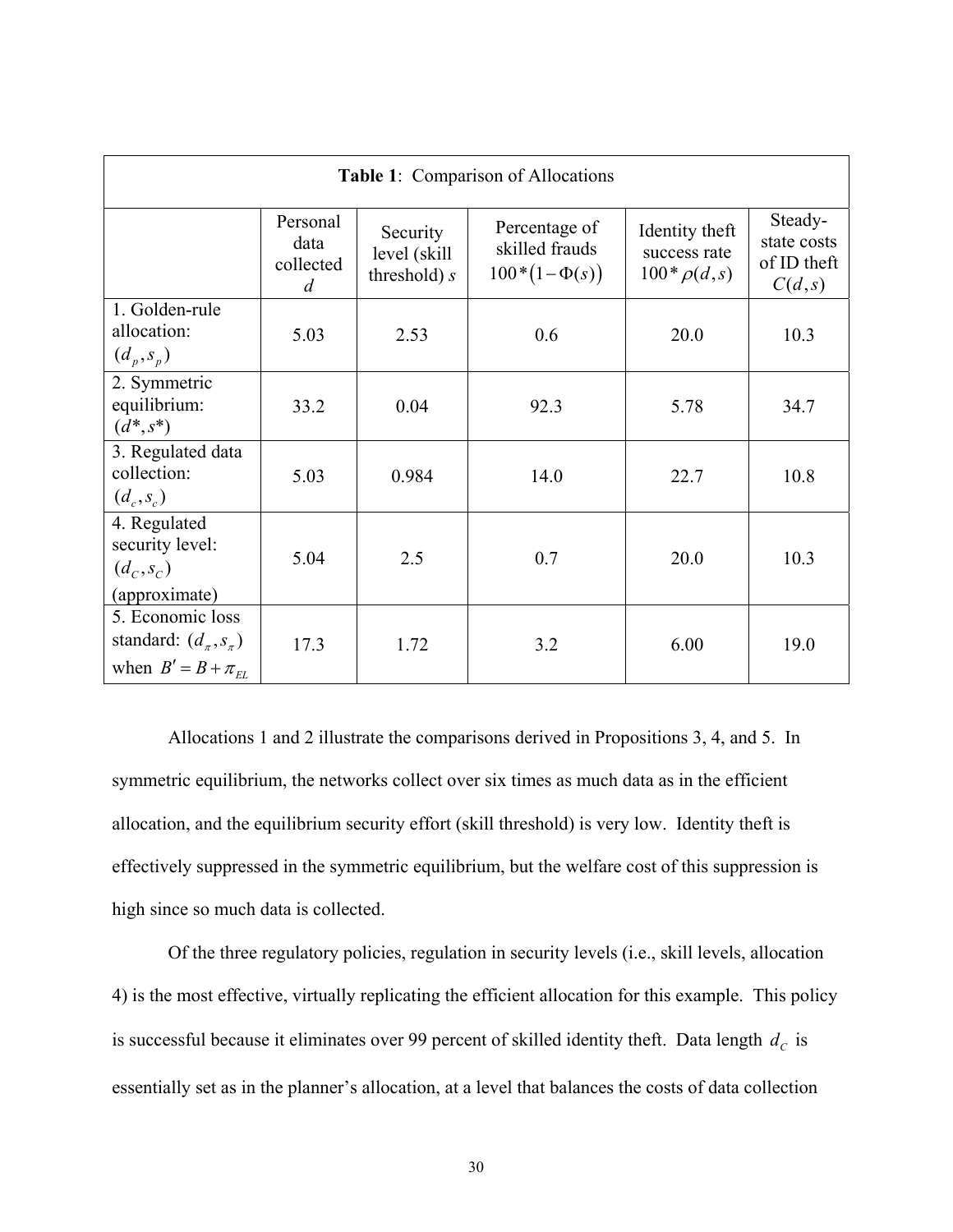| Table 1: Comparison of Allocations                                                    |                                    |                                            |                                                      |                                                     |                                                 |
|---------------------------------------------------------------------------------------|------------------------------------|--------------------------------------------|------------------------------------------------------|-----------------------------------------------------|-------------------------------------------------|
|                                                                                       | Personal<br>data<br>collected<br>d | Security<br>level (skill<br>threshold) $s$ | Percentage of<br>skilled frauds<br>$100*(1-\Phi(s))$ | Identity theft<br>success rate<br>$100 * \rho(d,s)$ | Steady-<br>state costs<br>of ID theft<br>C(d,s) |
| 1. Golden-rule<br>allocation:<br>$(d_p, s_p)$                                         | 5.03                               | 2.53                                       | 0.6                                                  | 20.0                                                | 10.3                                            |
| 2. Symmetric<br>equilibrium:<br>$(d^*, s^*)$                                          | 33.2                               | 0.04                                       | 92.3                                                 | 5.78                                                | 34.7                                            |
| 3. Regulated data<br>collection:<br>$(d_c, s_c)$                                      | 5.03                               | 0.984                                      | 14.0                                                 | 22.7                                                | 10.8                                            |
| 4. Regulated<br>security level:<br>$(d_c, s_c)$<br>(approximate)                      | 5.04                               | 2.5                                        | 0.7                                                  | 20.0                                                | 10.3                                            |
| 5. Economic loss<br>standard: $(d_{\pi}, s_{\pi})$<br>when $B' = B + \pi_{\text{FI}}$ | 17.3                               | 1.72                                       | 3.2                                                  | 6.00                                                | 19.0                                            |

 Allocations 1 and 2 illustrate the comparisons derived in Propositions 3, 4, and 5. In symmetric equilibrium, the networks collect over six times as much data as in the efficient allocation, and the equilibrium security effort (skill threshold) is very low. Identity theft is effectively suppressed in the symmetric equilibrium, but the welfare cost of this suppression is high since so much data is collected.

 Of the three regulatory policies, regulation in security levels (i.e., skill levels, allocation 4) is the most effective, virtually replicating the efficient allocation for this example. This policy is successful because it eliminates over 99 percent of skilled identity theft. Data length  $d_c$  is essentially set as in the planner's allocation, at a level that balances the costs of data collection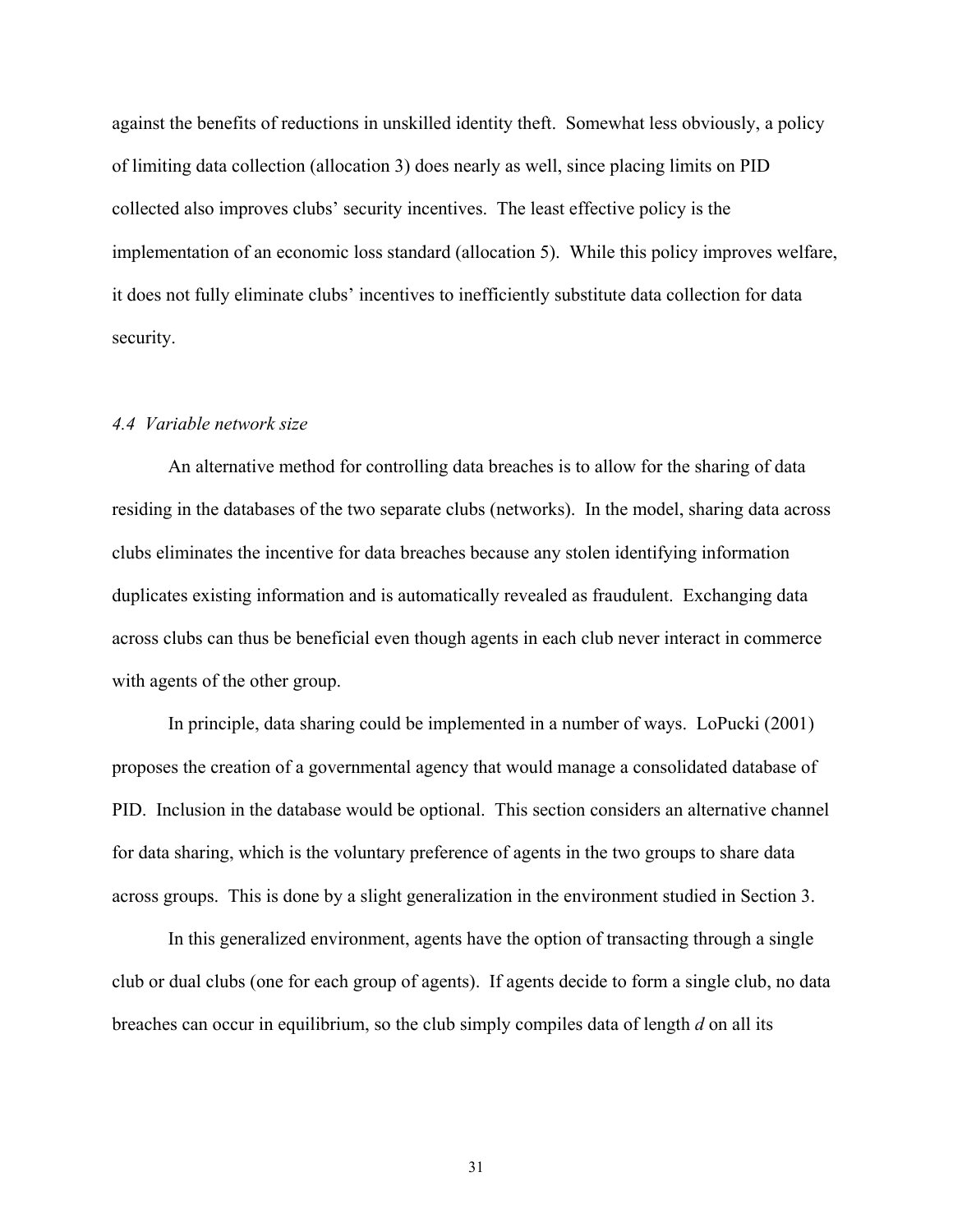against the benefits of reductions in unskilled identity theft. Somewhat less obviously, a policy of limiting data collection (allocation 3) does nearly as well, since placing limits on PID collected also improves clubs' security incentives. The least effective policy is the implementation of an economic loss standard (allocation 5). While this policy improves welfare, it does not fully eliminate clubs' incentives to inefficiently substitute data collection for data security.

#### *4.4 Variable network size*

 An alternative method for controlling data breaches is to allow for the sharing of data residing in the databases of the two separate clubs (networks). In the model, sharing data across clubs eliminates the incentive for data breaches because any stolen identifying information duplicates existing information and is automatically revealed as fraudulent. Exchanging data across clubs can thus be beneficial even though agents in each club never interact in commerce with agents of the other group.

In principle, data sharing could be implemented in a number of ways. LoPucki (2001) proposes the creation of a governmental agency that would manage a consolidated database of PID. Inclusion in the database would be optional. This section considers an alternative channel for data sharing, which is the voluntary preference of agents in the two groups to share data across groups. This is done by a slight generalization in the environment studied in Section 3.

In this generalized environment, agents have the option of transacting through a single club or dual clubs (one for each group of agents). If agents decide to form a single club, no data breaches can occur in equilibrium, so the club simply compiles data of length *d* on all its

31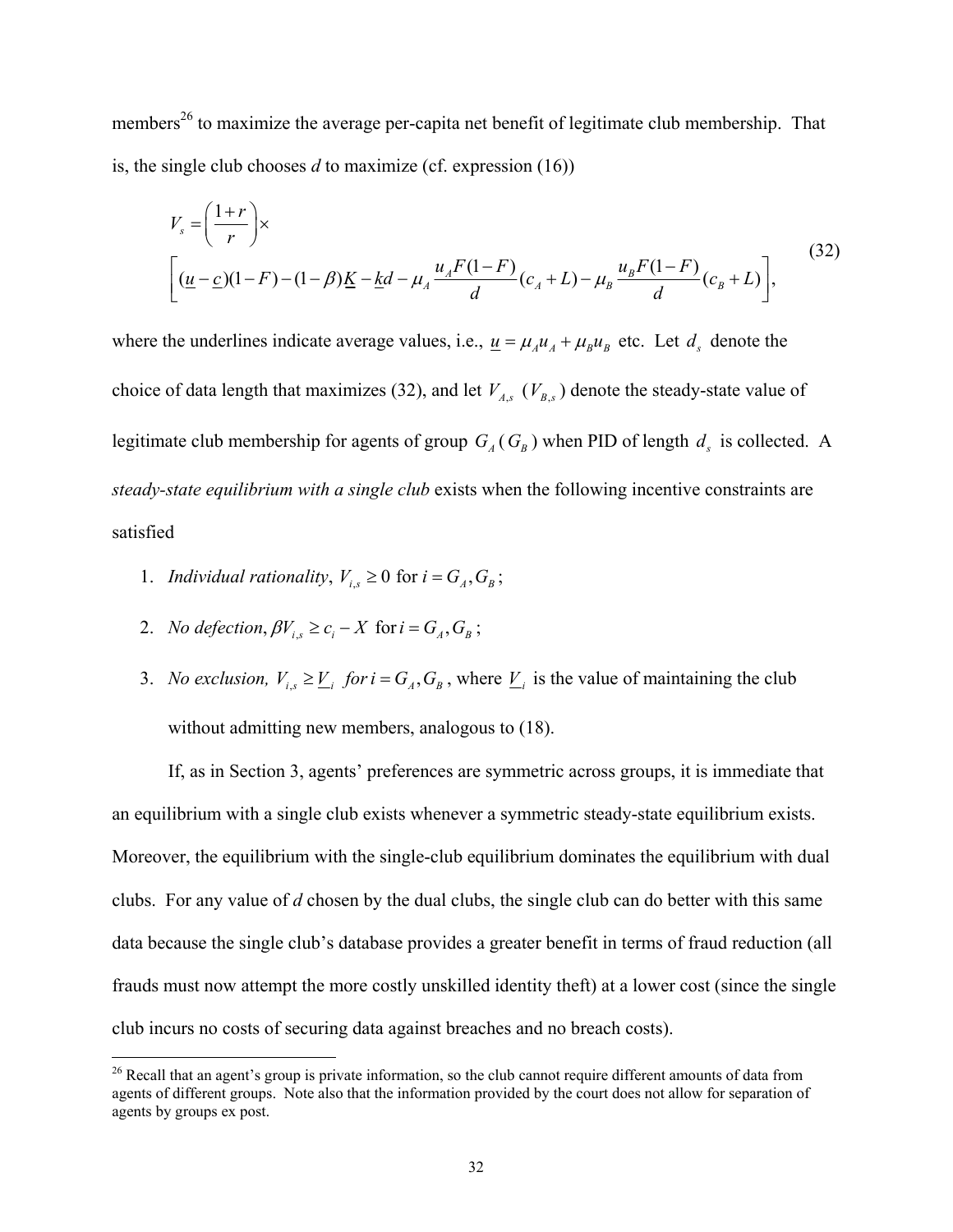members<sup>26</sup> to maximize the average per-capita net benefit of legitimate club membership. That is, the single club chooses *d* to maximize (cf. expression (16))

$$
V_s = \left(\frac{1+r}{r}\right) \times \left[ \frac{(u-c)(1-F)-(1-\beta)K - k d - \mu_A \frac{u_A F(1-F)}{d}(c_A + L) - \mu_B \frac{u_B F(1-F)}{d}(c_B + L) \right],
$$
\n(32)

where the underlines indicate average values, i.e.,  $\underline{u} = \mu_A u_A + \mu_B u_B$  etc. Let  $d_s$  denote the choice of data length that maximizes (32), and let  $V_{A,s}$  ( $V_{B,s}$ ) denote the steady-state value of legitimate club membership for agents of group  $G_A$  ( $G_B$ ) when PID of length  $d_s$  is collected. A *steady-state equilibrium with a single club* exists when the following incentive constraints are satisfied

- 1. *Individual rationality*,  $V_{i,s} \geq 0$  for  $i = G_A, G_B$ ;
- 2. *No defection*,  $\beta V_{is} \ge c_i X$  for  $i = G_A, G_B$ ;

1

3. *No exclusion,*  $V_{i,s} \geq \underline{V}_i$  *for i* =  $G_A$ ,  $G_B$ , where  $\underline{V}_i$  is the value of maintaining the club without admitting new members, analogous to  $(18)$ .

 If, as in Section 3, agents' preferences are symmetric across groups, it is immediate that an equilibrium with a single club exists whenever a symmetric steady-state equilibrium exists. Moreover, the equilibrium with the single-club equilibrium dominates the equilibrium with dual clubs. For any value of *d* chosen by the dual clubs, the single club can do better with this same data because the single club's database provides a greater benefit in terms of fraud reduction (all frauds must now attempt the more costly unskilled identity theft) at a lower cost (since the single club incurs no costs of securing data against breaches and no breach costs).

<sup>&</sup>lt;sup>26</sup> Recall that an agent's group is private information, so the club cannot require different amounts of data from agents of different groups. Note also that the information provided by the court does not allow for separation of agents by groups ex post.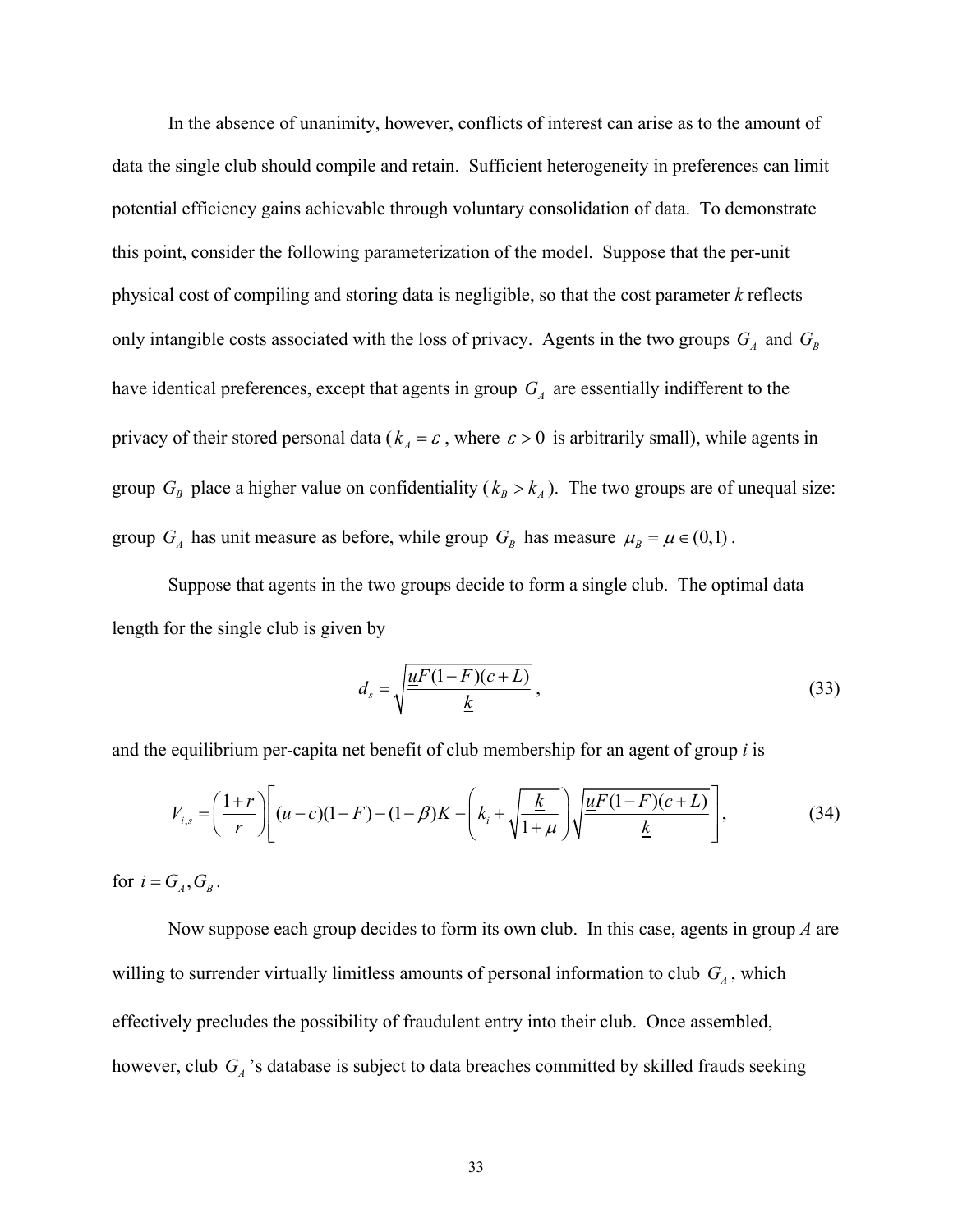In the absence of unanimity, however, conflicts of interest can arise as to the amount of data the single club should compile and retain. Sufficient heterogeneity in preferences can limit potential efficiency gains achievable through voluntary consolidation of data. To demonstrate this point, consider the following parameterization of the model. Suppose that the per-unit physical cost of compiling and storing data is negligible, so that the cost parameter *k* reflects only intangible costs associated with the loss of privacy. Agents in the two groups  $G_A$  and  $G_B$ have identical preferences, except that agents in group  $G_A$  are essentially indifferent to the privacy of their stored personal data ( $k_A = \varepsilon$ , where  $\varepsilon > 0$  is arbitrarily small), while agents in group  $G_B$  place a higher value on confidentiality ( $k_B > k_A$ ). The two groups are of unequal size: group  $G_A$  has unit measure as before, while group  $G_B$  has measure  $\mu_B = \mu \in (0,1)$ .

Suppose that agents in the two groups decide to form a single club. The optimal data length for the single club is given by

$$
d_s = \sqrt{\frac{\underline{u}F(1-F)(c+L)}{\underline{k}}},\tag{33}
$$

and the equilibrium per-capita net benefit of club membership for an agent of group *i* is

$$
V_{i,s} = \left(\frac{1+r}{r}\right) \left[ (u-c)(1-F) - (1-\beta)K - \left(k_i + \sqrt{\frac{k}{1+\mu}}\right) \sqrt{\frac{uF(1-F)(c+L)}{k}} \right],
$$
(34)

for  $i = G_A$ ,  $G_B$ .

 Now suppose each group decides to form its own club. In this case, agents in group *A* are willing to surrender virtually limitless amounts of personal information to club  $G_A$ , which effectively precludes the possibility of fraudulent entry into their club. Once assembled, however, club *GA* 's database is subject to data breaches committed by skilled frauds seeking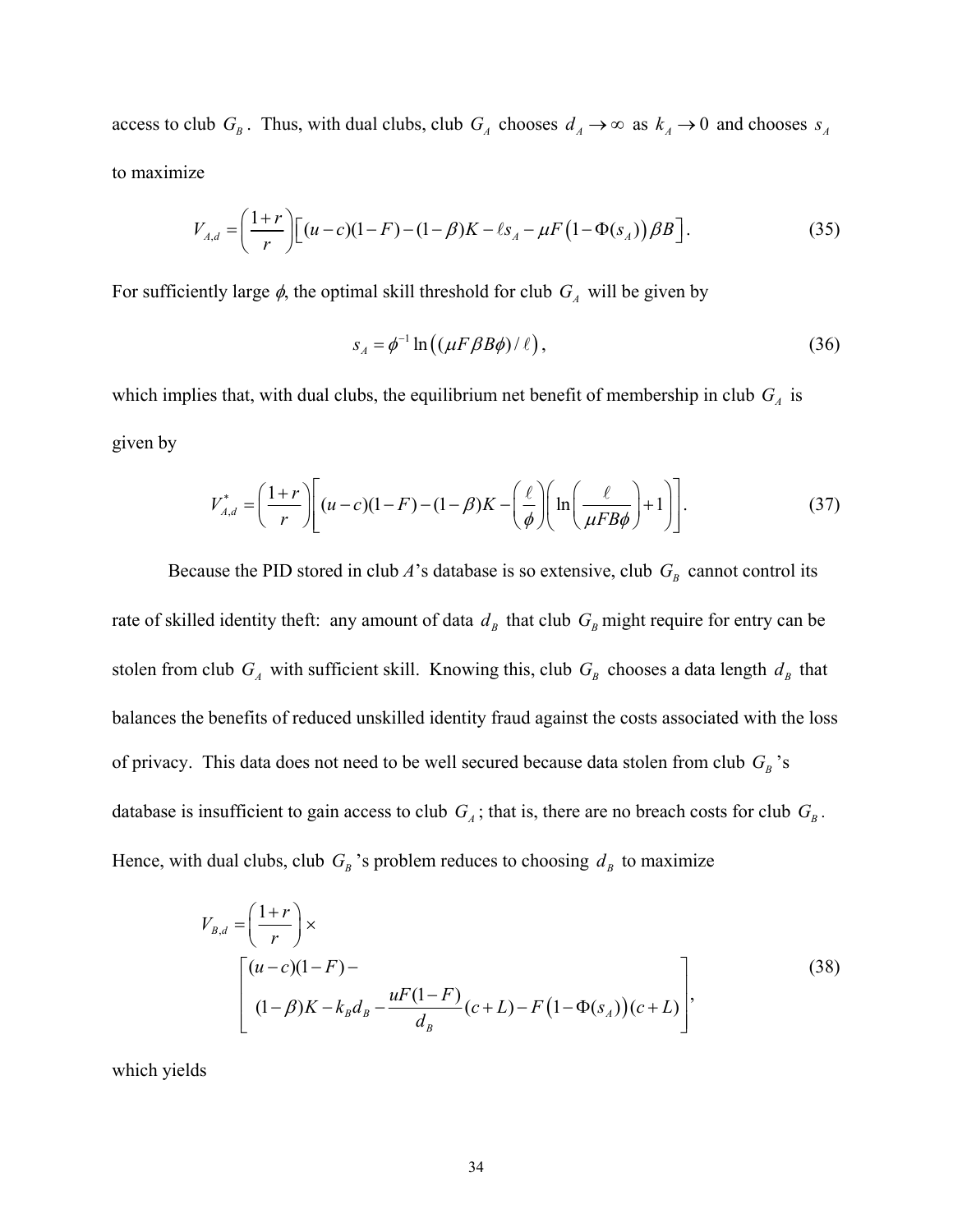access to club  $G_B$ . Thus, with dual clubs, club  $G_A$  chooses  $d_A \to \infty$  as  $k_A \to 0$  and chooses  $s_A$ to maximize

$$
V_{A,d} = \left(\frac{1+r}{r}\right) \left[ (u-c)(1-F) - (1-\beta)K - \ell s_A - \mu F\left(1-\Phi(s_A)\right) \beta B \right].
$$
 (35)

For sufficiently large  $\phi$ , the optimal skill threshold for club  $G_A$  will be given by

$$
s_A = \phi^{-1} \ln \left( (\mu F \beta B \phi) / \ell \right),\tag{36}
$$

which implies that, with dual clubs, the equilibrium net benefit of membership in club  $G_A$  is given by

$$
V_{A,d}^* = \left(\frac{1+r}{r}\right) \left[ (u-c)(1-F) - (1-\beta)K - \left(\frac{\ell}{\phi}\right) \left(\ln\left(\frac{\ell}{\mu FB\phi}\right) + 1\right) \right].
$$
 (37)

Because the PID stored in club  $A$ 's database is so extensive, club  $G_B$  cannot control its rate of skilled identity theft: any amount of data  $d<sub>B</sub>$  that club  $G<sub>B</sub>$  might require for entry can be stolen from club  $G_A$  with sufficient skill. Knowing this, club  $G_B$  chooses a data length  $d_B$  that balances the benefits of reduced unskilled identity fraud against the costs associated with the loss of privacy. This data does not need to be well secured because data stolen from club  $G_B$ 's database is insufficient to gain access to club  $G_A$ ; that is, there are no breach costs for club  $G_B$ . Hence, with dual clubs, club  $G_B$ 's problem reduces to choosing  $d_B$  to maximize

$$
V_{B,d} = \left(\frac{1+r}{r}\right) \times \left[\frac{(u-c)(1-F)-}{(1-\beta)K - k_B d_B - \frac{uF(1-F)}{d_B}(c+L) - F\left(1-\Phi(s_A)\right)(c+L)}\right],
$$
\n(38)

which yields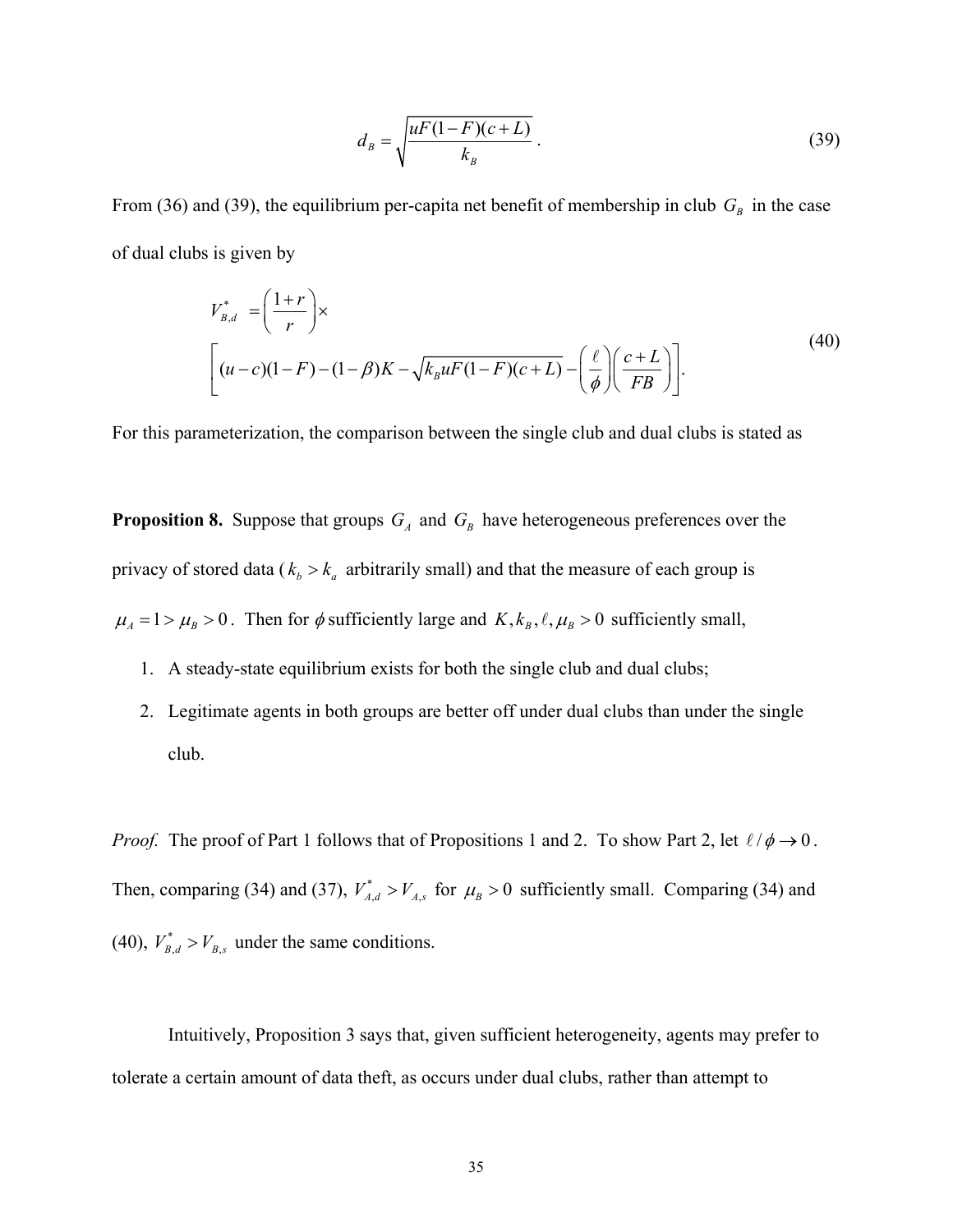$$
d_B = \sqrt{\frac{uF(1-F)(c+L)}{k_B}}.
$$
\n(39)

From (36) and (39), the equilibrium per-capita net benefit of membership in club  $G_B$  in the case of dual clubs is given by

$$
V_{B,d}^* = \left(\frac{1+r}{r}\right) \times \left[ (u-c)(1-F) - (1-\beta)K - \sqrt{k_B uF(1-F)(c+L)} - \left(\frac{\ell}{\phi}\right) \left(\frac{c+L}{FB}\right) \right].
$$
\n(40)

For this parameterization, the comparison between the single club and dual clubs is stated as

**Proposition 8.** Suppose that groups  $G_A$  and  $G_B$  have heterogeneous preferences over the privacy of stored data ( $k_b > k_a$  arbitrarily small) and that the measure of each group is  $\mu_A = 1 > \mu_B > 0$ . Then for  $\phi$  sufficiently large and  $K, k_B, \ell, \mu_B > 0$  sufficiently small,

- 1. A steady-state equilibrium exists for both the single club and dual clubs;
- 2. Legitimate agents in both groups are better off under dual clubs than under the single club.

*Proof.* The proof of Part 1 follows that of Propositions 1 and 2. To show Part 2, let  $\ell/\phi \rightarrow 0$ . Then, comparing (34) and (37),  $V_{A,d}^* > V_{A,s}$  for  $\mu_B > 0$  sufficiently small. Comparing (34) and (40),  $V_{B,d}^* > V_{B,s}$  under the same conditions.

 Intuitively, Proposition 3 says that, given sufficient heterogeneity, agents may prefer to tolerate a certain amount of data theft, as occurs under dual clubs, rather than attempt to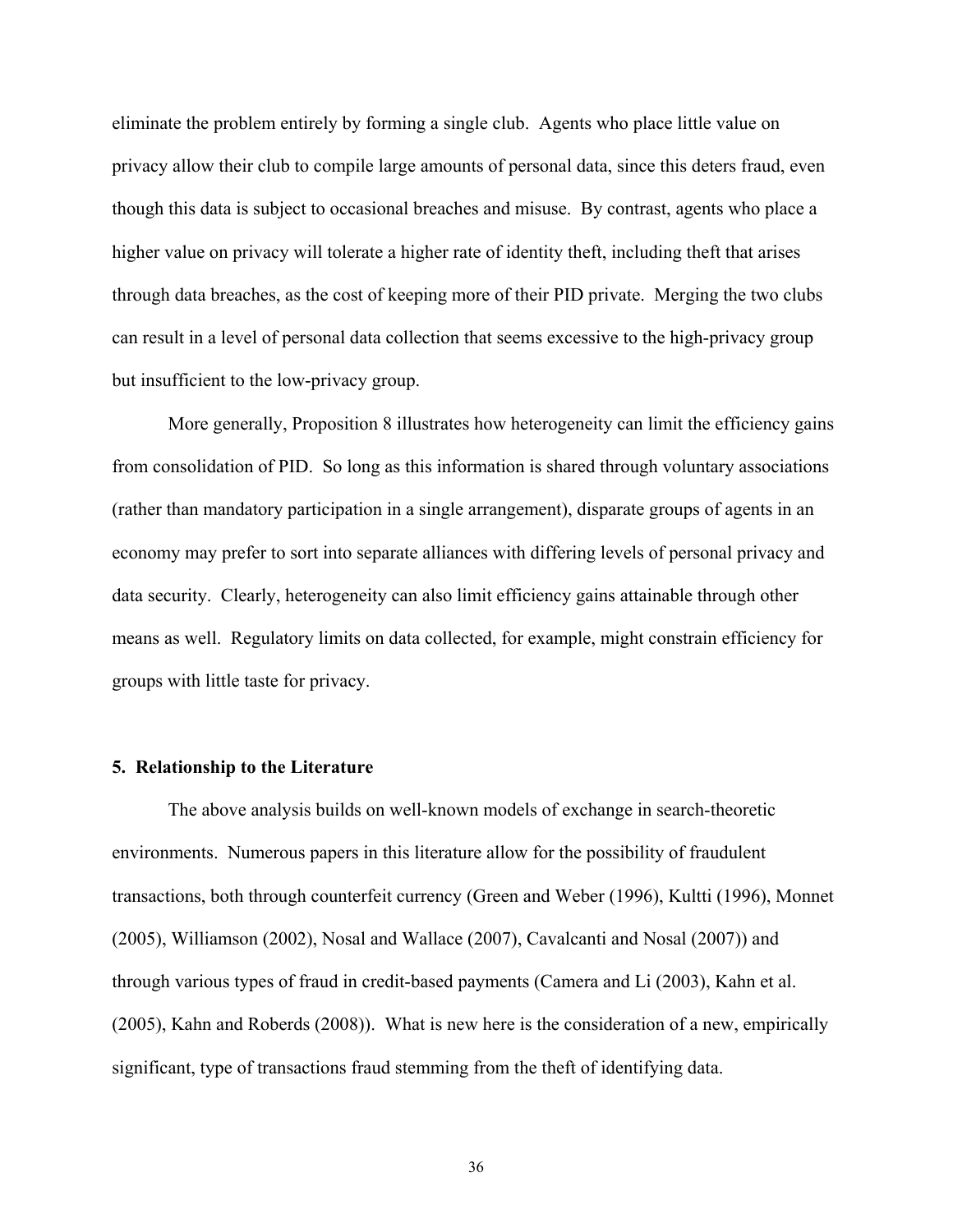eliminate the problem entirely by forming a single club. Agents who place little value on privacy allow their club to compile large amounts of personal data, since this deters fraud, even though this data is subject to occasional breaches and misuse. By contrast, agents who place a higher value on privacy will tolerate a higher rate of identity theft, including theft that arises through data breaches, as the cost of keeping more of their PID private. Merging the two clubs can result in a level of personal data collection that seems excessive to the high-privacy group but insufficient to the low-privacy group.

 More generally, Proposition 8 illustrates how heterogeneity can limit the efficiency gains from consolidation of PID. So long as this information is shared through voluntary associations (rather than mandatory participation in a single arrangement), disparate groups of agents in an economy may prefer to sort into separate alliances with differing levels of personal privacy and data security. Clearly, heterogeneity can also limit efficiency gains attainable through other means as well. Regulatory limits on data collected, for example, might constrain efficiency for groups with little taste for privacy.

#### **5. Relationship to the Literature**

The above analysis builds on well-known models of exchange in search-theoretic environments. Numerous papers in this literature allow for the possibility of fraudulent transactions, both through counterfeit currency (Green and Weber (1996), Kultti (1996), Monnet (2005), Williamson (2002), Nosal and Wallace (2007), Cavalcanti and Nosal (2007)) and through various types of fraud in credit-based payments (Camera and Li (2003), Kahn et al. (2005), Kahn and Roberds (2008)). What is new here is the consideration of a new, empirically significant, type of transactions fraud stemming from the theft of identifying data.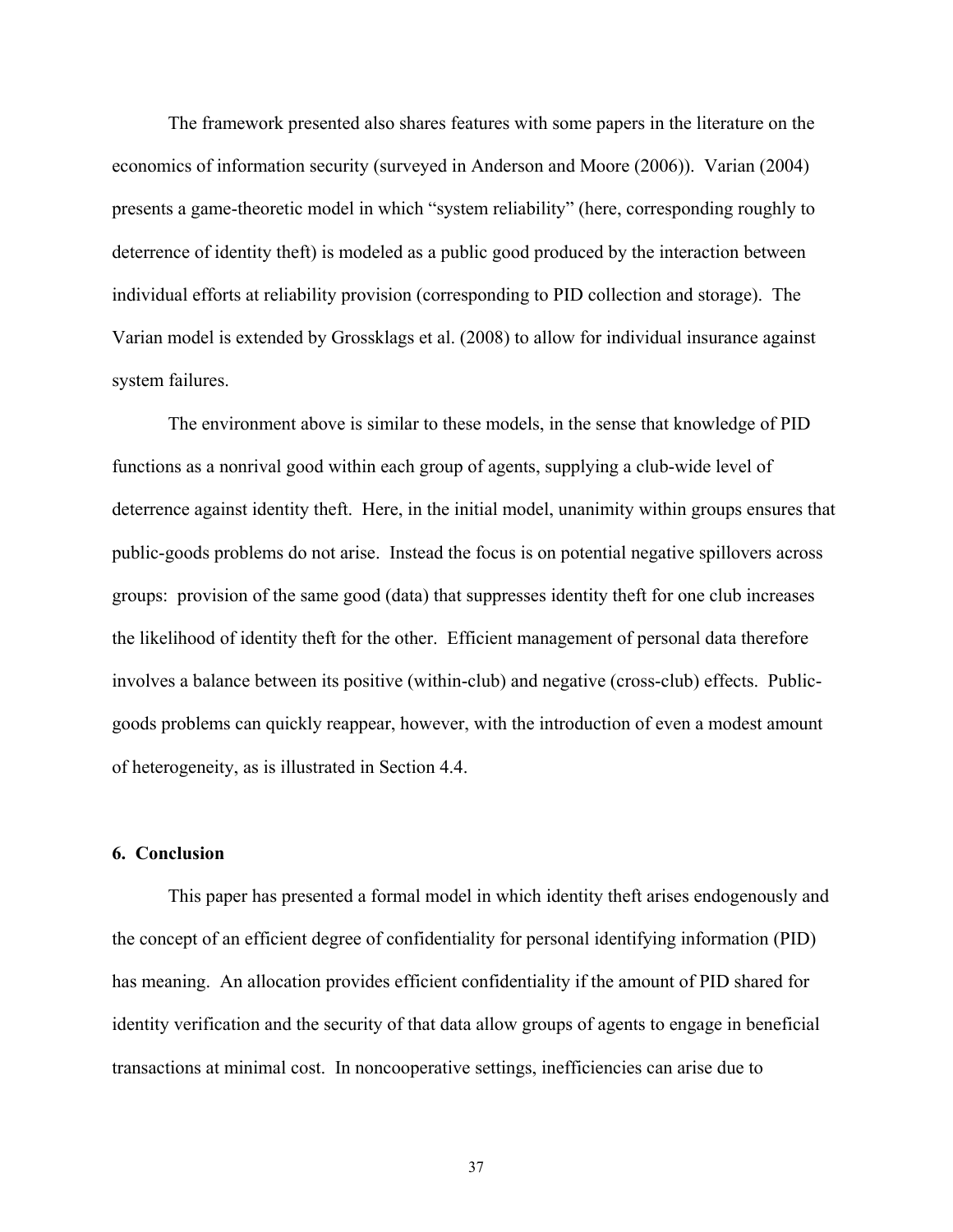The framework presented also shares features with some papers in the literature on the economics of information security (surveyed in Anderson and Moore (2006)). Varian (2004) presents a game-theoretic model in which "system reliability" (here, corresponding roughly to deterrence of identity theft) is modeled as a public good produced by the interaction between individual efforts at reliability provision (corresponding to PID collection and storage). The Varian model is extended by Grossklags et al. (2008) to allow for individual insurance against system failures.

The environment above is similar to these models, in the sense that knowledge of PID functions as a nonrival good within each group of agents, supplying a club-wide level of deterrence against identity theft. Here, in the initial model, unanimity within groups ensures that public-goods problems do not arise. Instead the focus is on potential negative spillovers across groups: provision of the same good (data) that suppresses identity theft for one club increases the likelihood of identity theft for the other. Efficient management of personal data therefore involves a balance between its positive (within-club) and negative (cross-club) effects. Publicgoods problems can quickly reappear, however, with the introduction of even a modest amount of heterogeneity, as is illustrated in Section 4.4.

#### **6. Conclusion**

 This paper has presented a formal model in which identity theft arises endogenously and the concept of an efficient degree of confidentiality for personal identifying information (PID) has meaning. An allocation provides efficient confidentiality if the amount of PID shared for identity verification and the security of that data allow groups of agents to engage in beneficial transactions at minimal cost. In noncooperative settings, inefficiencies can arise due to

37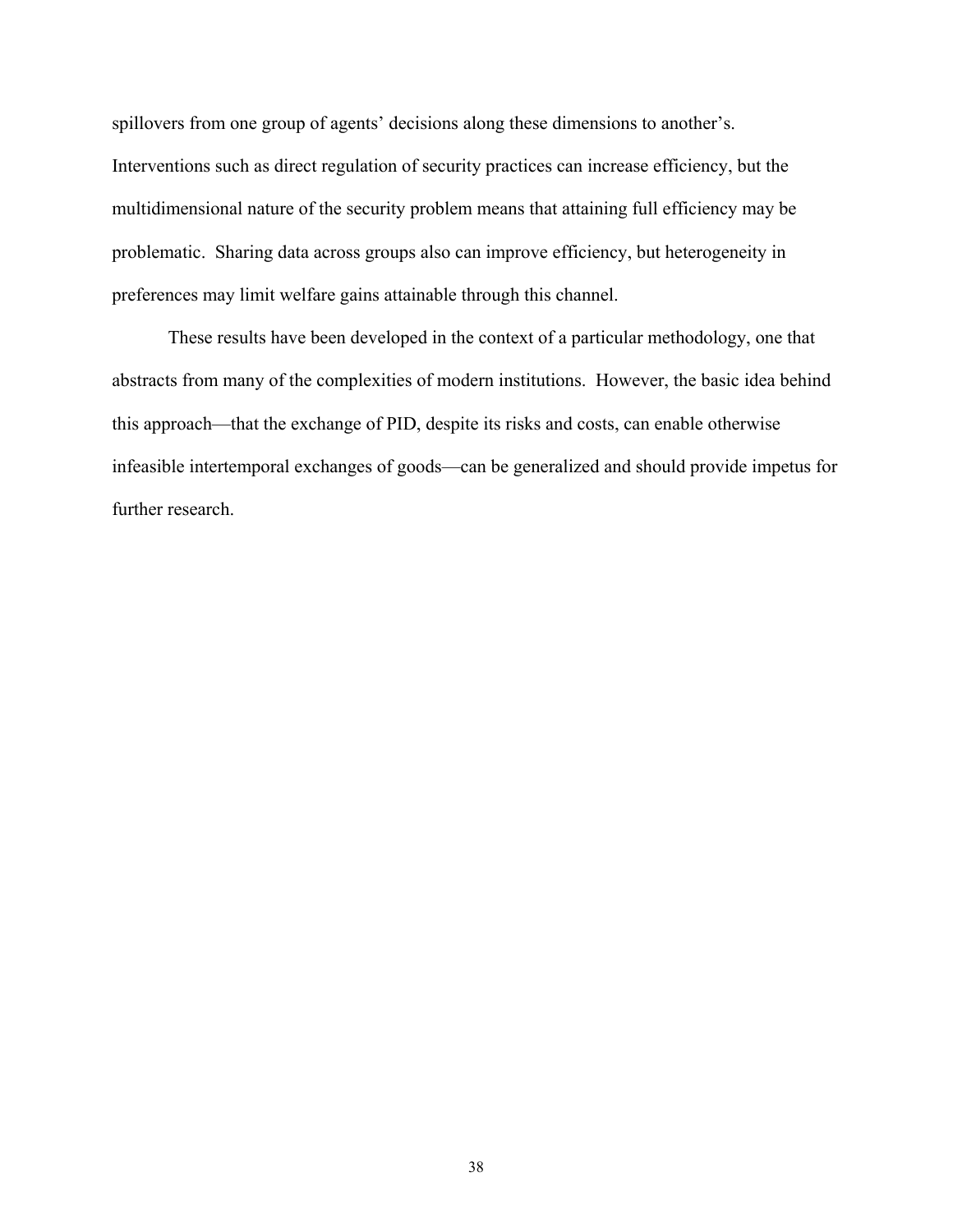spillovers from one group of agents' decisions along these dimensions to another's. Interventions such as direct regulation of security practices can increase efficiency, but the multidimensional nature of the security problem means that attaining full efficiency may be problematic. Sharing data across groups also can improve efficiency, but heterogeneity in preferences may limit welfare gains attainable through this channel.

 These results have been developed in the context of a particular methodology, one that abstracts from many of the complexities of modern institutions. However, the basic idea behind this approach—that the exchange of PID, despite its risks and costs, can enable otherwise infeasible intertemporal exchanges of goods—can be generalized and should provide impetus for further research.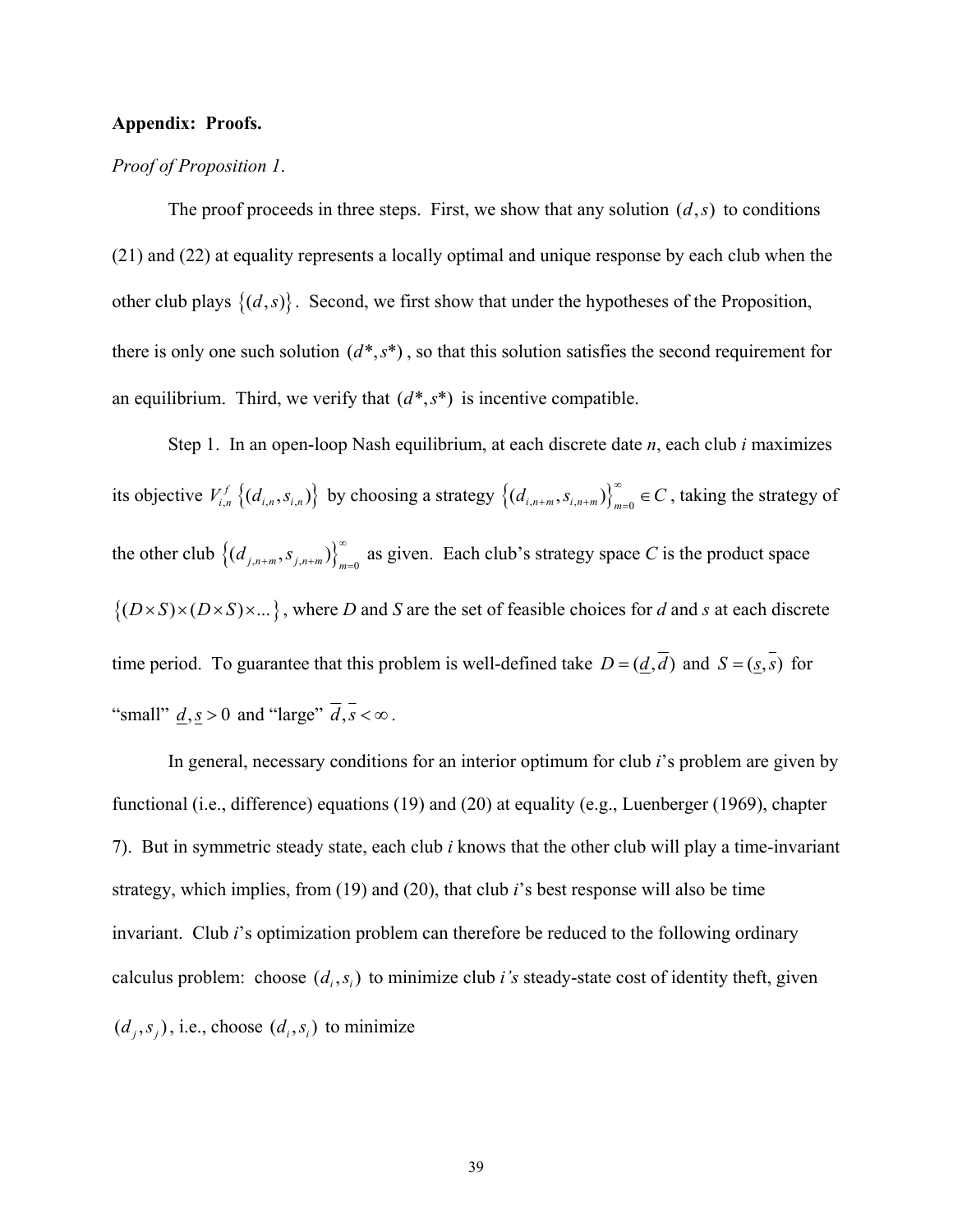#### **Appendix: Proofs.**

#### *Proof of Proposition 1*.

The proof proceeds in three steps. First, we show that any solution  $(d, s)$  to conditions (21) and (22) at equality represents a locally optimal and unique response by each club when the other club plays  $\{(d,s)\}\)$ . Second, we first show that under the hypotheses of the Proposition, there is only one such solution  $(d^*, s^*)$ , so that this solution satisfies the second requirement for an equilibrium. Third, we verify that  $(d^*, s^*)$  is incentive compatible.

Step 1. In an open-loop Nash equilibrium, at each discrete date *n*, each club *i* maximizes its objective  $V_{i,n}^f \{(d_{i,n}, s_{i,n})\}$  by choosing a strategy  $\{(d_{i,n+m}, s_{i,n+m})\}_{m=0}^{\infty} \in C$ , taking the strategy of the other club  $(G_{j,n+m}, s_{j,n+m})_{m=0}^{\infty}$  as given. Each club's strategy space C is the product space  $\{(D \times S) \times (D \times S) \times ... \}$ , where *D* and *S* are the set of feasible choices for *d* and *s* at each discrete time period. To guarantee that this problem is well-defined take  $D = (\underline{d}, \overline{d})$  and  $S = (s, \overline{s})$  for "small"  $\underline{d}, \underline{s} > 0$  and "large"  $\overline{d}, \overline{s} < \infty$ .

In general, necessary conditions for an interior optimum for club *i*'s problem are given by functional (i.e., difference) equations (19) and (20) at equality (e.g., Luenberger (1969), chapter 7). But in symmetric steady state, each club *i* knows that the other club will play a time-invariant strategy, which implies, from (19) and (20), that club *i*'s best response will also be time invariant. Club *i*'s optimization problem can therefore be reduced to the following ordinary calculus problem: choose  $(d_i, s_i)$  to minimize club *i's* steady-state cost of identity theft, given  $(d_i, s_i)$ , i.e., choose  $(d_i, s_i)$  to minimize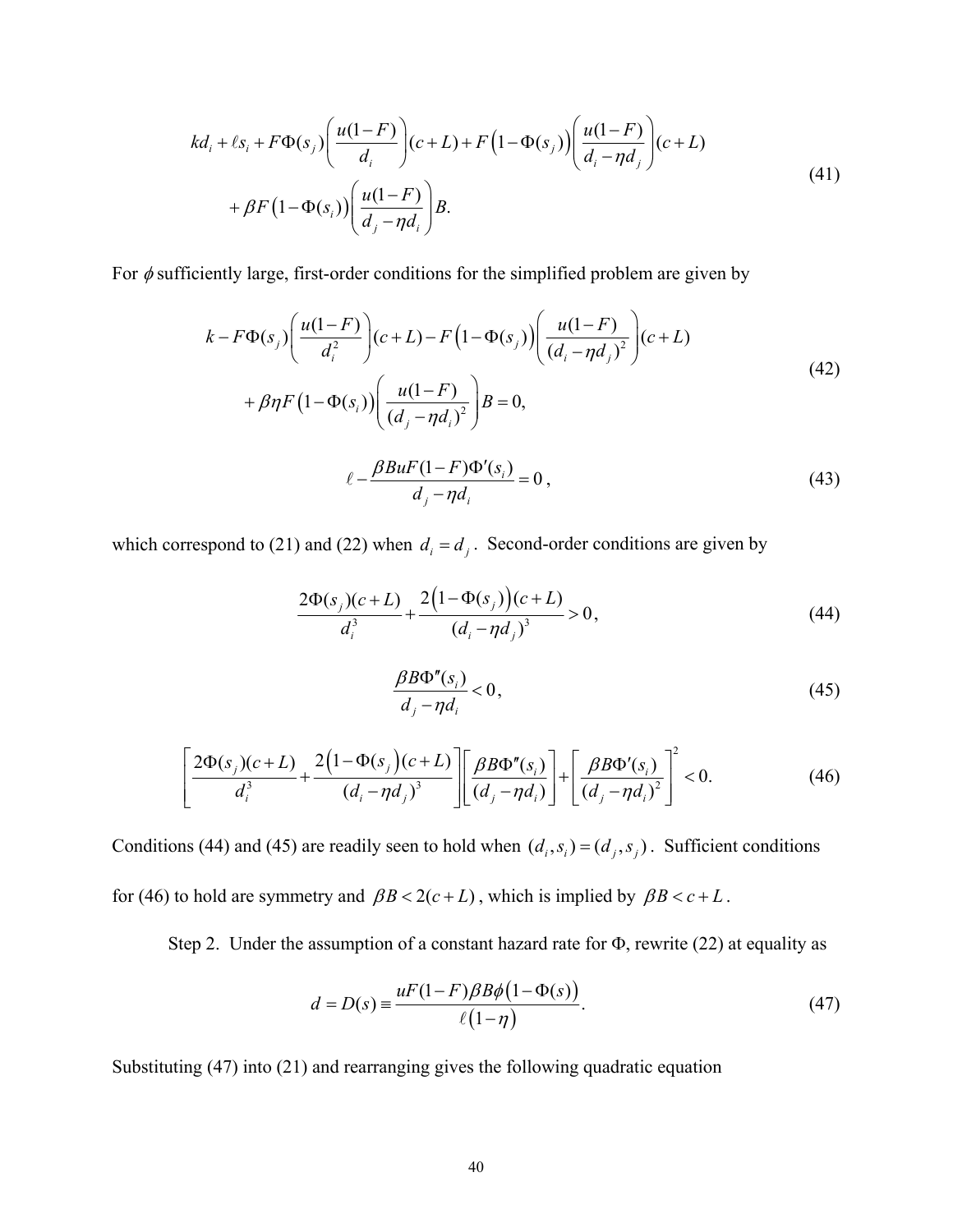$$
kd_i + \ell s_i + F\Phi(s_j) \left( \frac{u(1-F)}{d_i} \right) (c+L) + F\left(1 - \Phi(s_j)\right) \left( \frac{u(1-F)}{d_i - \eta d_j} \right) (c+L)
$$
  
+ 
$$
\beta F\left(1 - \Phi(s_i)\right) \left( \frac{u(1-F)}{d_j - \eta d_i} \right) B.
$$
 (41)

For  $\phi$  sufficiently large, first-order conditions for the simplified problem are given by

$$
k - F\Phi(s_j) \left( \frac{u(1-F)}{d_i^2} \right) (c+L) - F\left(1 - \Phi(s_j)\right) \left( \frac{u(1-F)}{(d_i - \eta d_j)^2} \right) (c+L)
$$
  
+  $\beta \eta F\left(1 - \Phi(s_i)\right) \left( \frac{u(1-F)}{(d_j - \eta d_i)^2} \right) B = 0,$   

$$
\ell - \frac{\beta B u F(1-F) \Phi'(s_i)}{d_j - \eta d_i} = 0,
$$
 (43)

which correspond to (21) and (22) when  $d_i = d_j$ . Second-order conditions are given by

*j i*

$$
\frac{2\Phi(s_j)(c+L)}{d_i^3} + \frac{2\left(1-\Phi(s_j)\right)(c+L)}{\left(d_i - \eta d_j\right)^3} > 0,
$$
\n(44)

$$
\frac{\beta B\Phi''(s_i)}{d_j - \eta d_i} < 0,\tag{45}
$$

$$
\left[\frac{2\Phi(s_j)(c+L)}{d_i^3} + \frac{2(1-\Phi(s_j)(c+L)}{(d_i-\eta d_j)^3}\right] \left[\frac{\beta B\Phi''(s_i)}{(d_j-\eta d_i)}\right] + \left[\frac{\beta B\Phi'(s_i)}{(d_j-\eta d_i)^2}\right]^2 < 0.
$$
 (46)

Conditions (44) and (45) are readily seen to hold when  $(d_i, s_j) = (d_j, s_j)$ . Sufficient conditions for (46) to hold are symmetry and  $\beta B < 2(c+L)$ , which is implied by  $\beta B < c+L$ .

Step 2. Under the assumption of a constant hazard rate for Φ, rewrite (22) at equality as

$$
d = D(s) \equiv \frac{uF(1 - F)\beta B\phi(1 - \Phi(s))}{\ell(1 - \eta)}.\tag{47}
$$

Substituting (47) into (21) and rearranging gives the following quadratic equation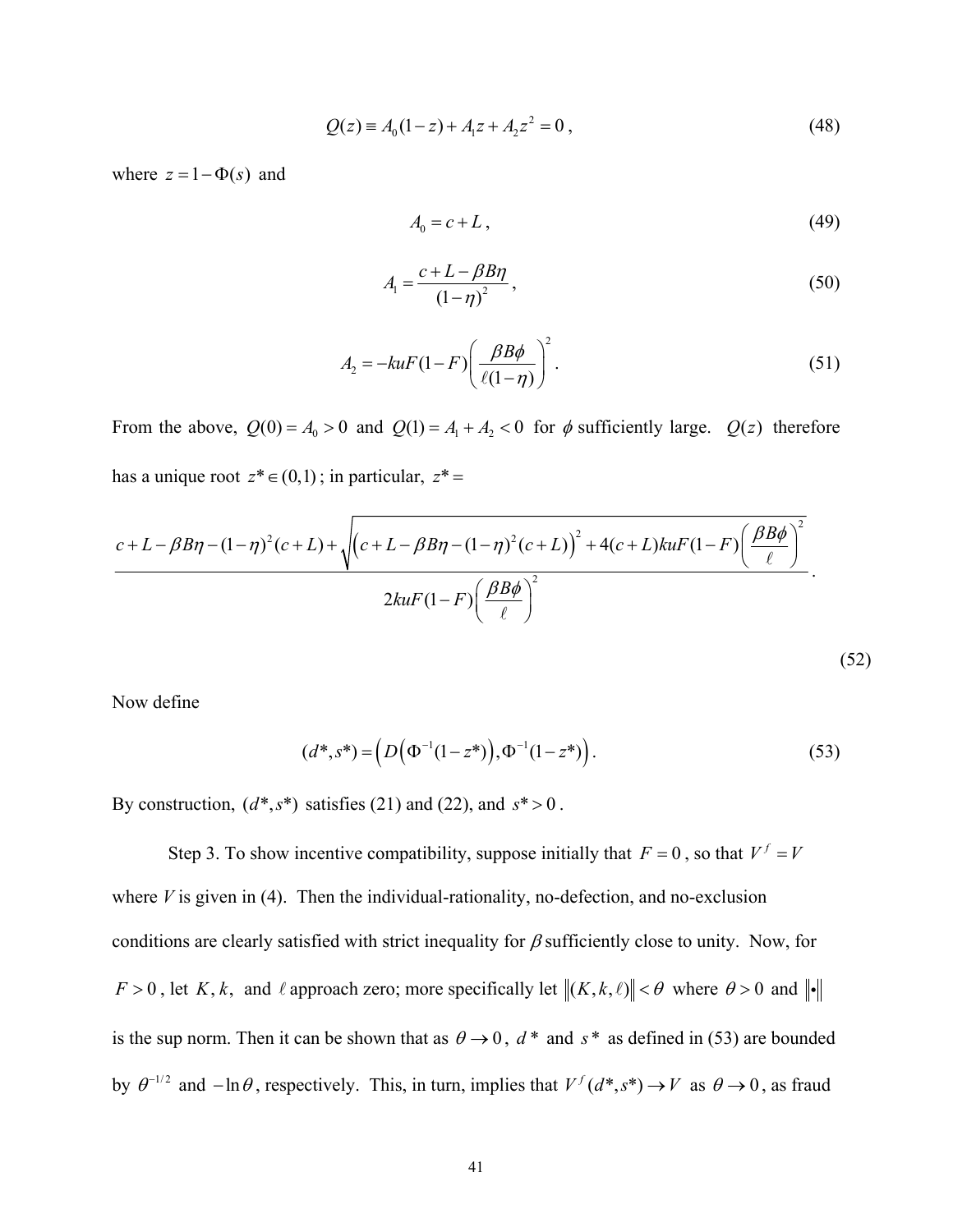$$
Q(z) = A_0(1-z) + A_1 z + A_2 z^2 = 0,
$$
\n(48)

where  $z = 1 - \Phi(s)$  and

$$
A_0 = c + L \tag{49}
$$

$$
A_1 = \frac{c + L - \beta B \eta}{\left(1 - \eta\right)^2},\tag{50}
$$

$$
A_2 = -kuF(1 - F)\left(\frac{\beta B\phi}{\ell(1 - \eta)}\right)^2.
$$
\n(51)

From the above,  $Q(0) = A_0 > 0$  and  $Q(1) = A_1 + A_2 < 0$  for  $\phi$  sufficiently large.  $Q(z)$  therefore has a unique root  $z^* \in (0,1)$ ; in particular,  $z^* =$ 

$$
\frac{c + L - \beta B\eta - (1 - \eta)^2 (c + L) + \sqrt{(c + L - \beta B\eta - (1 - \eta)^2 (c + L))^{2} + 4(c + L)kuF(1 - F)\left(\frac{\beta B\phi}{\ell}\right)^2}}{2kuF(1 - F)\left(\frac{\beta B\phi}{\ell}\right)^2}.
$$
\n(52)

Now define

$$
(d^*, s^*) = \left(D(\Phi^{-1}(1-z^*)), \Phi^{-1}(1-z^*)\right). \tag{53}
$$

By construction,  $(d^*, s^*)$  satisfies (21) and (22), and  $s^* > 0$ .

Step 3. To show incentive compatibility, suppose initially that  $F = 0$ , so that  $V^f = V$ where  $V$  is given in (4). Then the individual-rationality, no-defection, and no-exclusion conditions are clearly satisfied with strict inequality for  $\beta$  sufficiently close to unity. Now, for  $F > 0$ , let *K*, *k*, and  $\ell$  approach zero; more specifically let  $||(K, k, \ell)|| < \theta$  where  $\theta > 0$  and  $||\bullet||$ is the sup norm. Then it can be shown that as  $\theta \rightarrow 0$ ,  $d^*$  and  $s^*$  as defined in (53) are bounded by  $\theta^{-1/2}$  and  $-\ln\theta$ , respectively. This, in turn, implies that  $V^f(d^*, s^*) \to V$  as  $\theta \to 0$ , as fraud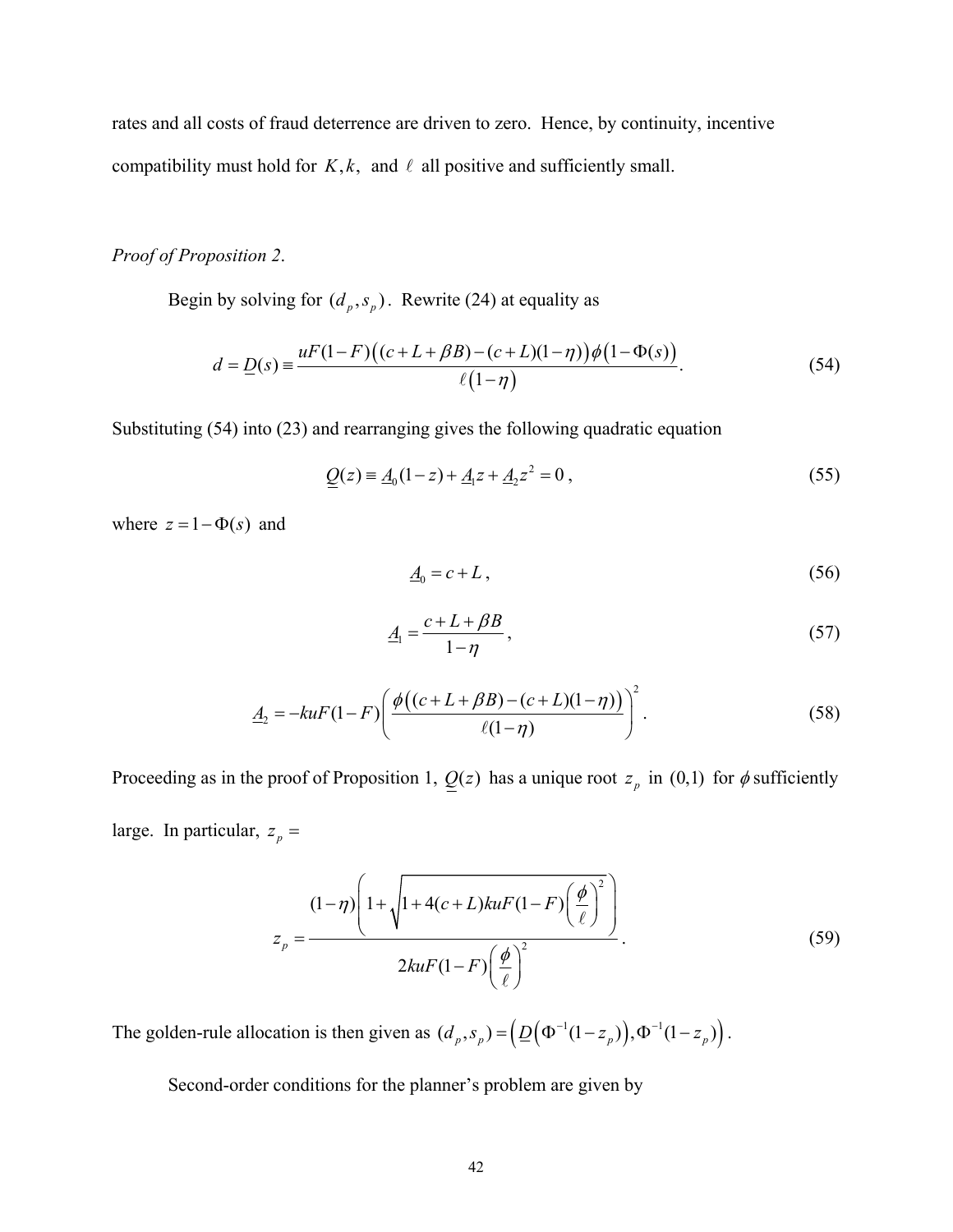rates and all costs of fraud deterrence are driven to zero. Hence, by continuity, incentive compatibility must hold for  $K, k$ , and  $\ell$  all positive and sufficiently small.

#### *Proof of Proposition 2*.

Begin by solving for  $(d_p, s_p)$ . Rewrite (24) at equality as

$$
d = \underline{D}(s) = \frac{uF(1 - F)((c + L + \beta B) - (c + L)(1 - \eta))\phi(1 - \Phi(s))}{\ell(1 - \eta)}.
$$
\n(54)

Substituting (54) into (23) and rearranging gives the following quadratic equation

$$
\underline{Q}(z) = \underline{A}_0(1-z) + \underline{A}_1 z + \underline{A}_2 z^2 = 0 \,, \tag{55}
$$

where  $z = 1 - \Phi(s)$  and

$$
\underline{A}_0 = c + L \,,\tag{56}
$$

$$
\underline{A}_1 = \frac{c + L + \beta B}{1 - \eta},\tag{57}
$$

$$
\underline{A}_2 = -kuF(1-F)\left(\frac{\phi((c+L+\beta B)-(c+L)(1-\eta))}{\ell(1-\eta)}\right)^2.
$$
\n(58)

Proceeding as in the proof of Proposition 1,  $Q(z)$  has a unique root  $z_p$  in (0,1) for  $\phi$  sufficiently large. In particular,  $z_p =$ 

$$
z_{p} = \frac{(1-\eta)\left(1+\sqrt{1+4(c+L)kuF(1-F)\left(\frac{\phi}{\ell}\right)^{2}}\right)}{2kuF(1-F)\left(\frac{\phi}{\ell}\right)^{2}}.
$$
\n(59)

The golden-rule allocation is then given as  $(d_p, s_p) = (\underline{D}(\Phi^{-1}(1 - z_p)), \Phi^{-1}(1 - z_p)).$ 

Second-order conditions for the planner's problem are given by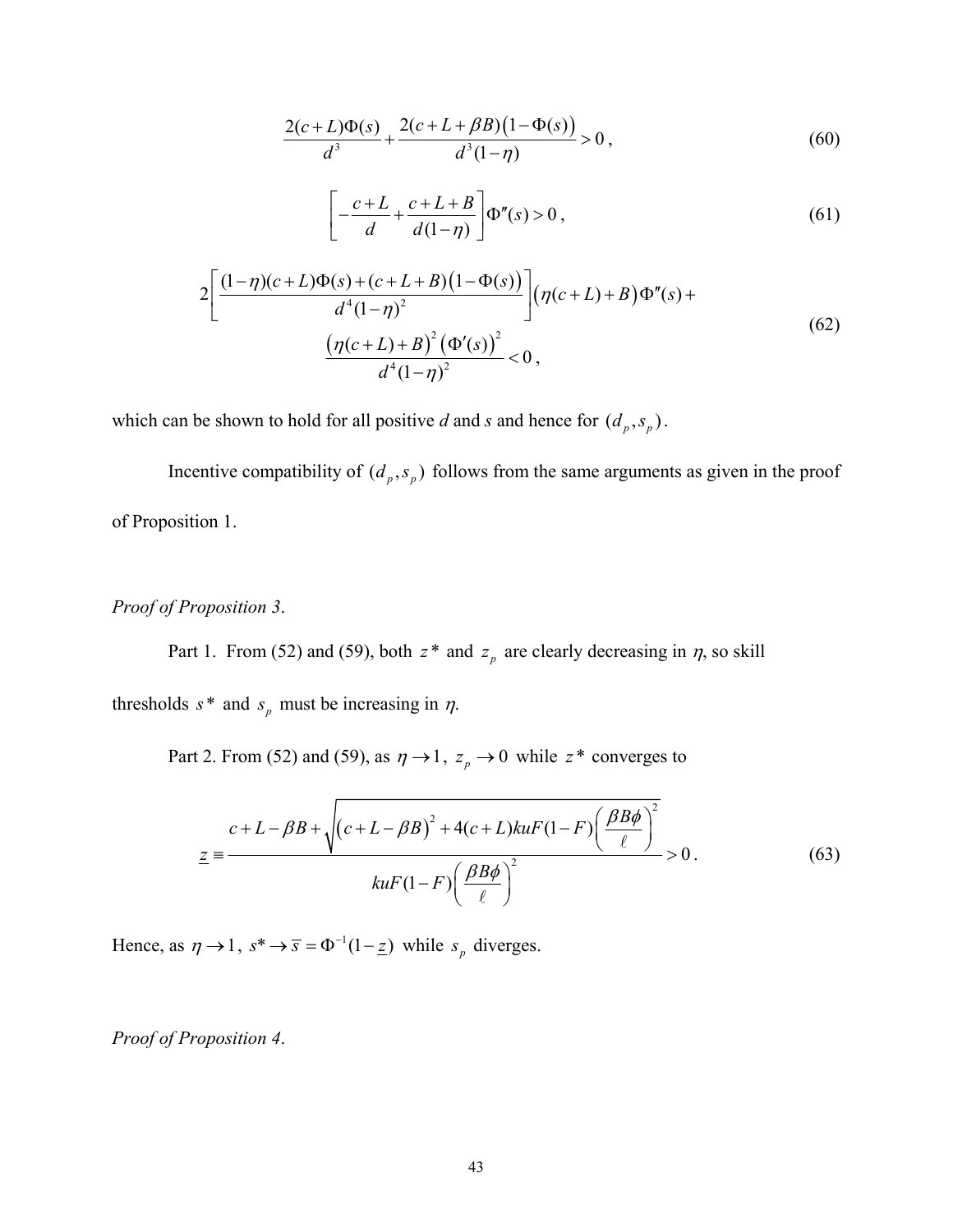$$
\frac{2(c+L)\Phi(s)}{d^3} + \frac{2(c+L+\beta B)(1-\Phi(s))}{d^3(1-\eta)} > 0,
$$
\n(60)

$$
\left[-\frac{c+L}{d} + \frac{c+L+B}{d(1-\eta)}\right] \Phi''(s) > 0\,,\tag{61}
$$

$$
2\left[\frac{(1-\eta)(c+L)\Phi(s)+(c+L+B)(1-\Phi(s))}{d^4(1-\eta)^2}\right](\eta(c+L)+B)\Phi''(s) + \frac{(\eta(c+L)+B)^2(\Phi'(s))^2}{d^4(1-\eta)^2} < 0,
$$
\n(62)

which can be shown to hold for all positive *d* and *s* and hence for  $(d_p, s_p)$ .

Incentive compatibility of  $(d_p, s_p)$  follows from the same arguments as given in the proof of Proposition 1.

#### *Proof of Proposition 3*.

Part 1. From (52) and (59), both  $z^*$  and  $z_p$  are clearly decreasing in  $\eta$ , so skill

thresholds  $s^*$  and  $s_p$  must be increasing in  $\eta$ .

Part 2. From (52) and (59), as  $\eta \rightarrow 1$ ,  $z_p \rightarrow 0$  while  $z^*$  converges to

$$
\underline{z} = \frac{c + L - \beta B + \sqrt{(c + L - \beta B)^2 + 4(c + L)k u F (1 - F) \left(\frac{\beta B \phi}{\ell}\right)^2}}{k u F (1 - F) \left(\frac{\beta B \phi}{\ell}\right)^2} > 0.
$$
\n(63)

Hence, as  $\eta \rightarrow 1$ ,  $s^* \rightarrow \overline{s} = \Phi^{-1}(1 - \underline{z})$  while  $s_p$  diverges.

*Proof of Proposition 4*.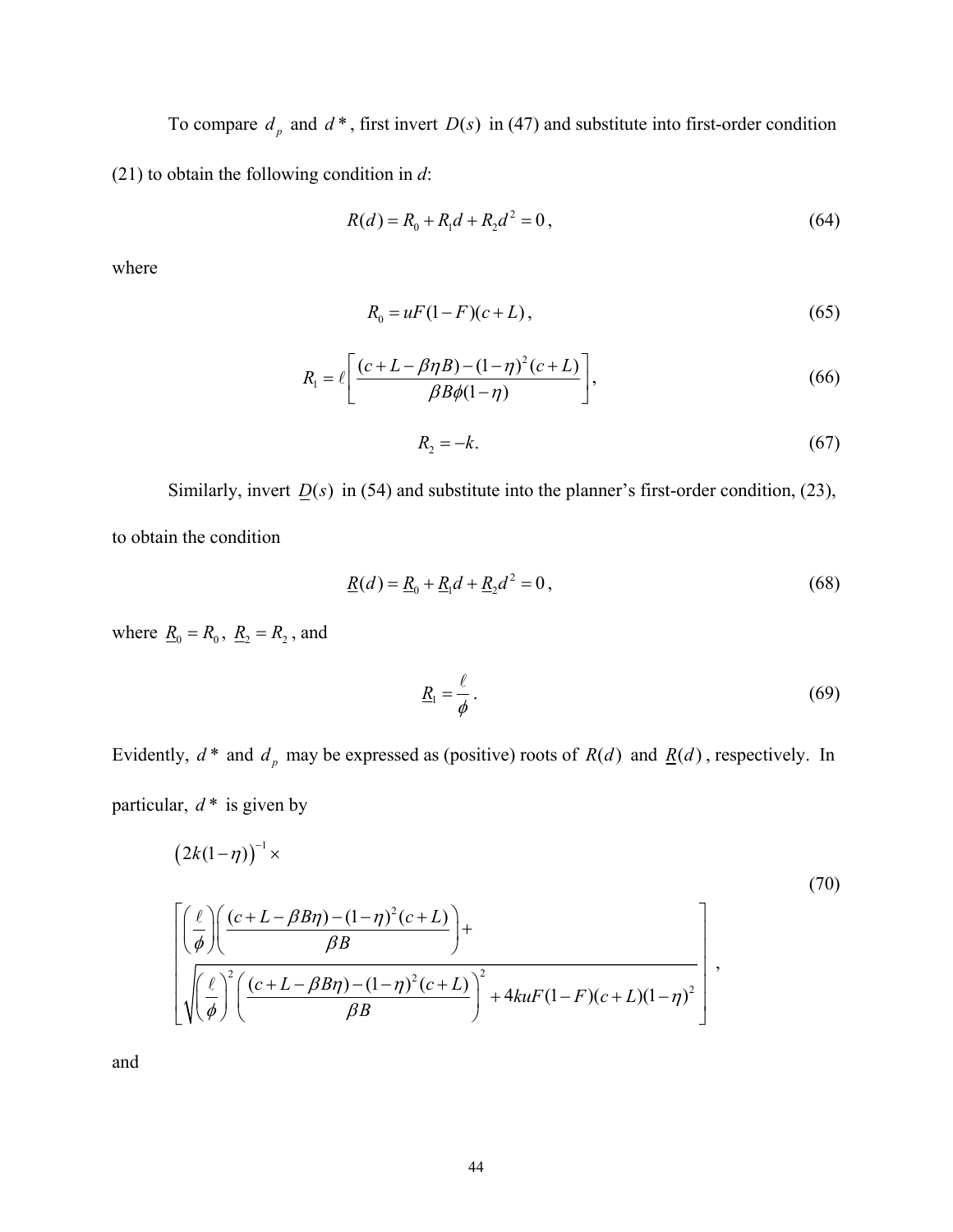To compare  $d_p$  and  $d^*$ , first invert  $D(s)$  in (47) and substitute into first-order condition (21) to obtain the following condition in *d*:

$$
R(d) = R_0 + R_1 d + R_2 d^2 = 0,
$$
\n(64)

where

$$
R_0 = uF(1 - F)(c + L),
$$
\n(65)

$$
R_1 = \ell \left[ \frac{(c+L-\beta\eta B)-(1-\eta)^2(c+L)}{\beta B\phi(1-\eta)} \right],\tag{66}
$$

$$
R_2 = -k.\tag{67}
$$

Similarly, invert  $D(s)$  in (54) and substitute into the planner's first-order condition, (23), to obtain the condition

$$
\underline{R}(d) = \underline{R}_0 + \underline{R}_1 d + \underline{R}_2 d^2 = 0, \qquad (68)
$$

where  $\underline{R}_0 = R_0$ ,  $\underline{R}_2 = R_2$ , and

$$
\underline{R}_1 = \frac{\ell}{\phi} \,. \tag{69}
$$

Evidently,  $d^*$  and  $d_p$  may be expressed as (positive) roots of  $R(d)$  and  $\underline{R}(d)$ , respectively. In particular,  $d^*$  is given by

$$
(2k(1-\eta))^{-1} \times (70)
$$
  

$$
\left[\left(\frac{\ell}{\phi}\right) \left(\frac{(c+L-\beta B\eta)-(1-\eta)^{2}(c+L)}{\beta B}\right)+\left(\frac{\ell}{\phi}\right)^{2}\left(\frac{(c+L-\beta B\eta)-(1-\eta)^{2}(c+L)}{\beta B}\right)^{2}+4kuF(1-F)(c+L)(1-\eta)^{2}\right],
$$

$$
(70)
$$

and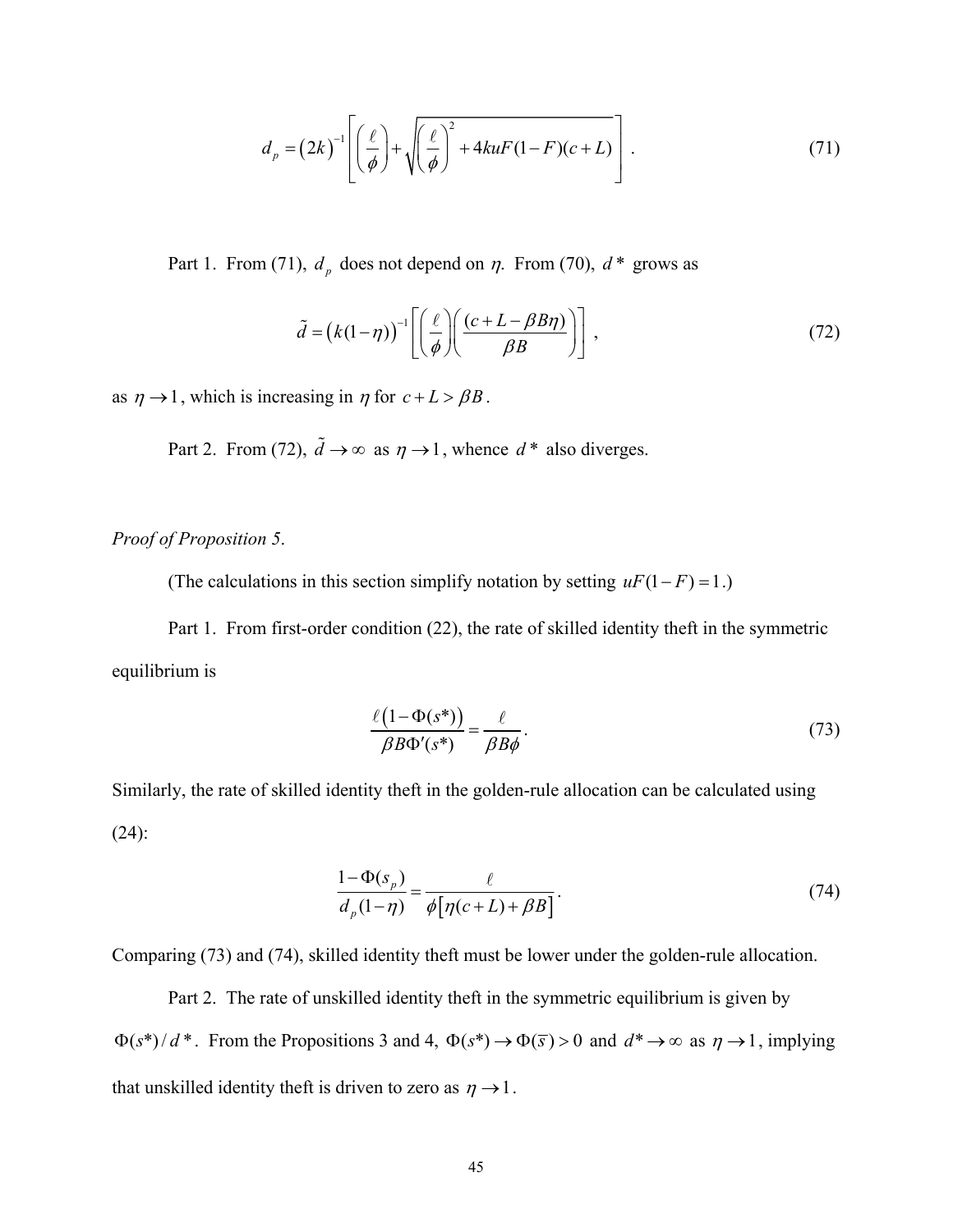$$
d_p = (2k)^{-1} \left[ \left( \frac{\ell}{\phi} \right) + \sqrt{\left( \frac{\ell}{\phi} \right)^2 + 4kuF(1 - F)(c + L)} \right].
$$
 (71)

Part 1. From (71),  $d<sub>p</sub>$  does not depend on  $\eta$ . From (70),  $d^*$  grows as

$$
\tilde{d} = (k(1-\eta))^{-1} \left[ \left( \frac{\ell}{\phi} \right) \left( \frac{(c+L-\beta B\eta)}{\beta B} \right) \right],
$$
\n(72)

as  $\eta \rightarrow 1$ , which is increasing in  $\eta$  for  $c + L > \beta B$ .

Part 2. From (72),  $\tilde{d} \rightarrow \infty$  as  $\eta \rightarrow 1$ , whence  $d^*$  also diverges.

#### *Proof of Proposition 5*.

(The calculations in this section simplify notation by setting  $uF(1 - F) = 1$ .)

Part 1. From first-order condition (22), the rate of skilled identity theft in the symmetric equilibrium is

$$
\frac{\ell(1-\Phi(s^*))}{\beta B \Phi'(s^*)} = \frac{\ell}{\beta B \phi}.
$$
\n(73)

Similarly, the rate of skilled identity theft in the golden-rule allocation can be calculated using (24):

$$
\frac{1 - \Phi(s_p)}{d_p(1 - \eta)} = \frac{\ell}{\phi[\eta(c + L) + \beta B]}.
$$
\n(74)

Comparing (73) and (74), skilled identity theft must be lower under the golden-rule allocation.

 Part 2. The rate of unskilled identity theft in the symmetric equilibrium is given by  $\Phi(s^*)/d^*$ . From the Propositions 3 and 4,  $\Phi(s^*) \to \Phi(\overline{s}) > 0$  and  $d^* \to \infty$  as  $\eta \to 1$ , implying that unskilled identity theft is driven to zero as  $\eta \rightarrow 1$ .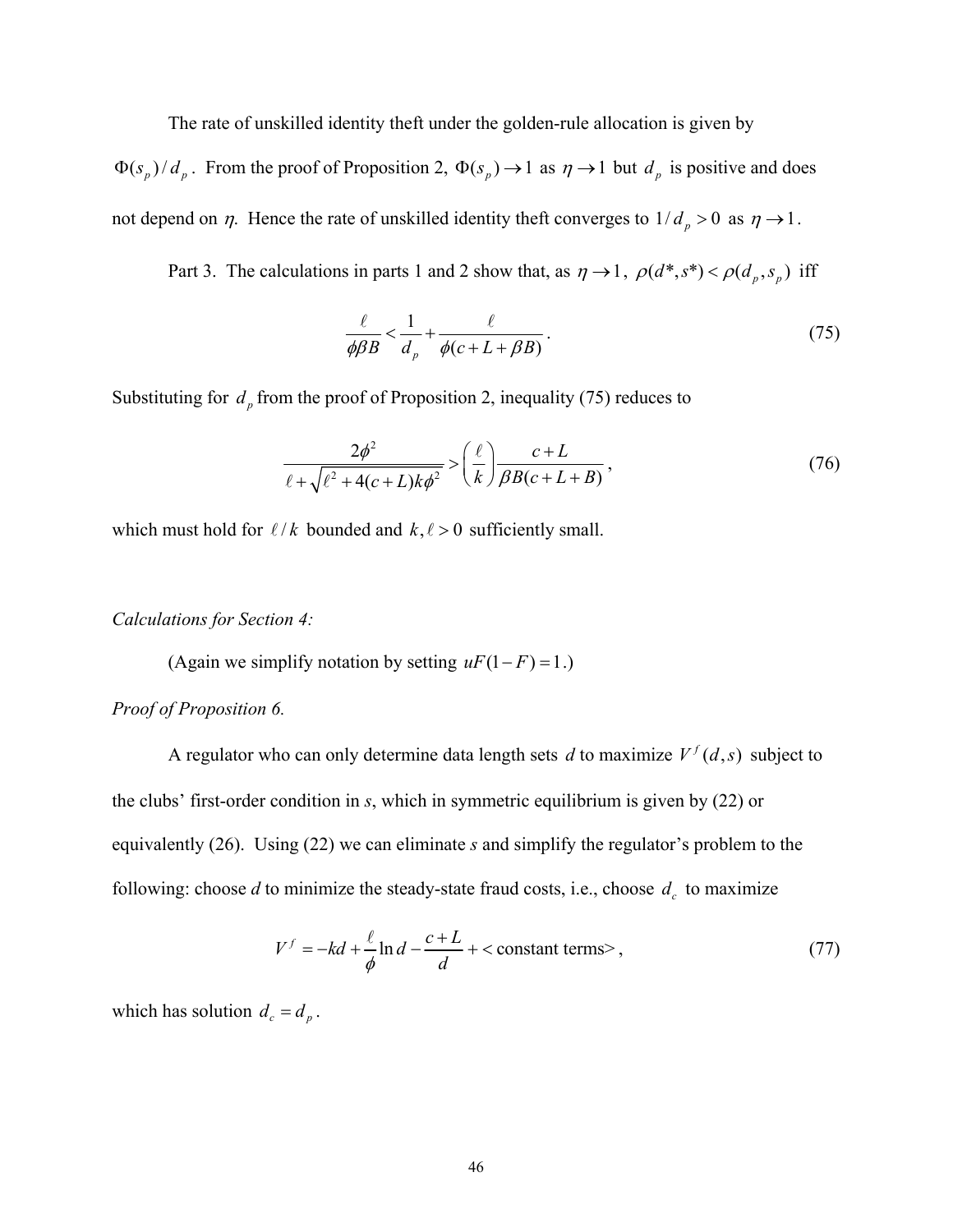The rate of unskilled identity theft under the golden-rule allocation is given by

 $\Phi(s_p)/d_p$ . From the proof of Proposition 2,  $\Phi(s_p) \to 1$  as  $\eta \to 1$  but  $d_p$  is positive and does not depend on  $\eta$ . Hence the rate of unskilled identity theft converges to  $1/d_p > 0$  as  $\eta \rightarrow 1$ .

Part 3. The calculations in parts 1 and 2 show that, as  $\eta \to 1$ ,  $\rho(d^*, s^*) < \rho(d_p, s_p)$  iff

$$
\frac{\ell}{\phi\beta B} < \frac{1}{d_p} + \frac{\ell}{\phi(c + L + \beta B)}.\tag{75}
$$

Substituting for  $d_p$  from the proof of Proposition 2, inequality (75) reduces to

$$
\frac{2\phi^2}{\ell + \sqrt{\ell^2 + 4(c+L)k\phi^2}} > \left(\frac{\ell}{k}\right) \frac{c+L}{\beta B(c+L+B)},\tag{76}
$$

which must hold for  $\ell / k$  bounded and  $k, \ell > 0$  sufficiently small.

#### *Calculations for Section 4:*

(Again we simplify notation by setting  $uF(1 - F) = 1$ .)

#### *Proof of Proposition 6.*

A regulator who can only determine data length sets *d* to maximize  $V^f(d, s)$  subject to the clubs' first-order condition in *s*, which in symmetric equilibrium is given by (22) or equivalently (26). Using (22) we can eliminate *s* and simplify the regulator's problem to the following: choose  $d$  to minimize the steady-state fraud costs, i.e., choose  $d_c$  to maximize

$$
V^f = -kd + \frac{\ell}{\phi} \ln d - \frac{c + L}{d} + < \text{constant terms}>,\tag{77}
$$

which has solution  $d_c = d_p$ .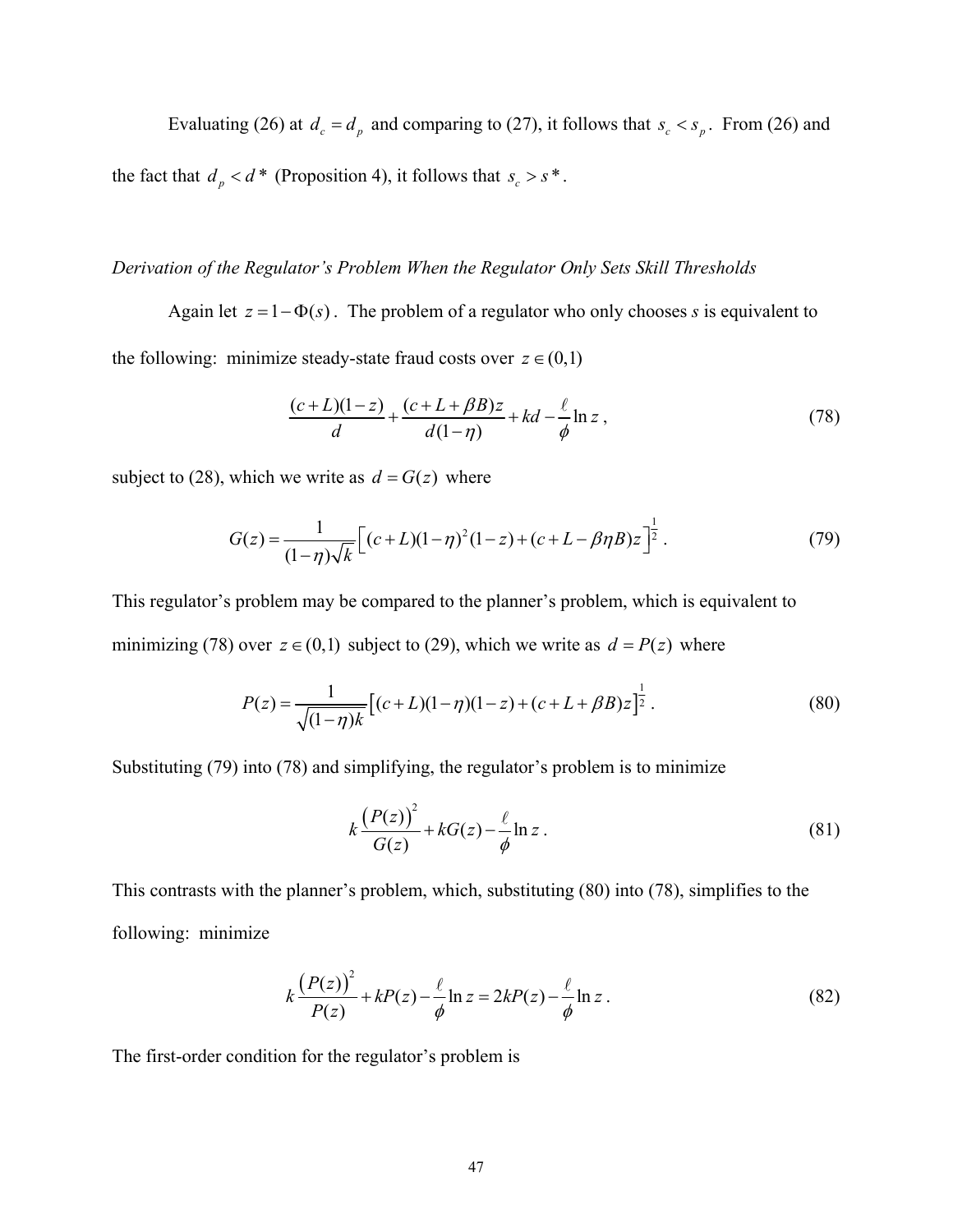Evaluating (26) at  $d_c = d_p$  and comparing to (27), it follows that  $s_c < s_p$ . From (26) and

the fact that  $d_p < d^*$  (Proposition 4), it follows that  $s_c > s^*$ .

#### *Derivation of the Regulator's Problem When the Regulator Only Sets Skill Thresholds*

Again let  $z = 1 - \Phi(s)$ . The problem of a regulator who only chooses *s* is equivalent to the following: minimize steady-state fraud costs over  $z \in (0,1)$ 

$$
\frac{(c+L)(1-z)}{d} + \frac{(c+L+\beta B)z}{d(1-\eta)} + kd - \frac{\ell}{\phi}\ln z\,,\tag{78}
$$

subject to (28), which we write as  $d = G(z)$  where

$$
G(z) = \frac{1}{(1-\eta)\sqrt{k}} \Big[ (c+L)(1-\eta)^2 (1-z) + (c+L-\beta\eta B)z \Big]^{\frac{1}{2}}.
$$
 (79)

This regulator's problem may be compared to the planner's problem, which is equivalent to minimizing (78) over  $z \in (0,1)$  subject to (29), which we write as  $d = P(z)$  where

$$
P(z) = \frac{1}{\sqrt{(1-\eta)k}} \left[ (c+L)(1-\eta)(1-z) + (c+L+\beta B)z \right]^{\frac{1}{2}}.
$$
 (80)

Substituting (79) into (78) and simplifying, the regulator's problem is to minimize

$$
k\frac{\left(P(z)\right)^2}{G(z)} + kG(z) - \frac{\ell}{\phi}\ln z\,. \tag{81}
$$

This contrasts with the planner's problem, which, substituting (80) into (78), simplifies to the following: minimize

$$
k\frac{\left(P(z)\right)^2}{P(z)} + kP(z) - \frac{\ell}{\phi}\ln z = 2kP(z) - \frac{\ell}{\phi}\ln z\,. \tag{82}
$$

The first-order condition for the regulator's problem is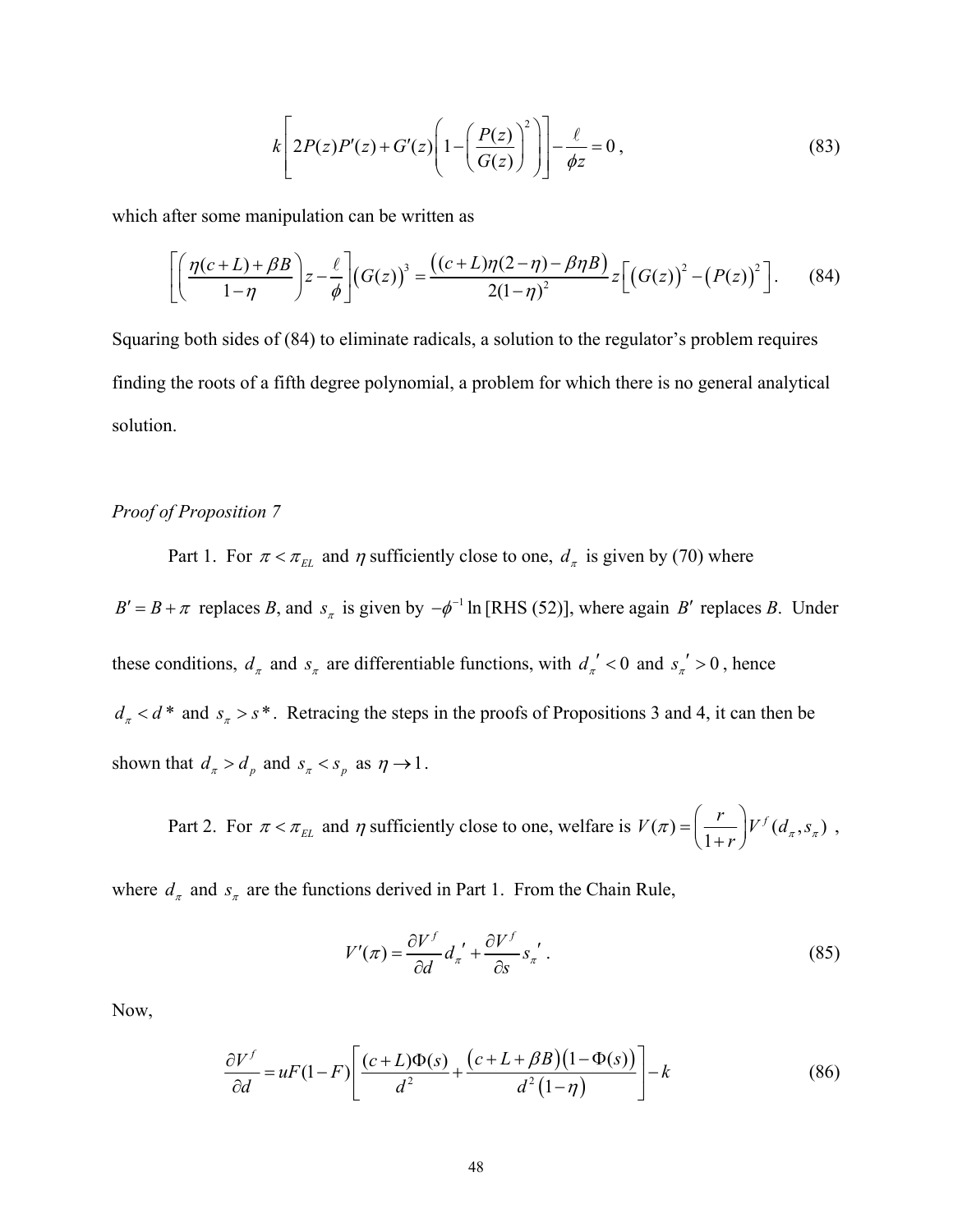$$
k\left[2P(z)P'(z)+G'(z)\left(1-\left(\frac{P(z)}{G(z)}\right)^2\right)\right]-\frac{\ell}{\phi z}=0,
$$
\n(83)

which after some manipulation can be written as

$$
\left[\left(\frac{\eta(c+L)+\beta B}{1-\eta}\right)z-\frac{\ell}{\phi}\right](G(z))^3=\frac{((c+L)\eta(2-\eta)-\beta\eta B)}{2(1-\eta)^2}z\left[\left(G(z)\right)^2-\left(P(z)\right)^2\right].\qquad(84)
$$

Squaring both sides of (84) to eliminate radicals, a solution to the regulator's problem requires finding the roots of a fifth degree polynomial, a problem for which there is no general analytical solution.

#### *Proof of Proposition 7*

Part 1. For  $\pi < \pi_{EL}$  and  $\eta$  sufficiently close to one,  $d_{\pi}$  is given by (70) where

 $B' = B + \pi$  replaces *B*, and  $s_\pi$  is given by  $-\phi^{-1}$  ln [RHS (52)], where again *B'* replaces *B*. Under these conditions,  $d_{\pi}$  and  $s_{\pi}$  are differentiable functions, with  $d_{\pi}$ <sup>'</sup> < 0 and  $s_{\pi}$ <sup>'</sup> > 0, hence  $d_{\pi} < d^*$  and  $s_{\pi} > s^*$ . Retracing the steps in the proofs of Propositions 3 and 4, it can then be shown that  $d_{\pi} > d_p$  and  $s_{\pi} < s_p$  as  $\eta \rightarrow 1$ .

Part 2. For  $\pi < \pi_{EL}$  and  $\eta$  sufficiently close to one, welfare is  $V(\pi) = \left(\frac{r}{1+r}\right) V^f(d_\pi, s_\pi)$  $\pi$ ) =  $\left(\frac{1}{1+r}\right)^{V}$   $\left(a_{\pi}, s_{\pi}\right)$  $=\left(\frac{r}{1+r}\right)V^f(d_{\pi},s_{\pi})$ ,

where  $d_{\pi}$  and  $s_{\pi}$  are the functions derived in Part 1. From the Chain Rule,

$$
V'(\pi) = \frac{\partial V^f}{\partial d} d_{\pi}^{\ \prime} + \frac{\partial V^f}{\partial s} s_{\pi}^{\ \prime} \ . \tag{85}
$$

Now,

$$
\frac{\partial V^f}{\partial d} = uF(1-F)\left[\frac{(c+L)\Phi(s)}{d^2} + \frac{(c+L+\beta B)(1-\Phi(s))}{d^2(1-\eta)}\right] - k\tag{86}
$$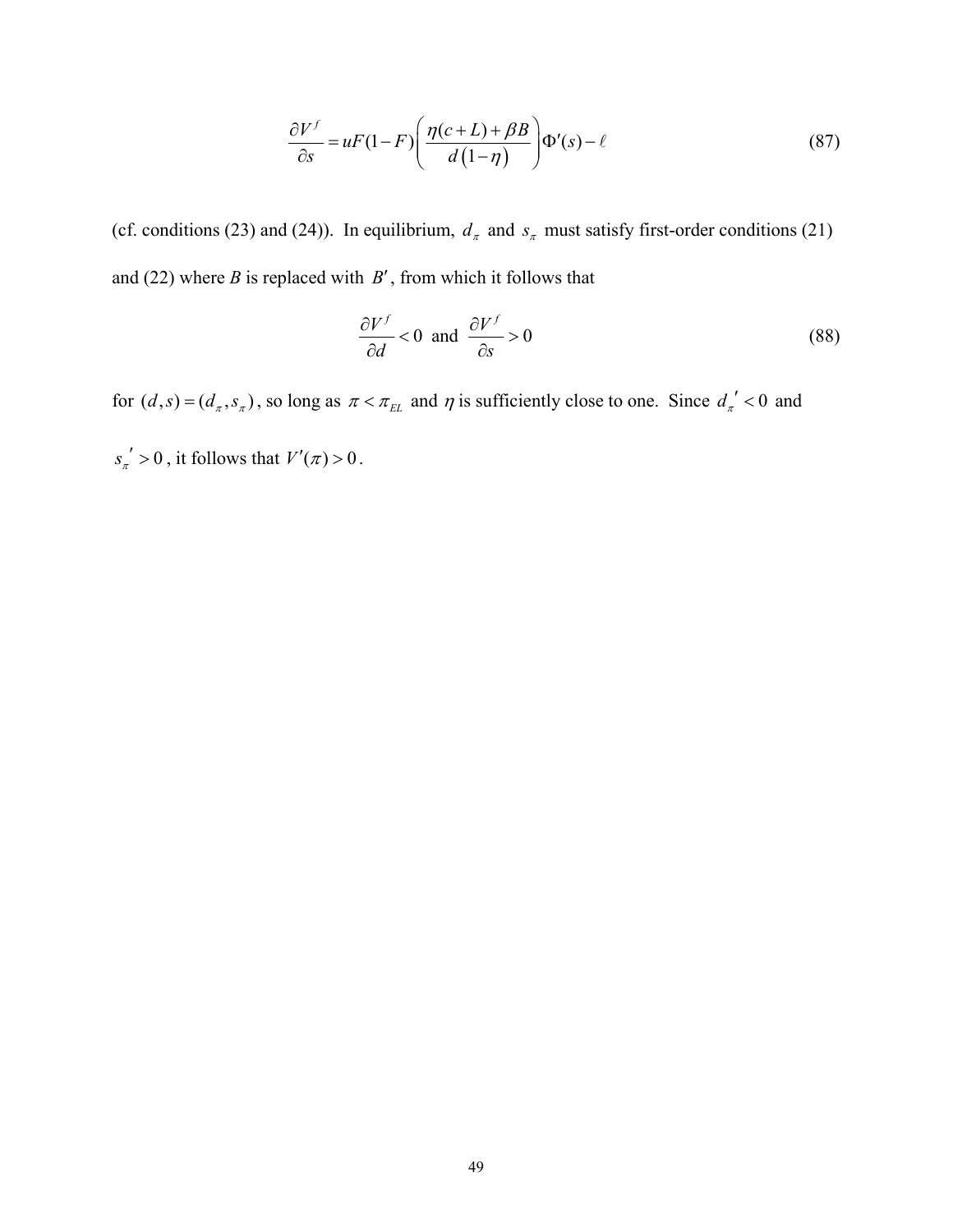$$
\frac{\partial V^f}{\partial s} = uF(1 - F) \left( \frac{\eta(c + L) + \beta B}{d(1 - \eta)} \right) \Phi'(s) - \ell \tag{87}
$$

(cf. conditions (23) and (24)). In equilibrium,  $d_{\pi}$  and  $s_{\pi}$  must satisfy first-order conditions (21) and (22) where *B* is replaced with *B*′, from which it follows that

$$
\frac{\partial V^f}{\partial d} < 0 \quad \text{and} \quad \frac{\partial V^f}{\partial s} > 0 \tag{88}
$$

for  $(d, s) = (d_{\pi}, s_{\pi})$ , so long as  $\pi < \pi_{EL}$  and  $\eta$  is sufficiently close to one. Since  $d_{\pi}$ <sup>'</sup> < 0 and  $s_{\pi}$ <sup>'</sup> > 0, it follows that  $V'(\pi)$  > 0.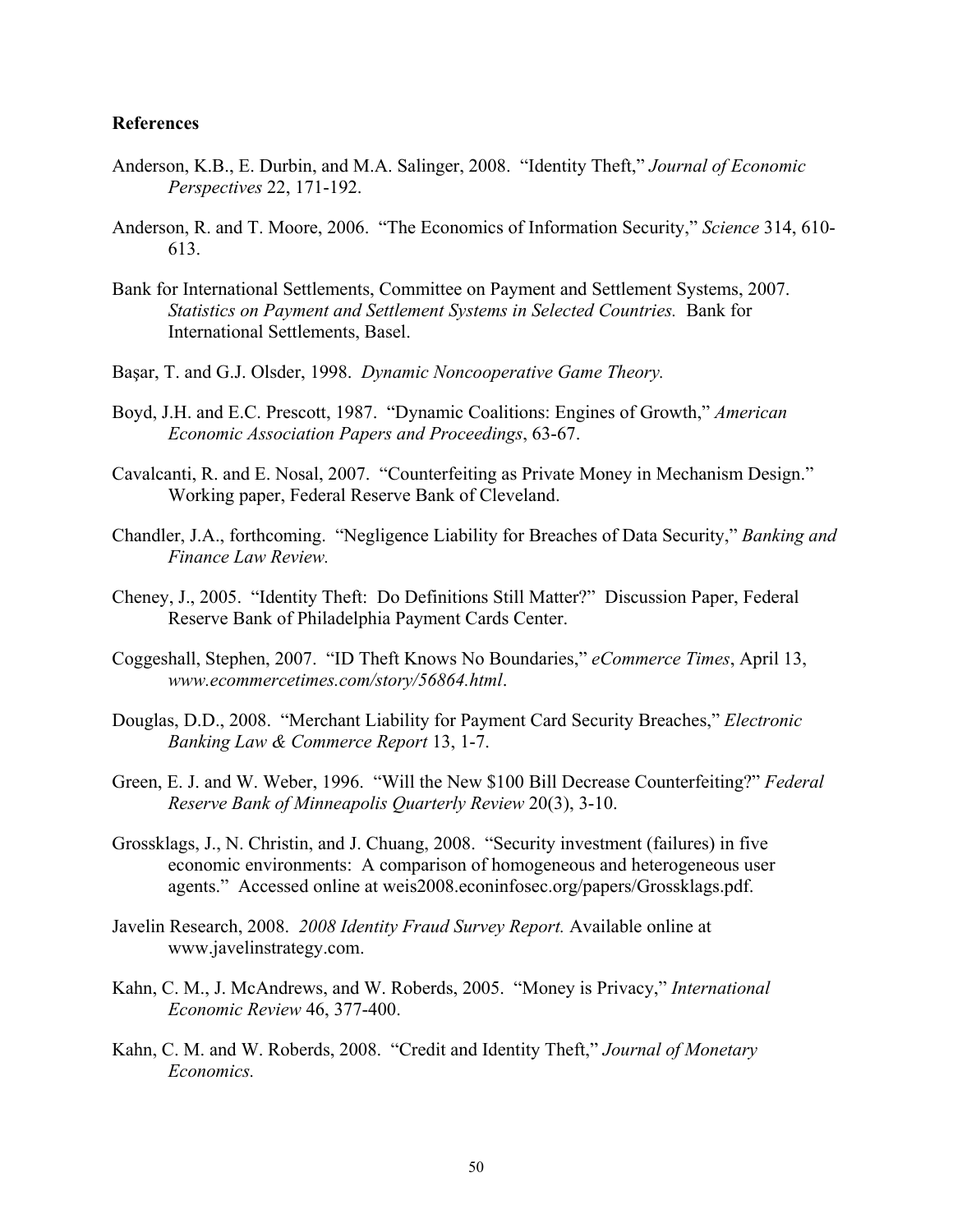#### **References**

- Anderson, K.B., E. Durbin, and M.A. Salinger, 2008. "Identity Theft," *Journal of Economic Perspectives* 22, 171-192.
- Anderson, R. and T. Moore, 2006. "The Economics of Information Security," *Science* 314, 610- 613.
- Bank for International Settlements, Committee on Payment and Settlement Systems, 2007. *Statistics on Payment and Settlement Systems in Selected Countries.* Bank for International Settlements, Basel.
- Başar, T. and G.J. Olsder, 1998. *Dynamic Noncooperative Game Theory.*
- Boyd, J.H. and E.C. Prescott, 1987. "Dynamic Coalitions: Engines of Growth," *American Economic Association Papers and Proceedings*, 63-67.
- Cavalcanti, R. and E. Nosal, 2007. "Counterfeiting as Private Money in Mechanism Design." Working paper, Federal Reserve Bank of Cleveland.
- Chandler, J.A., forthcoming. "Negligence Liability for Breaches of Data Security," *Banking and Finance Law Review.*
- Cheney, J., 2005. "Identity Theft: Do Definitions Still Matter?" Discussion Paper, Federal Reserve Bank of Philadelphia Payment Cards Center.
- Coggeshall, Stephen, 2007. "ID Theft Knows No Boundaries," *eCommerce Times*, April 13, *www.ecommercetimes.com/story/56864.html*.
- Douglas, D.D., 2008. "Merchant Liability for Payment Card Security Breaches," *Electronic Banking Law & Commerce Report* 13, 1-7.
- Green, E. J. and W. Weber, 1996. "Will the New \$100 Bill Decrease Counterfeiting?" *Federal Reserve Bank of Minneapolis Quarterly Review* 20(3), 3-10.
- Grossklags, J., N. Christin, and J. Chuang, 2008. "Security investment (failures) in five economic environments: A comparison of homogeneous and heterogeneous user agents." Accessed online at weis2008.econinfosec.org/papers/Grossklags.pdf.
- Javelin Research, 2008. *2008 Identity Fraud Survey Report.* Available online at www.javelinstrategy.com.
- Kahn, C. M., J. McAndrews, and W. Roberds, 2005. "Money is Privacy," *International Economic Review* 46, 377-400.
- Kahn, C. M. and W. Roberds, 2008. "Credit and Identity Theft," *Journal of Monetary Economics.*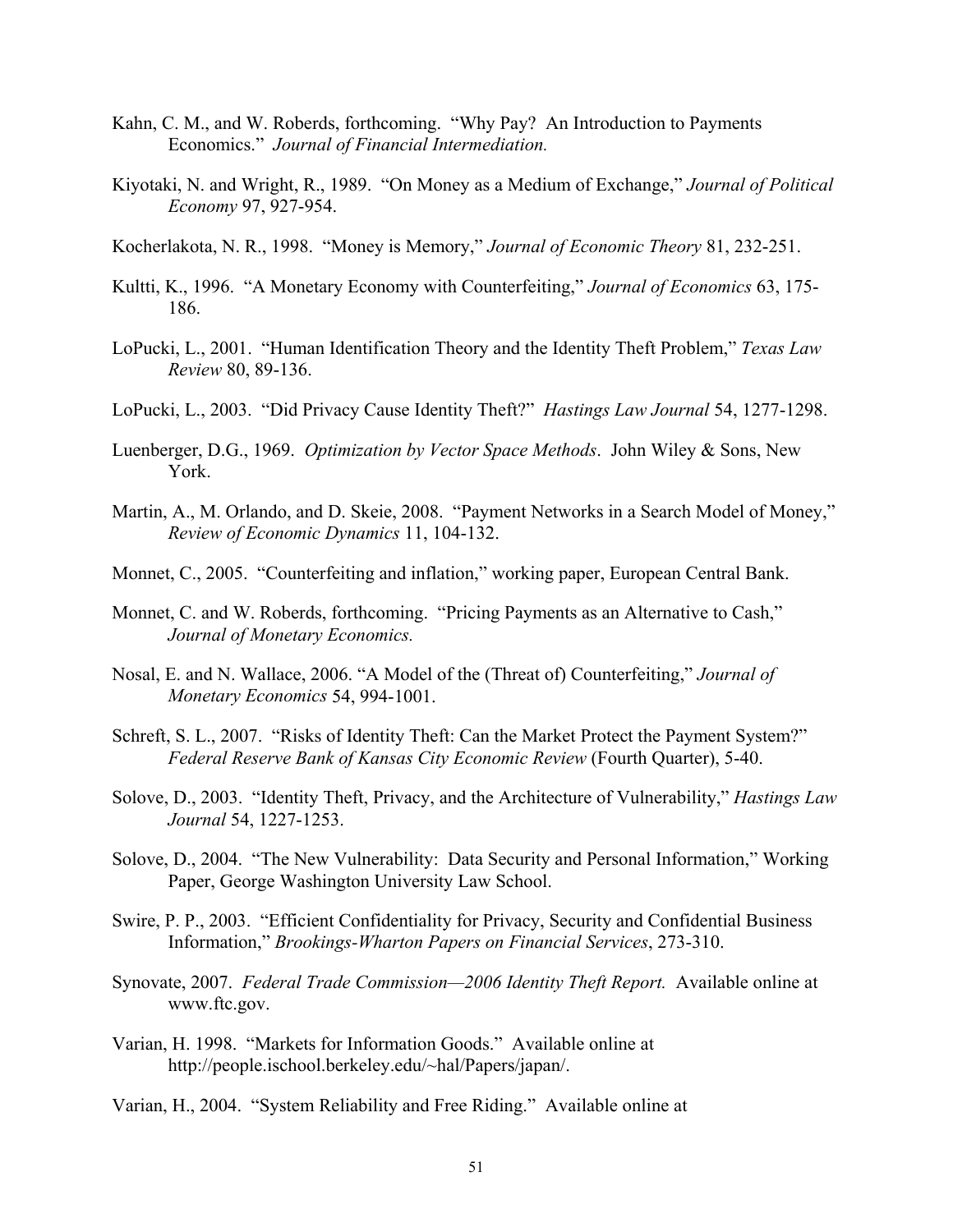- Kahn, C. M., and W. Roberds, forthcoming. "Why Pay? An Introduction to Payments Economics." *Journal of Financial Intermediation.*
- Kiyotaki, N. and Wright, R., 1989. "On Money as a Medium of Exchange," *Journal of Political Economy* 97, 927-954.
- Kocherlakota, N. R., 1998. "Money is Memory," *Journal of Economic Theory* 81, 232-251.
- Kultti, K., 1996. "A Monetary Economy with Counterfeiting," *Journal of Economics* 63, 175- 186.
- LoPucki, L., 2001. "Human Identification Theory and the Identity Theft Problem," *Texas Law Review* 80, 89-136.
- LoPucki, L., 2003. "Did Privacy Cause Identity Theft?" *Hastings Law Journal* 54, 1277-1298.
- Luenberger, D.G., 1969. *Optimization by Vector Space Methods*. John Wiley & Sons, New York.
- Martin, A., M. Orlando, and D. Skeie, 2008. "Payment Networks in a Search Model of Money," *Review of Economic Dynamics* 11, 104-132.
- Monnet, C., 2005. "Counterfeiting and inflation," working paper, European Central Bank.
- Monnet, C. and W. Roberds, forthcoming. "Pricing Payments as an Alternative to Cash," *Journal of Monetary Economics.*
- Nosal, E. and N. Wallace, 2006. "A Model of the (Threat of) Counterfeiting," *Journal of Monetary Economics* 54, 994-1001.
- Schreft, S. L., 2007. "Risks of Identity Theft: Can the Market Protect the Payment System?" *Federal Reserve Bank of Kansas City Economic Review* (Fourth Quarter), 5-40.
- Solove, D., 2003. "Identity Theft, Privacy, and the Architecture of Vulnerability," *Hastings Law Journal* 54, 1227-1253.
- Solove, D., 2004. "The New Vulnerability: Data Security and Personal Information," Working Paper, George Washington University Law School.
- Swire, P. P., 2003. "Efficient Confidentiality for Privacy, Security and Confidential Business Information," *Brookings-Wharton Papers on Financial Services*, 273-310.
- Synovate, 2007. *Federal Trade Commission—2006 Identity Theft Report.* Available online at www.ftc.gov.
- Varian, H. 1998. "Markets for Information Goods." Available online at http://people.ischool.berkeley.edu/~hal/Papers/japan/.
- Varian, H., 2004. "System Reliability and Free Riding." Available online at